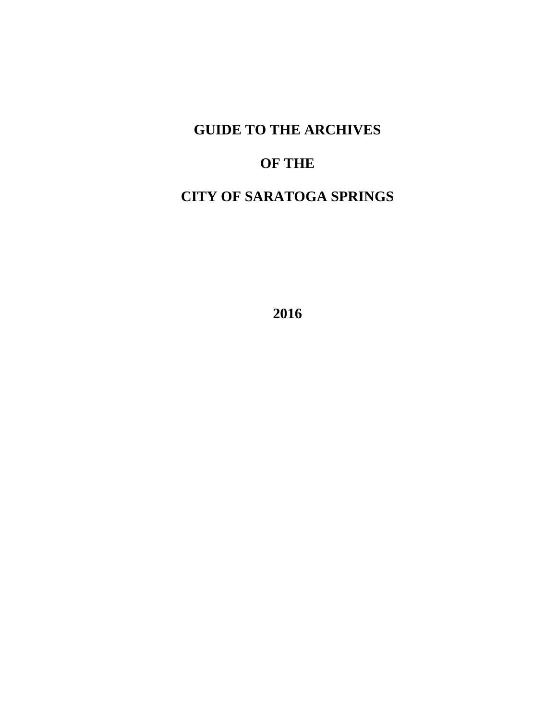# **GUIDE TO THE ARCHIVES**

# **OF THE**

# **CITY OF SARATOGA SPRINGS**

**2016**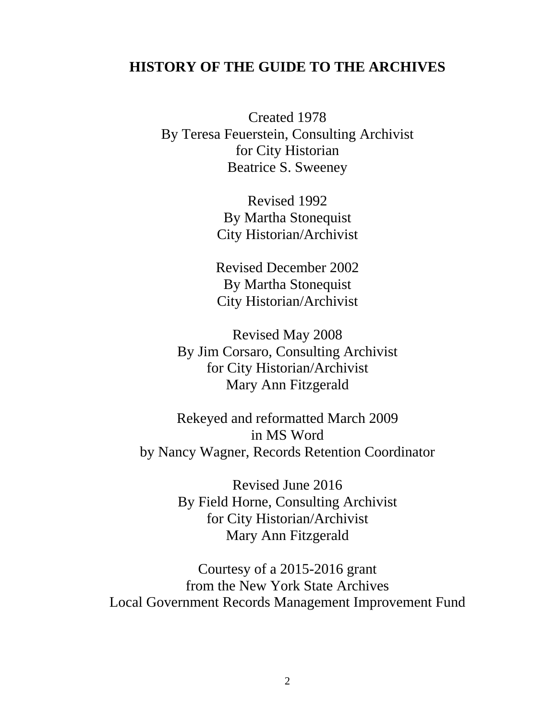# **HISTORY OF THE GUIDE TO THE ARCHIVES**

Created 1978 By Teresa Feuerstein, Consulting Archivist for City Historian Beatrice S. Sweeney

> Revised 1992 By Martha Stonequist City Historian/Archivist

> Revised December 2002 By Martha Stonequist City Historian/Archivist

Revised May 2008 By Jim Corsaro, Consulting Archivist for City Historian/Archivist Mary Ann Fitzgerald

Rekeyed and reformatted March 2009 in MS Word by Nancy Wagner, Records Retention Coordinator

> Revised June 2016 By Field Horne, Consulting Archivist for City Historian/Archivist Mary Ann Fitzgerald

Courtesy of a 2015-2016 grant from the New York State Archives Local Government Records Management Improvement Fund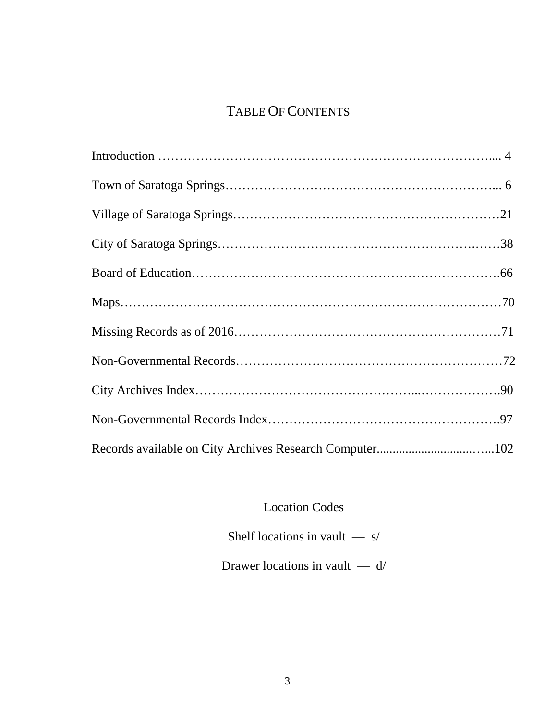# TABLE OF CONTENTS

Location Codes

Shelf locations in vault — s/

Drawer locations in vault — d/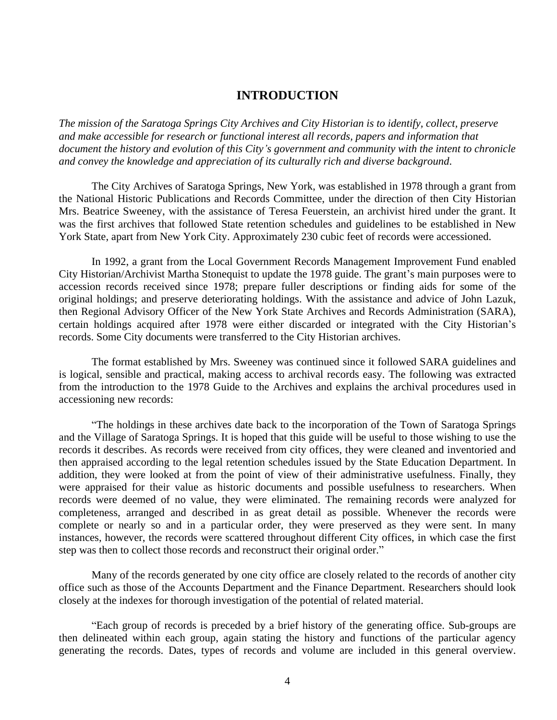# **INTRODUCTION**

*The mission of the Saratoga Springs City Archives and City Historian is to identify, collect, preserve and make accessible for research or functional interest all records, papers and information that document the history and evolution of this City's government and community with the intent to chronicle and convey the knowledge and appreciation of its culturally rich and diverse background*.

The City Archives of Saratoga Springs, New York, was established in 1978 through a grant from the National Historic Publications and Records Committee, under the direction of then City Historian Mrs. Beatrice Sweeney, with the assistance of Teresa Feuerstein, an archivist hired under the grant. It was the first archives that followed State retention schedules and guidelines to be established in New York State, apart from New York City. Approximately 230 cubic feet of records were accessioned.

In 1992, a grant from the Local Government Records Management Improvement Fund enabled City Historian/Archivist Martha Stonequist to update the 1978 guide. The grant's main purposes were to accession records received since 1978; prepare fuller descriptions or finding aids for some of the original holdings; and preserve deteriorating holdings. With the assistance and advice of John Lazuk, then Regional Advisory Officer of the New York State Archives and Records Administration (SARA), certain holdings acquired after 1978 were either discarded or integrated with the City Historian's records. Some City documents were transferred to the City Historian archives.

The format established by Mrs. Sweeney was continued since it followed SARA guidelines and is logical, sensible and practical, making access to archival records easy. The following was extracted from the introduction to the 1978 Guide to the Archives and explains the archival procedures used in accessioning new records:

"The holdings in these archives date back to the incorporation of the Town of Saratoga Springs and the Village of Saratoga Springs. It is hoped that this guide will be useful to those wishing to use the records it describes. As records were received from city offices, they were cleaned and inventoried and then appraised according to the legal retention schedules issued by the State Education Department. In addition, they were looked at from the point of view of their administrative usefulness. Finally, they were appraised for their value as historic documents and possible usefulness to researchers. When records were deemed of no value, they were eliminated. The remaining records were analyzed for completeness, arranged and described in as great detail as possible. Whenever the records were complete or nearly so and in a particular order, they were preserved as they were sent. In many instances, however, the records were scattered throughout different City offices, in which case the first step was then to collect those records and reconstruct their original order."

Many of the records generated by one city office are closely related to the records of another city office such as those of the Accounts Department and the Finance Department. Researchers should look closely at the indexes for thorough investigation of the potential of related material.

"Each group of records is preceded by a brief history of the generating office. Sub-groups are then delineated within each group, again stating the history and functions of the particular agency generating the records. Dates, types of records and volume are included in this general overview.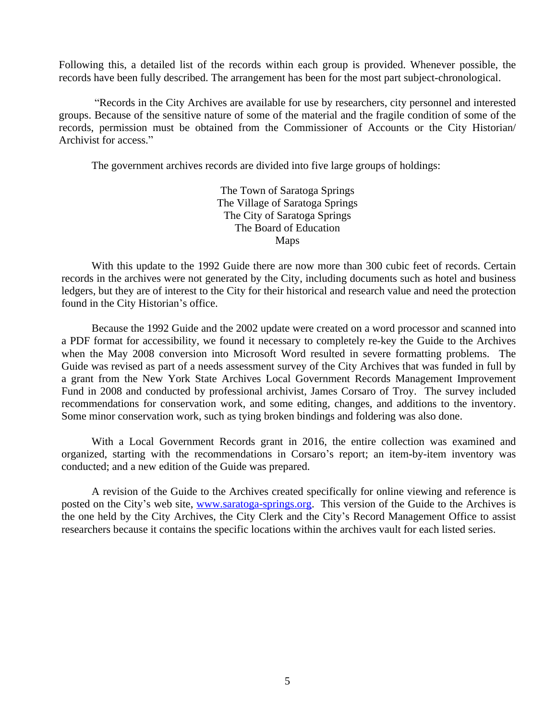Following this, a detailed list of the records within each group is provided. Whenever possible, the records have been fully described. The arrangement has been for the most part subject-chronological.

"Records in the City Archives are available for use by researchers, city personnel and interested groups. Because of the sensitive nature of some of the material and the fragile condition of some of the records, permission must be obtained from the Commissioner of Accounts or the City Historian/ Archivist for access."

The government archives records are divided into five large groups of holdings:

The Town of Saratoga Springs The Village of Saratoga Springs The City of Saratoga Springs The Board of Education Maps

With this update to the 1992 Guide there are now more than 300 cubic feet of records. Certain records in the archives were not generated by the City, including documents such as hotel and business ledgers, but they are of interest to the City for their historical and research value and need the protection found in the City Historian's office.

Because the 1992 Guide and the 2002 update were created on a word processor and scanned into a PDF format for accessibility, we found it necessary to completely re-key the Guide to the Archives when the May 2008 conversion into Microsoft Word resulted in severe formatting problems. The Guide was revised as part of a needs assessment survey of the City Archives that was funded in full by a grant from the New York State Archives Local Government Records Management Improvement Fund in 2008 and conducted by professional archivist, James Corsaro of Troy. The survey included recommendations for conservation work, and some editing, changes, and additions to the inventory. Some minor conservation work, such as tying broken bindings and foldering was also done.

With a Local Government Records grant in 2016, the entire collection was examined and organized, starting with the recommendations in Corsaro's report; an item-by-item inventory was conducted; and a new edition of the Guide was prepared.

A revision of the Guide to the Archives created specifically for online viewing and reference is posted on the City's web site, [www.saratoga-springs.org.](http://www.saratoga-springs.org) This version of the Guide to the Archives is the one held by the City Archives, the City Clerk and the City's Record Management Office to assist researchers because it contains the specific locations within the archives vault for each listed series.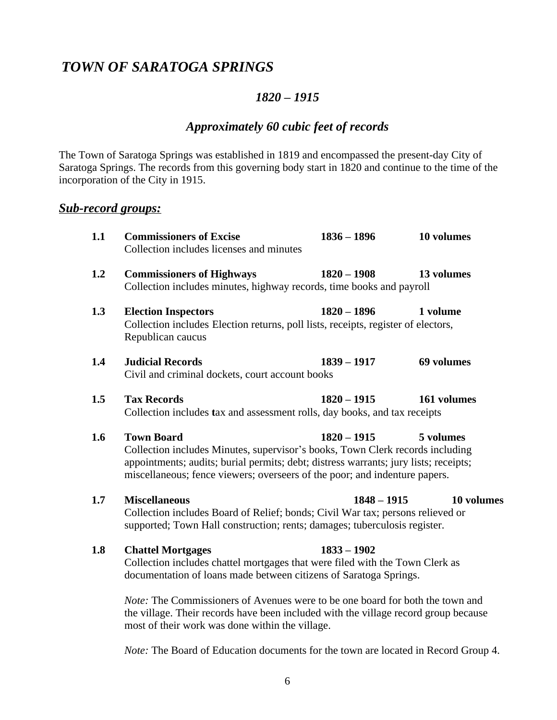# *TOWN OF SARATOGA SPRINGS*

# *1820 – 1915*

# *Approximately 60 cubic feet of records*

The Town of Saratoga Springs was established in 1819 and encompassed the present-day City of Saratoga Springs. The records from this governing body start in 1820 and continue to the time of the incorporation of the City in 1915.

# *Sub-record groups:*

| 1.1 | <b>Commissioners of Excise</b><br>Collection includes licenses and minutes                                                                                                                                                                                                                             | $1836 - 1896$ | 10 volumes  |
|-----|--------------------------------------------------------------------------------------------------------------------------------------------------------------------------------------------------------------------------------------------------------------------------------------------------------|---------------|-------------|
| 1.2 | <b>Commissioners of Highways</b><br>Collection includes minutes, highway records, time books and payroll                                                                                                                                                                                               | $1820 - 1908$ | 13 volumes  |
| 1.3 | <b>Election Inspectors</b><br>Collection includes Election returns, poll lists, receipts, register of electors,<br>Republican caucus                                                                                                                                                                   | $1820 - 1896$ | 1 volume    |
| 1.4 | <b>Judicial Records</b><br>Civil and criminal dockets, court account books                                                                                                                                                                                                                             | $1839 - 1917$ | 69 volumes  |
| 1.5 | <b>Tax Records</b><br>Collection includes tax and assessment rolls, day books, and tax receipts                                                                                                                                                                                                        | $1820 - 1915$ | 161 volumes |
| 1.6 | <b>Town Board</b><br>$1820 - 1915$<br>5 volumes<br>Collection includes Minutes, supervisor's books, Town Clerk records including<br>appointments; audits; burial permits; debt; distress warrants; jury lists; receipts;<br>miscellaneous; fence viewers; overseers of the poor; and indenture papers. |               |             |
| 1.7 | <b>Miscellaneous</b><br>Collection includes Board of Relief; bonds; Civil War tax; persons relieved or<br>supported; Town Hall construction; rents; damages; tuberculosis register.                                                                                                                    | $1848 - 1915$ | 10 volumes  |
| 1.8 | <b>Chattel Mortgages</b><br>Collection includes chattel mortgages that were filed with the Town Clerk as<br>documentation of loans made between citizens of Saratoga Springs.                                                                                                                          | $1833 - 1902$ |             |
|     | <i>Note:</i> The Commissioners of Avenues were to be one board for both the town and                                                                                                                                                                                                                   |               |             |

*Norteminissioners of Avenues were to be one board for both the town and* the village. Their records have been included with the village record group because most of their work was done within the village.

*Note:* The Board of Education documents for the town are located in Record Group 4.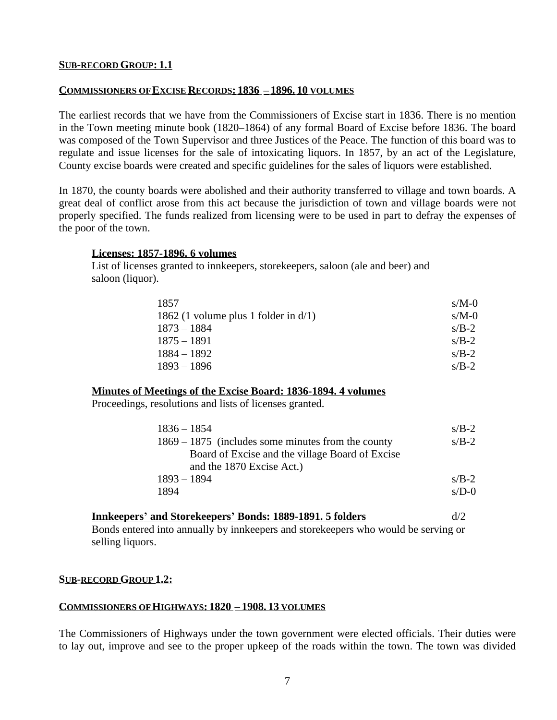# **SUB-RECORD GROUP: 1.1**

## **COMMISSIONERS OF EXCISE RECORDS: 1836 – 1896. 10 VOLUMES**

The earliest records that we have from the Commissioners of Excise start in 1836. There is no mention in the Town meeting minute book (1820–1864) of any formal Board of Excise before 1836. The board was composed of the Town Supervisor and three Justices of the Peace. The function of this board was to regulate and issue licenses for the sale of intoxicating liquors. In 1857, by an act of the Legislature, County excise boards were created and specific guidelines for the sales of liquors were established.

In 1870, the county boards were abolished and their authority transferred to village and town boards. A great deal of conflict arose from this act because the jurisdiction of town and village boards were not properly specified. The funds realized from licensing were to be used in part to defray the expenses of the poor of the town.

#### **Licenses: 1857-1896. 6 volumes**

List of licenses granted to innkeepers, storekeepers, saloon (ale and beer) and saloon (liquor).

| 1857                                    | $s/M-0$ |
|-----------------------------------------|---------|
| 1862 (1 volume plus 1 folder in $d/1$ ) | $s/M-0$ |
| $1873 - 1884$                           | $s/B-2$ |
| $1875 - 1891$                           | $s/B-2$ |
| $1884 - 1892$                           | $s/B-2$ |
| $1893 - 1896$                           | $s/B-2$ |

#### **Minutes of Meetings of the Excise Board: 1836-1894. 4 volumes**

Proceedings, resolutions and lists of licenses granted.

| $1836 - 1854$                                        | $s/B-2$ |
|------------------------------------------------------|---------|
| $1869 - 1875$ (includes some minutes from the county | $s/B-2$ |
| Board of Excise and the village Board of Excise      |         |
| and the 1870 Excise Act.)                            |         |
| $1893 - 1894$                                        | $s/B-2$ |
| 1894                                                 | $s/D-0$ |

| <b>Innkeepers' and Storekeepers' Bonds: 1889-1891. 5 folders</b>                    | d/2 |
|-------------------------------------------------------------------------------------|-----|
| Bonds entered into annually by innkeepers and store keepers who would be serving or |     |
| selling liquors.                                                                    |     |

#### **SUB-RECORD GROUP 1.2:**

## **COMMISSIONERS OF HIGHWAYS: 1820 – 1908. 13 VOLUMES**

The Commissioners of Highways under the town government were elected officials. Their duties were to lay out, improve and see to the proper upkeep of the roads within the town. The town was divided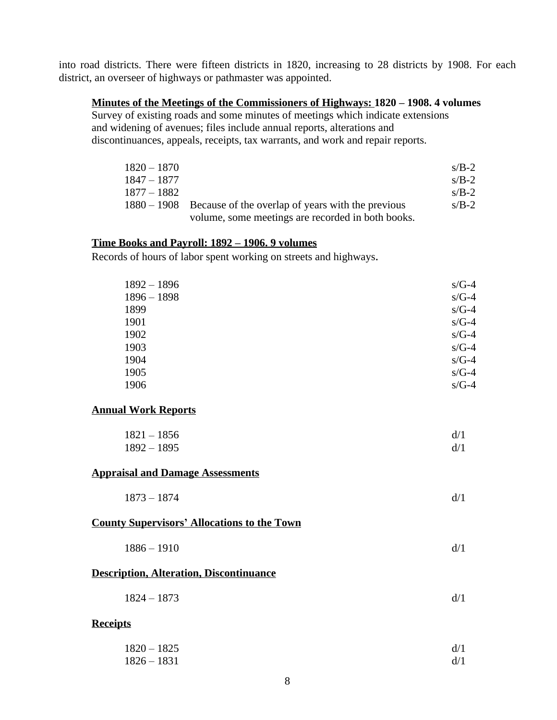into road districts. There were fifteen districts in 1820, increasing to 28 districts by 1908. For each district, an overseer of highways or pathmaster was appointed.

# **Minutes of the Meetings of the Commissioners of Highways: 1820 – 1908. 4 volumes**

Survey of existing roads and some minutes of meetings which indicate extensions and widening of avenues; files include annual reports, alterations and discontinuances, appeals, receipts, tax warrants, and work and repair reports.

| $1820 - 1870$ |                                                                 | $s/B-2$ |
|---------------|-----------------------------------------------------------------|---------|
| $1847 - 1877$ |                                                                 | $s/B-2$ |
| 1877 – 1882   |                                                                 | $s/B-2$ |
|               | $1880 - 1908$ Because of the overlap of years with the previous | $s/B-2$ |
|               | volume, some meetings are recorded in both books.               |         |

# **Time Books and Payroll: 1892 – 1906. 9 volumes**

Records of hours of labor spent working on streets and highways.

| $1892 - 1896$ | $s/G-4$ |
|---------------|---------|
| $1896 - 1898$ | $s/G-4$ |
| 1899          | $s/G-4$ |
| 1901          | $s/G-4$ |
| 1902          | $s/G-4$ |
| 1903          | $s/G-4$ |
| 1904          | $s/G-4$ |
| 1905          | $s/G-4$ |
| 1906          | $s/G-4$ |
|               |         |

# **Annual Work Reports**

| $1821 - 1856$ | d/1 |
|---------------|-----|
| $1892 - 1895$ | d/1 |

# **Appraisal and Damage Assessments**

| $1873 - 1874$ | d/1 |
|---------------|-----|
|---------------|-----|

# **County Supervisors' Allocations to the Town**

| $1886 - 1910$ | d/1 |
|---------------|-----|
|               |     |

#### **Description, Alteration, Discontinuance**

1824 – 1873 d/1

#### **Receipts**

| $1820 - 1825$ | d/1 |
|---------------|-----|
| $1826 - 1831$ | d/1 |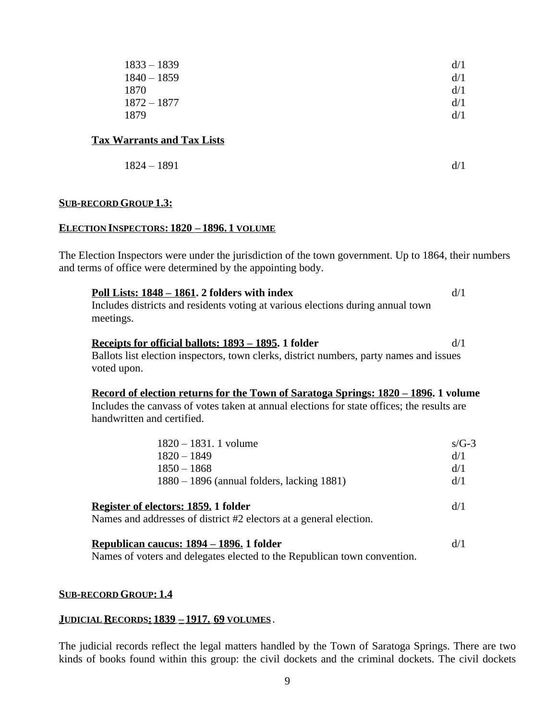| $1833 - 1839$ | d/1 |
|---------------|-----|
| $1840 - 1859$ | d/1 |
| 1870          | d/1 |
| 1872 – 1877   | d/1 |
| 1879          | d/1 |

# **Tax Warrants and Tax Lists**

$$
1824 - 1891 \t\t d/1
$$

#### **SUB-RECORD GROUP 1.3:**

#### **ELECTION INSPECTORS: 1820 – 1896. 1 VOLUME**

The Election Inspectors were under the jurisdiction of the town government. Up to 1864, their numbers and terms of office were determined by the appointing body.

| Poll Lists: $1848 - 1861$ . 2 folders with index<br>Includes districts and residents voting at various elections during annual town<br>meetings. | d/1       |
|--------------------------------------------------------------------------------------------------------------------------------------------------|-----------|
| <u>Receipts for official ballots: 1893 – 1895</u> . 1 folder                                                                                     | d/1       |
| Ballots list election inspectors, town clerks, district numbers, party names and issues<br>voted upon.                                           |           |
| <u>Record of election returns for the Town of Saratoga Springs: 1820 – 1896.</u> 1 volume                                                        |           |
| Includes the canvass of votes taken at annual elections for state offices; the results are<br>handwritten and certified.                         |           |
| $1820 - 1831$ . 1 volume                                                                                                                         | $s/(t-3)$ |
| $1000 - 1010$                                                                                                                                    | 1/1       |

| $1820 - 1849$                                                                                              | d/1 |
|------------------------------------------------------------------------------------------------------------|-----|
| $1850 - 1868$                                                                                              | d/1 |
| $1880 - 1896$ (annual folders, lacking 1881)                                                               | d/1 |
| Register of electors: 1859. 1 folder<br>Names and addresses of district #2 electors at a general election. | d/1 |

**Republican caucus: 1894 – 1896. 1 folder** d/1 Names of voters and delegates elected to the Republican town convention.

#### **SUB-RECORD GROUP: 1.4**

#### **JUDICIAL RECORDS: 1839 – 1917. 69 VOLUMES** .

The judicial records reflect the legal matters handled by the Town of Saratoga Springs. There are two kinds of books found within this group: the civil dockets and the criminal dockets. The civil dockets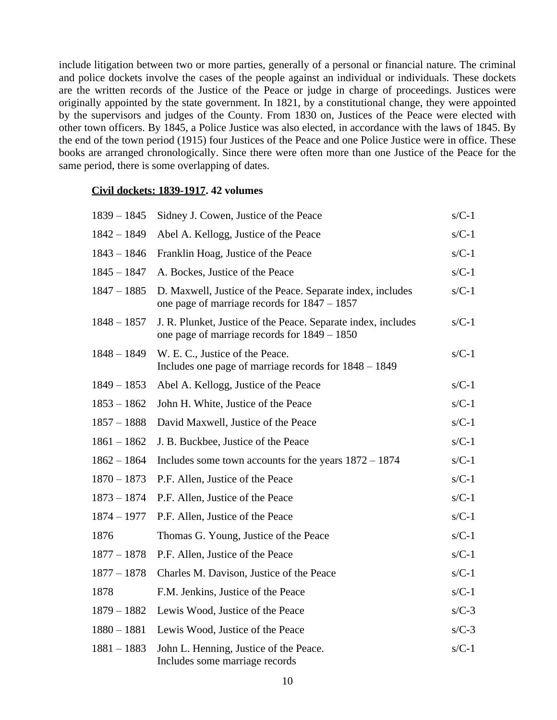include litigation between two or more parties, generally of a personal or financial nature. The criminal and police dockets involve the cases of the people against an individual or individuals. These dockets are the written records of the Justice of the Peace or judge in charge of proceedings. Justices were originally appointed by the state government. In 1821, by a constitutional change, they were appointed by the supervisors and judges of the County. From 1830 on, Justices of the Peace were elected with other town officers. By 1845, a Police Justice was also elected, in accordance with the laws of 1845. By the end of the town period (1915) four Justices of the Peace and one Police Justice were in office. These books are arranged chronologically. Since there were often more than one Justice of the Peace for the same period, there is some overlapping of dates.

#### **Civil dockets: 1839-1917. 42 volumes**

| $1839 - 1845$ | Sidney J. Cowen, Justice of the Peace                                                                           | $s/C-1$ |
|---------------|-----------------------------------------------------------------------------------------------------------------|---------|
| $1842 - 1849$ | Abel A. Kellogg, Justice of the Peace                                                                           | $s/C-1$ |
| $1843 - 1846$ | Franklin Hoag, Justice of the Peace                                                                             | $s/C-1$ |
| $1845 - 1847$ | A. Bockes, Justice of the Peace                                                                                 | $s/C-1$ |
| $1847 - 1885$ | D. Maxwell, Justice of the Peace. Separate index, includes<br>one page of marriage records for $1847 - 1857$    | $s/C-1$ |
| $1848 - 1857$ | J. R. Plunket, Justice of the Peace. Separate index, includes<br>one page of marriage records for $1849 - 1850$ | $s/C-1$ |
| $1848 - 1849$ | W. E. C., Justice of the Peace.<br>Includes one page of marriage records for $1848 - 1849$                      | $s/C-1$ |
| $1849 - 1853$ | Abel A. Kellogg, Justice of the Peace                                                                           | $s/C-1$ |
| $1853 - 1862$ | John H. White, Justice of the Peace                                                                             | $s/C-1$ |
| $1857 - 1888$ | David Maxwell, Justice of the Peace                                                                             | $s/C-1$ |
| $1861 - 1862$ | J. B. Buckbee, Justice of the Peace                                                                             | $s/C-1$ |
| $1862 - 1864$ | Includes some town accounts for the years $1872 - 1874$                                                         | $s/C-1$ |
| $1870 - 1873$ | P.F. Allen, Justice of the Peace                                                                                | $s/C-1$ |
| $1873 - 1874$ | P.F. Allen, Justice of the Peace                                                                                | $s/C-1$ |
| $1874 - 1977$ | P.F. Allen, Justice of the Peace                                                                                | $s/C-1$ |
| 1876          | Thomas G. Young, Justice of the Peace                                                                           | $s/C-1$ |
| $1877 - 1878$ | P.F. Allen, Justice of the Peace                                                                                | $s/C-1$ |
| $1877 - 1878$ | Charles M. Davison, Justice of the Peace                                                                        | $s/C-1$ |
| 1878          | F.M. Jenkins, Justice of the Peace                                                                              | $s/C-1$ |
| $1879 - 1882$ | Lewis Wood, Justice of the Peace                                                                                | $s/C-3$ |
| $1880 - 1881$ | Lewis Wood, Justice of the Peace                                                                                | $s/C-3$ |
| $1881 - 1883$ | John L. Henning, Justice of the Peace.<br>Includes some marriage records                                        | $s/C-1$ |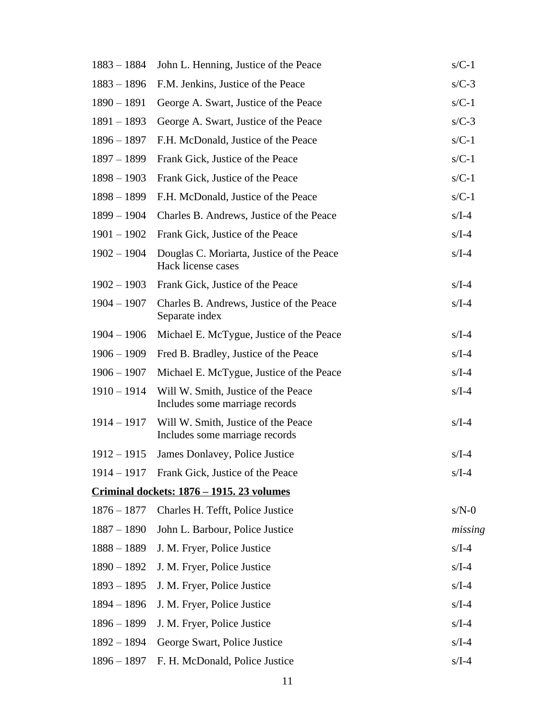| $1883 - 1884$ | John L. Henning, Justice of the Peace                                 | $s/C-1$ |
|---------------|-----------------------------------------------------------------------|---------|
| $1883 - 1896$ | F.M. Jenkins, Justice of the Peace                                    | $s/C-3$ |
| $1890 - 1891$ | George A. Swart, Justice of the Peace                                 | $s/C-1$ |
| $1891 - 1893$ | George A. Swart, Justice of the Peace                                 | $s/C-3$ |
| $1896 - 1897$ | F.H. McDonald, Justice of the Peace                                   | $s/C-1$ |
| 1897 - 1899   | Frank Gick, Justice of the Peace                                      | $s/C-1$ |
| $1898 - 1903$ | Frank Gick, Justice of the Peace                                      | $s/C-1$ |
| $1898 - 1899$ | F.H. McDonald, Justice of the Peace                                   | $s/C-1$ |
| $1899 - 1904$ | Charles B. Andrews, Justice of the Peace                              | $s/I-4$ |
| $1901 - 1902$ | Frank Gick, Justice of the Peace                                      | $s/I-4$ |
| $1902 - 1904$ | Douglas C. Moriarta, Justice of the Peace<br>Hack license cases       | $s/I-4$ |
| $1902 - 1903$ | Frank Gick, Justice of the Peace                                      | $s/I-4$ |
| $1904 - 1907$ | Charles B. Andrews, Justice of the Peace<br>Separate index            | $s/I-4$ |
| $1904 - 1906$ | Michael E. McTygue, Justice of the Peace                              | $s/I-4$ |
| $1906 - 1909$ | Fred B. Bradley, Justice of the Peace                                 | $s/I-4$ |
| $1906 - 1907$ | Michael E. McTygue, Justice of the Peace                              | $s/I-4$ |
| $1910 - 1914$ | Will W. Smith, Justice of the Peace<br>Includes some marriage records | $s/I-4$ |
| $1914 - 1917$ | Will W. Smith, Justice of the Peace<br>Includes some marriage records | $s/I-4$ |
| $1912 - 1915$ | James Donlavey, Police Justice                                        | $s/I-4$ |
|               | 1914 – 1917 Frank Gick, Justice of the Peace                          | $s/I-4$ |
|               | <u>Criminal dockets: 1876 – 1915. 23 volumes</u>                      |         |
| $1876 - 1877$ | Charles H. Tefft, Police Justice                                      | $s/N-0$ |
| $1887 - 1890$ | John L. Barbour, Police Justice                                       | missing |
| $1888 - 1889$ | J. M. Fryer, Police Justice                                           | $s/I-4$ |
| $1890 - 1892$ | J. M. Fryer, Police Justice                                           | $s/I-4$ |
| $1893 - 1895$ | J. M. Fryer, Police Justice                                           | $s/I-4$ |
| 1894 - 1896   | J. M. Fryer, Police Justice                                           | $s/I-4$ |
| $1896 - 1899$ | J. M. Fryer, Police Justice                                           | $s/I-4$ |
| 1892 - 1894   | George Swart, Police Justice                                          | $s/I-4$ |
| $1896 - 1897$ | F. H. McDonald, Police Justice                                        | $s/I-4$ |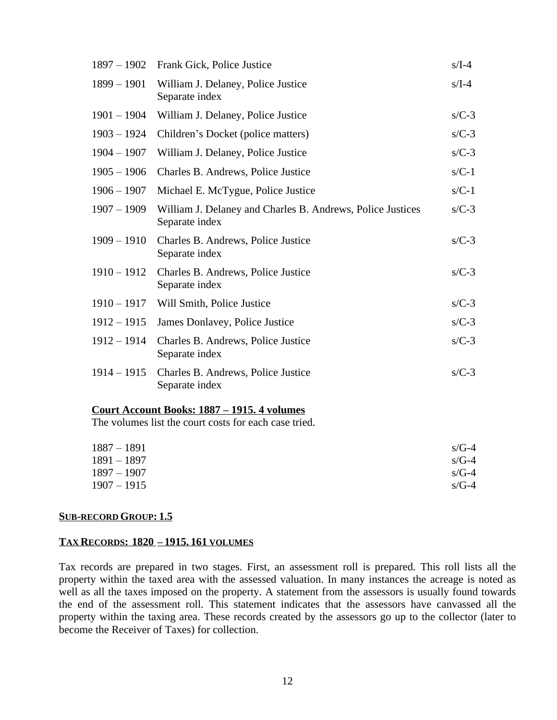| $1897 - 1902$ | Frank Gick, Police Justice                                                   | $s/I-4$ |
|---------------|------------------------------------------------------------------------------|---------|
| $1899 - 1901$ | William J. Delaney, Police Justice<br>Separate index                         | $s/I-4$ |
| $1901 - 1904$ | William J. Delaney, Police Justice                                           | $s/C-3$ |
| $1903 - 1924$ | Children's Docket (police matters)                                           | $s/C-3$ |
| $1904 - 1907$ | William J. Delaney, Police Justice                                           | $s/C-3$ |
| $1905 - 1906$ | Charles B. Andrews, Police Justice                                           | $s/C-1$ |
| $1906 - 1907$ | Michael E. McTygue, Police Justice                                           | $s/C-1$ |
| $1907 - 1909$ | William J. Delaney and Charles B. Andrews, Police Justices<br>Separate index | $s/C-3$ |
| $1909 - 1910$ | Charles B. Andrews, Police Justice<br>Separate index                         | $s/C-3$ |
| $1910 - 1912$ | Charles B. Andrews, Police Justice<br>Separate index                         | $s/C-3$ |
| $1910 - 1917$ | Will Smith, Police Justice                                                   | $s/C-3$ |
| $1912 - 1915$ | James Donlavey, Police Justice                                               | $s/C-3$ |
| $1912 - 1914$ | Charles B. Andrews, Police Justice<br>Separate index                         | $s/C-3$ |
| $1914 - 1915$ | Charles B. Andrews, Police Justice<br>Separate index                         | $s/C-3$ |
|               | <u>Court Account Books: 1887 - 1915. 4 volumes</u>                           |         |
|               | The volumes list the court costs for each case tried.                        |         |
|               |                                                                              |         |

| $1887 - 1891$ | $s/G-4$ |
|---------------|---------|
| $1891 - 1897$ | $s/G-4$ |
| $1897 - 1907$ | $s/G-4$ |
| $1907 - 1915$ | $s/G-4$ |
|               |         |

## **SUB-RECORD GROUP: 1.5**

## **TAX RECORDS: 1820 – 1915. 161 VOLUMES**

Tax records are prepared in two stages. First, an assessment roll is prepared. This roll lists all the property within the taxed area with the assessed valuation. In many instances the acreage is noted as well as all the taxes imposed on the property. A statement from the assessors is usually found towards the end of the assessment roll. This statement indicates that the assessors have canvassed all the property within the taxing area. These records created by the assessors go up to the collector (later to become the Receiver of Taxes) for collection.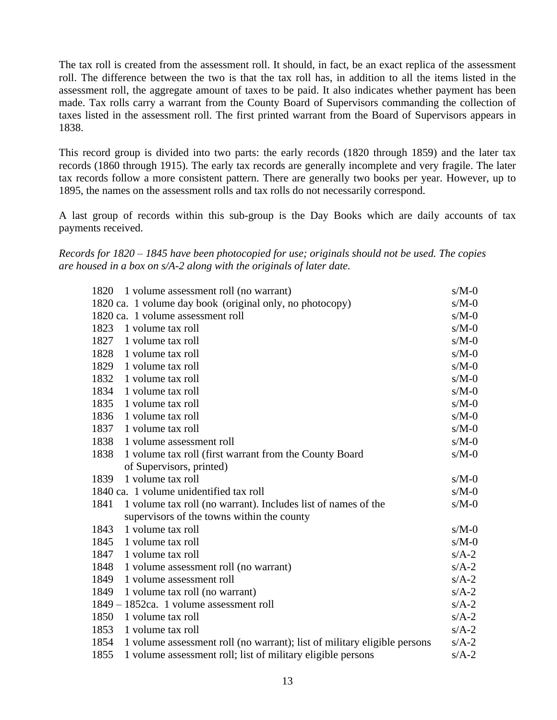The tax roll is created from the assessment roll. It should, in fact, be an exact replica of the assessment roll. The difference between the two is that the tax roll has, in addition to all the items listed in the assessment roll, the aggregate amount of taxes to be paid. It also indicates whether payment has been made. Tax rolls carry a warrant from the County Board of Supervisors commanding the collection of taxes listed in the assessment roll. The first printed warrant from the Board of Supervisors appears in 1838.

This record group is divided into two parts: the early records (1820 through 1859) and the later tax records (1860 through 1915). The early tax records are generally incomplete and very fragile. The later tax records follow a more consistent pattern. There are generally two books per year. However, up to 1895, the names on the assessment rolls and tax rolls do not necessarily correspond.

A last group of records within this sub-group is the Day Books which are daily accounts of tax payments received.

*Records for 1820 – 1845 have been photocopied for use; originals should not be used. The copies are housed in a box on s/A-2 along with the originals of later date.*

| 1820 1 volume assessment roll (no warrant)                                       | $s/M-0$ |
|----------------------------------------------------------------------------------|---------|
| 1820 ca. 1 volume day book (original only, no photocopy)                         | $s/M-0$ |
| 1820 ca. 1 volume assessment roll                                                | $s/M-0$ |
| 1823<br>1 volume tax roll                                                        | $s/M-0$ |
| 1827<br>1 volume tax roll                                                        | $s/M-0$ |
| 1828<br>1 volume tax roll                                                        | $s/M-0$ |
| 1829<br>1 volume tax roll                                                        | $s/M-0$ |
| 1832<br>1 volume tax roll                                                        | $s/M-0$ |
| 1834<br>1 volume tax roll                                                        | $s/M-0$ |
| 1835<br>1 volume tax roll                                                        | $s/M-0$ |
| 1836<br>1 volume tax roll                                                        | $s/M-0$ |
| 1837<br>1 volume tax roll                                                        | $s/M-0$ |
| 1838<br>1 volume assessment roll                                                 | $s/M-0$ |
| 1838<br>1 volume tax roll (first warrant from the County Board                   | $s/M-0$ |
| of Supervisors, printed)                                                         |         |
| 1 volume tax roll<br>1839                                                        | $s/M-0$ |
| 1840 ca. 1 volume unidentified tax roll                                          | $s/M-0$ |
| 1841<br>1 volume tax roll (no warrant). Includes list of names of the            | $s/M-0$ |
| supervisors of the towns within the county                                       |         |
| 1843<br>1 volume tax roll                                                        | $s/M-0$ |
| 1845<br>1 volume tax roll                                                        | $s/M-0$ |
| 1847<br>1 volume tax roll                                                        | $s/A-2$ |
| 1848<br>1 volume assessment roll (no warrant)                                    | $s/A-2$ |
| 1849<br>1 volume assessment roll                                                 | $s/A-2$ |
| 1849<br>1 volume tax roll (no warrant)                                           | $s/A-2$ |
| 1849 – 1852ca. 1 volume assessment roll                                          | $s/A-2$ |
| 1850<br>1 volume tax roll                                                        | $s/A-2$ |
| 1853<br>1 volume tax roll                                                        | $s/A-2$ |
| 1854<br>1 volume assessment roll (no warrant); list of military eligible persons | $s/A-2$ |
| 1855<br>1 volume assessment roll; list of military eligible persons              | $s/A-2$ |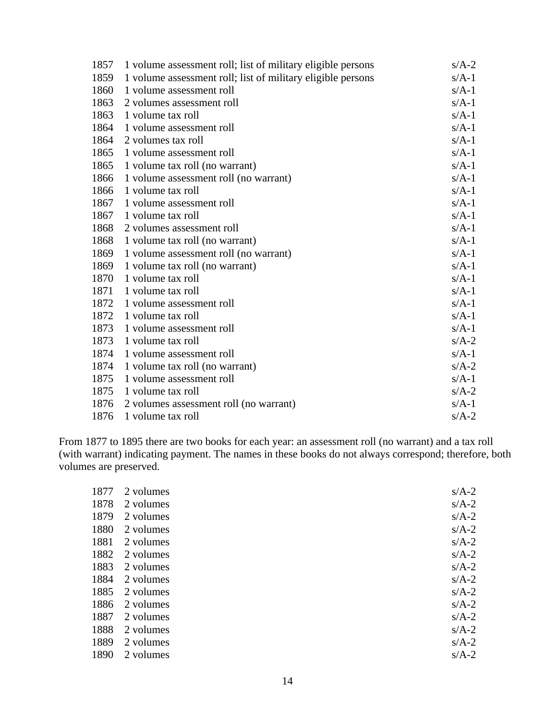| 1857 | 1 volume assessment roll; list of military eligible persons | $s/A-2$ |
|------|-------------------------------------------------------------|---------|
| 1859 | 1 volume assessment roll; list of military eligible persons | $s/A-1$ |
| 1860 | 1 volume assessment roll                                    | $s/A-1$ |
| 1863 | 2 volumes assessment roll                                   | $s/A-1$ |
| 1863 | 1 volume tax roll                                           | $s/A-1$ |
| 1864 | 1 volume assessment roll                                    | $s/A-1$ |
| 1864 | 2 volumes tax roll                                          | $s/A-1$ |
| 1865 | 1 volume assessment roll                                    | $s/A-1$ |
| 1865 | 1 volume tax roll (no warrant)                              | $s/A-1$ |
| 1866 | 1 volume assessment roll (no warrant)                       | $s/A-1$ |
| 1866 | 1 volume tax roll                                           | $s/A-1$ |
| 1867 | 1 volume assessment roll                                    | $s/A-1$ |
| 1867 | 1 volume tax roll                                           | $s/A-1$ |
| 1868 | 2 volumes assessment roll                                   | $s/A-1$ |
| 1868 | 1 volume tax roll (no warrant)                              | $s/A-1$ |
| 1869 | 1 volume assessment roll (no warrant)                       | $s/A-1$ |
| 1869 | 1 volume tax roll (no warrant)                              | $s/A-1$ |
| 1870 | 1 volume tax roll                                           | $s/A-1$ |
| 1871 | 1 volume tax roll                                           | $s/A-1$ |
| 1872 | 1 volume assessment roll                                    | $s/A-1$ |
| 1872 | 1 volume tax roll                                           | $s/A-1$ |
| 1873 | 1 volume assessment roll                                    | $s/A-1$ |
| 1873 | 1 volume tax roll                                           | $s/A-2$ |
| 1874 | 1 volume assessment roll                                    | $s/A-1$ |
| 1874 | 1 volume tax roll (no warrant)                              | $s/A-2$ |
| 1875 | 1 volume assessment roll                                    | $s/A-1$ |
| 1875 | 1 volume tax roll                                           | $s/A-2$ |
| 1876 | 2 volumes assessment roll (no warrant)                      | $s/A-1$ |
| 1876 | 1 volume tax roll                                           | $s/A-2$ |

From 1877 to 1895 there are two books for each year: an assessment roll (no warrant) and a tax roll (with warrant) indicating payment. The names in these books do not always correspond; therefore, both volumes are preserved.

| 1877 | 2 volumes | $s/A-2$ |
|------|-----------|---------|
| 1878 | 2 volumes | $s/A-2$ |
| 1879 | 2 volumes | $s/A-2$ |
| 1880 | 2 volumes | $s/A-2$ |
| 1881 | 2 volumes | $s/A-2$ |
| 1882 | 2 volumes | $s/A-2$ |
| 1883 | 2 volumes | $s/A-2$ |
| 1884 | 2 volumes | $s/A-2$ |
| 1885 | 2 volumes | $s/A-2$ |
| 1886 | 2 volumes | $s/A-2$ |
| 1887 | 2 volumes | $s/A-2$ |
| 1888 | 2 volumes | $s/A-2$ |
| 1889 | 2 volumes | $s/A-2$ |
| 1890 | 2 volumes | $s/A-2$ |
|      |           |         |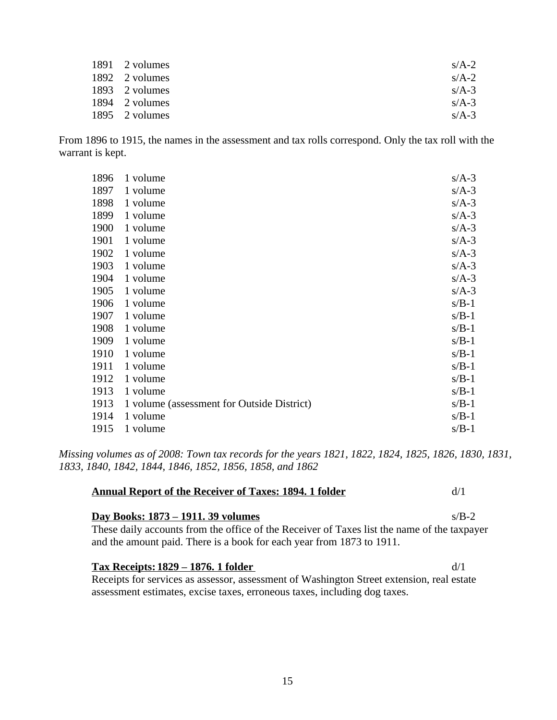| 1891 2 volumes | $s/A-2$ |
|----------------|---------|
| 1892 2 volumes | $s/A-2$ |
| 1893 2 volumes | $s/A-3$ |
| 1894 2 volumes | $s/A-3$ |
| 1895 2 volumes | $s/A-3$ |

From 1896 to 1915, the names in the assessment and tax rolls correspond. Only the tax roll with the warrant is kept.

| 1896 | 1 volume                                   | $s/A-3$ |
|------|--------------------------------------------|---------|
| 1897 | 1 volume                                   | $s/A-3$ |
| 1898 | 1 volume                                   | $s/A-3$ |
| 1899 | 1 volume                                   | $s/A-3$ |
| 1900 | 1 volume                                   | $s/A-3$ |
| 1901 | 1 volume                                   | $s/A-3$ |
| 1902 | 1 volume                                   | $s/A-3$ |
| 1903 | 1 volume                                   | $s/A-3$ |
| 1904 | 1 volume                                   | $s/A-3$ |
| 1905 | 1 volume                                   | $s/A-3$ |
| 1906 | 1 volume                                   | $s/B-1$ |
| 1907 | 1 volume                                   | $s/B-1$ |
| 1908 | 1 volume                                   | $s/B-1$ |
| 1909 | 1 volume                                   | $s/B-1$ |
| 1910 | 1 volume                                   | $s/B-1$ |
| 1911 | 1 volume                                   | $s/B-1$ |
| 1912 | 1 volume                                   | $s/B-1$ |
| 1913 | 1 volume                                   | $s/B-1$ |
| 1913 | 1 volume (assessment for Outside District) | $s/B-1$ |
| 1914 | 1 volume                                   | $s/B-1$ |
| 1915 | 1 volume                                   | $s/B-1$ |

*Missing volumes as of 2008: Town tax records for the years 1821, 1822, 1824, 1825, 1826, 1830, 1831, 1833, 1840, 1842, 1844, 1846, 1852, 1856, 1858, and 1862*

| <b>Annual Report of the Receiver of Taxes: 1894. 1 folder</b>                                                                                                                                                     | d/1     |
|-------------------------------------------------------------------------------------------------------------------------------------------------------------------------------------------------------------------|---------|
| <u>Day Books: 1873 – 1911. 39 volumes</u><br>These daily accounts from the office of the Receiver of Taxes list the name of the taxpayer<br>and the amount paid. There is a book for each year from 1873 to 1911. | $s/R-2$ |
| <u>Tax Receipts: 1829 – 1876. 1 folder</u><br>Receipts for services as assessor, assessment of Washington Street extension, real estate                                                                           | d/1     |

assessment estimates, excise taxes, erroneous taxes, including dog taxes.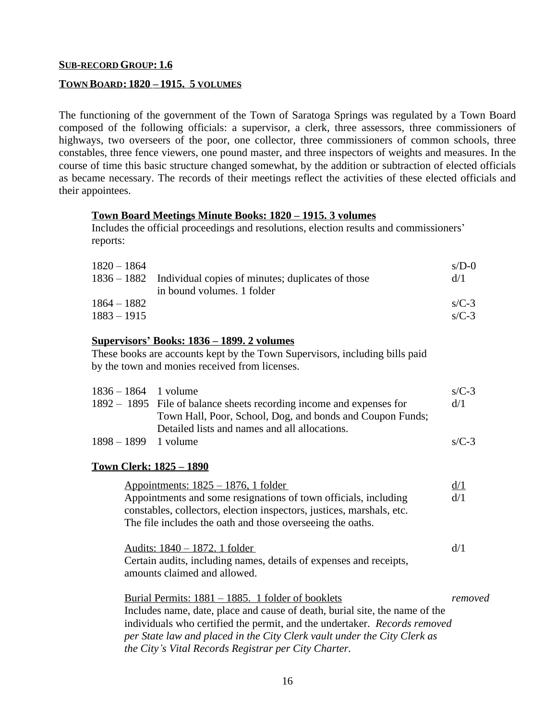# **SUB-RECORD GROUP: 1.6**

## **TOWN BOARD: 1820 – 1915. 5 VOLUMES**

The functioning of the government of the Town of Saratoga Springs was regulated by a Town Board composed of the following officials: a supervisor, a clerk, three assessors, three commissioners of highways, two overseers of the poor, one collector, three commissioners of common schools, three constables, three fence viewers, one pound master, and three inspectors of weights and measures. In the course of time this basic structure changed somewhat, by the addition or subtraction of elected officials as became necessary. The records of their meetings reflect the activities of these elected officials and their appointees.

### **Town Board Meetings Minute Books: 1820 – 1915. 3 volumes**

Includes the official proceedings and resolutions, election results and commissioners' reports:

| $1820 - 1864$ |                                                               | $s/D-0$ |
|---------------|---------------------------------------------------------------|---------|
|               | 1836 – 1882 Individual copies of minutes; duplicates of those | d/1     |
|               | in bound volumes. 1 folder                                    |         |
| 1864 – 1882   |                                                               | $s/C-3$ |
| $1883 - 1915$ |                                                               | $s/C-3$ |

#### **Supervisors' Books: 1836 – 1899. 2 volumes**

These books are accounts kept by the Town Supervisors, including bills paid by the town and monies received from licenses.

| $1836 - 1864$ 1 volume |                                                                      | $s/C-3$ |
|------------------------|----------------------------------------------------------------------|---------|
|                        | 1892 – 1895 File of balance sheets recording income and expenses for | d/1     |
|                        | Town Hall, Poor, School, Dog, and bonds and Coupon Funds;            |         |
|                        | Detailed lists and names and all allocations.                        |         |
| $1898 - 1899$ 1 volume |                                                                      | $s/C-3$ |
|                        |                                                                      |         |

#### **Town Clerk: 1825 – 1890**

| <u> Appointments: 1825 – 1876, 1 folder</u>                                 | d/1     |
|-----------------------------------------------------------------------------|---------|
| Appointments and some resignations of town officials, including             | d/1     |
| constables, collectors, election inspectors, justices, marshals, etc.       |         |
| The file includes the oath and those overseeing the oaths.                  |         |
|                                                                             |         |
| Audits: 1840 – 1872. 1 folder                                               | d/1     |
| Certain audits, including names, details of expenses and receipts,          |         |
| amounts claimed and allowed.                                                |         |
|                                                                             |         |
| Burial Permits: $1881 - 1885$ . 1 folder of booklets                        | removed |
| Includes name, date, place and cause of death, burial site, the name of the |         |
| individuals who certified the permit, and the undertaker. Records removed   |         |
| per State law and placed in the City Clerk vault under the City Clerk as    |         |
| the City's Vital Records Registrar per City Charter.                        |         |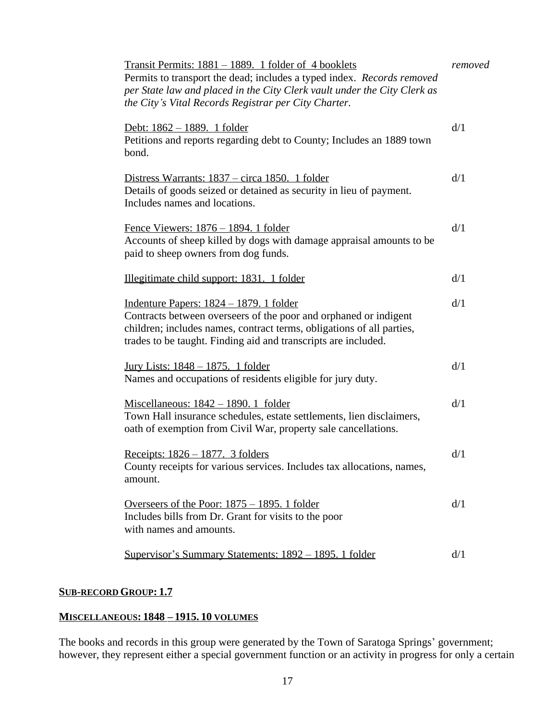| Transit Permits: 1881 - 1889. 1 folder of 4 booklets<br>Permits to transport the dead; includes a typed index. Records removed<br>per State law and placed in the City Clerk vault under the City Clerk as<br>the City's Vital Records Registrar per City Charter. | removed |
|--------------------------------------------------------------------------------------------------------------------------------------------------------------------------------------------------------------------------------------------------------------------|---------|
| Debt: 1862 - 1889. 1 folder<br>Petitions and reports regarding debt to County; Includes an 1889 town<br>bond.                                                                                                                                                      | d/1     |
| Distress Warrants: 1837 – circa 1850. 1 folder<br>Details of goods seized or detained as security in lieu of payment.<br>Includes names and locations.                                                                                                             | d/1     |
| <u>Fence Viewers: 1876 – 1894. 1 folder</u><br>Accounts of sheep killed by dogs with damage appraisal amounts to be<br>paid to sheep owners from dog funds.                                                                                                        | d/1     |
| Illegitimate child support: 1831. 1 folder                                                                                                                                                                                                                         | d/1     |
| <u> Indenture Papers: 1824 – 1879. 1 folder</u><br>Contracts between overseers of the poor and orphaned or indigent<br>children; includes names, contract terms, obligations of all parties,<br>trades to be taught. Finding aid and transcripts are included.     | d/1     |
| <u>Jury Lists: 1848 – 1875. 1 folder</u><br>Names and occupations of residents eligible for jury duty.                                                                                                                                                             | d/1     |
| Miscellaneous: $1842 - 1890$ . 1 folder<br>Town Hall insurance schedules, estate settlements, lien disclaimers,<br>oath of exemption from Civil War, property sale cancellations.                                                                                  | d/1     |
| Receipts: 1826 - 1877. 3 folders<br>County receipts for various services. Includes tax allocations, names,<br>amount.                                                                                                                                              | d/1     |
| Overseers of the Poor: $1875 - 1895$ . 1 folder<br>Includes bills from Dr. Grant for visits to the poor<br>with names and amounts.                                                                                                                                 | d/1     |
| Supervisor's Summary Statements: 1892 – 1895. 1 folder                                                                                                                                                                                                             | d/1     |
|                                                                                                                                                                                                                                                                    |         |

# **SUB-RECORD GROUP: 1.7**

# **MISCELLANEOUS: 1848 – 1915. 10 VOLUMES**

The books and records in this group were generated by the Town of Saratoga Springs' government; however, they represent either a special government function or an activity in progress for only a certain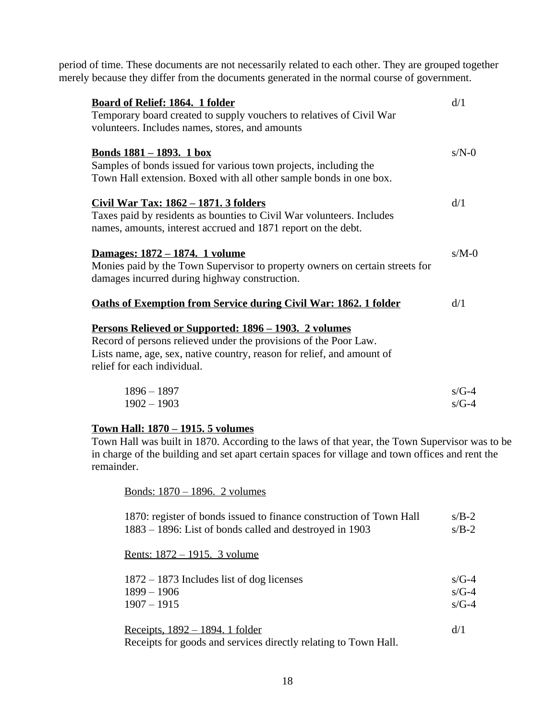period of time. These documents are not necessarily related to each other. They are grouped together merely because they differ from the documents generated in the normal course of government.

| <b>Board of Relief: 1864. 1 folder</b><br>Temporary board created to supply vouchers to relatives of Civil War<br>volunteers. Includes names, stores, and amounts                                           | d/1                |
|-------------------------------------------------------------------------------------------------------------------------------------------------------------------------------------------------------------|--------------------|
| Bonds 1881 – 1893. 1 box<br>Samples of bonds issued for various town projects, including the<br>Town Hall extension. Boxed with all other sample bonds in one box.                                          | $s/N-0$            |
| Civil War Tax: 1862 – 1871. 3 folders<br>Taxes paid by residents as bounties to Civil War volunteers. Includes<br>names, amounts, interest accrued and 1871 report on the debt.                             | d/1                |
| <u>Damages: 1872 – 1874. 1 volume</u><br>Monies paid by the Town Supervisor to property owners on certain streets for<br>damages incurred during highway construction.                                      | $s/M-0$            |
| <b>Oaths of Exemption from Service during Civil War: 1862. 1 folder</b><br><u>Persons Relieved or Supported: 1896 – 1903. 2 volumes</u><br>Record of persons relieved under the provisions of the Poor Law. | d/1                |
| Lists name, age, sex, native country, reason for relief, and amount of<br>relief for each individual.                                                                                                       |                    |
| $1896 - 1897$<br>$1902 - 1903$                                                                                                                                                                              | $s/G-4$<br>$s/G-4$ |

# **Town Hall: 1870 – 1915. 5 volumes**

Town Hall was built in 1870. According to the laws of that year, the Town Supervisor was to be in charge of the building and set apart certain spaces for village and town offices and rent the remainder.

Bonds: 1870 – 1896. 2 volumes

| 1870: register of bonds issued to finance construction of Town Hall | $s/B-2$ |
|---------------------------------------------------------------------|---------|
| 1883 – 1896: List of bonds called and destroyed in 1903             | $s/B-2$ |

Rents: 1872 – 1915. 3 volume

| $1872 - 1873$ Includes list of dog licenses | $s/G-4$ |
|---------------------------------------------|---------|
| 1899 – 1906                                 | $s/G-4$ |
| $1907 - 1915$                               | $s/G-4$ |

Receipts,  $1892 - 1894$ . 1 folder d/1 Receipts for goods and services directly relating to Town Hall.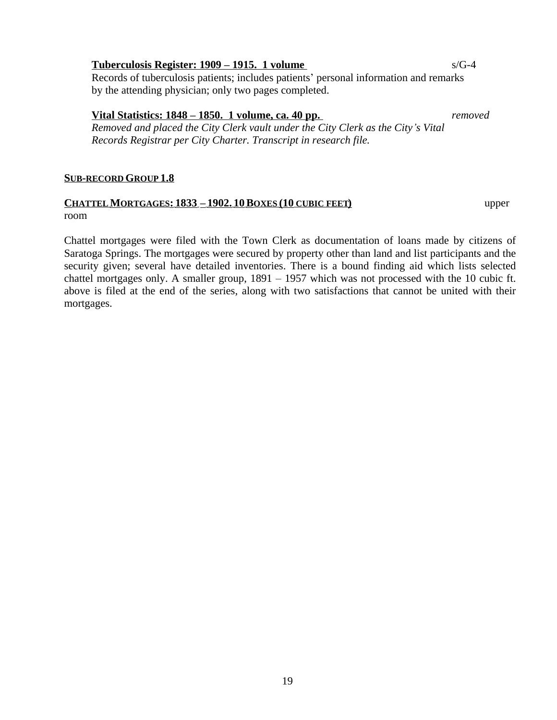# **Tuberculosis Register: 1909 – 1915. 1 volume** s/G-4

Records of tuberculosis patients; includes patients' personal information and remarks by the attending physician; only two pages completed.

# **Vital Statistics: 1848 – 1850. 1 volume, ca. 40 pp.** *removed*

*Removed and placed the City Clerk vault under the City Clerk as the City's Vital Records Registrar per City Charter. Transcript in research file.*

# **SUB-RECORD GROUP 1.8**

# **CHATTEL MORTGAGES: 1833 – 1902. 10BOXES (10 CUBIC FEET)** upper room

Chattel mortgages were filed with the Town Clerk as documentation of loans made by citizens of Saratoga Springs. The mortgages were secured by property other than land and list participants and the security given; several have detailed inventories. There is a bound finding aid which lists selected chattel mortgages only. A smaller group, 1891 – 1957 which was not processed with the 10 cubic ft. above is filed at the end of the series, along with two satisfactions that cannot be united with their mortgages.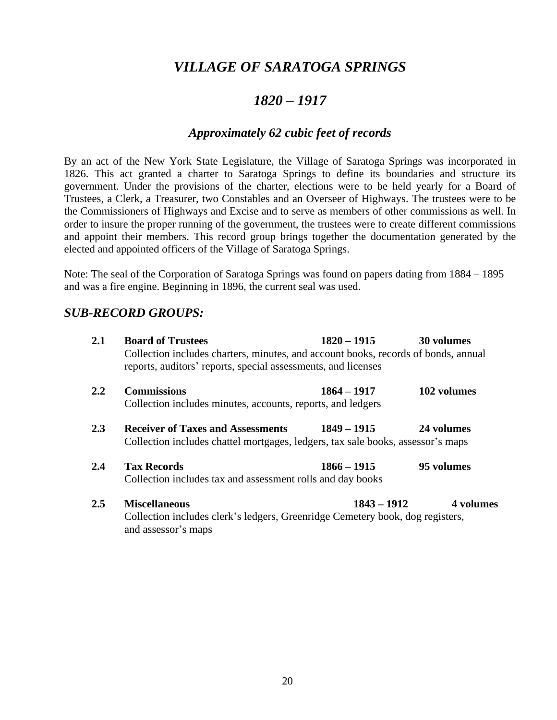# *VILLAGE OF SARATOGA SPRINGS*

# *1820 – 1917*

# *Approximately 62 cubic feet of records*

By an act of the New York State Legislature, the Village of Saratoga Springs was incorporated in 1826. This act granted a charter to Saratoga Springs to define its boundaries and structure its government. Under the provisions of the charter, elections were to be held yearly for a Board of Trustees, a Clerk, a Treasurer, two Constables and an Overseer of Highways. The trustees were to be the Commissioners of Highways and Excise and to serve as members of other commissions as well. In order to insure the proper running of the government, the trustees were to create different commissions and appoint their members. This record group brings together the documentation generated by the elected and appointed officers of the Village of Saratoga Springs.

Note: The seal of the Corporation of Saratoga Springs was found on papers dating from 1884 – 1895 and was a fire engine. Beginning in 1896, the current seal was used.

# *SUB-RECORD GROUPS:*

| 2.1     | <b>Board of Trustees</b><br>Collection includes charters, minutes, and account books, records of bonds, annual<br>reports, auditors' reports, special assessments, and licenses | 1820 – 1915   | 30 volumes  |
|---------|---------------------------------------------------------------------------------------------------------------------------------------------------------------------------------|---------------|-------------|
| $2.2\,$ | <b>Commissions</b><br>Collection includes minutes, accounts, reports, and ledgers                                                                                               | $1864 - 1917$ | 102 volumes |
| 2.3     | <b>Receiver of Taxes and Assessments</b><br>Collection includes chattel mortgages, ledgers, tax sale books, assessor's maps                                                     | $1849 - 1915$ | 24 volumes  |
| 2.4     | <b>Tax Records</b><br>Collection includes tax and assessment rolls and day books                                                                                                | $1866 - 1915$ | 95 volumes  |
| $2.5\,$ | <b>Miscellaneous</b><br>Collection includes clerk's ledgers, Greenridge Cemetery book, dog registers,<br>and assessor's maps                                                    | $1843 - 1912$ | 4 volumes   |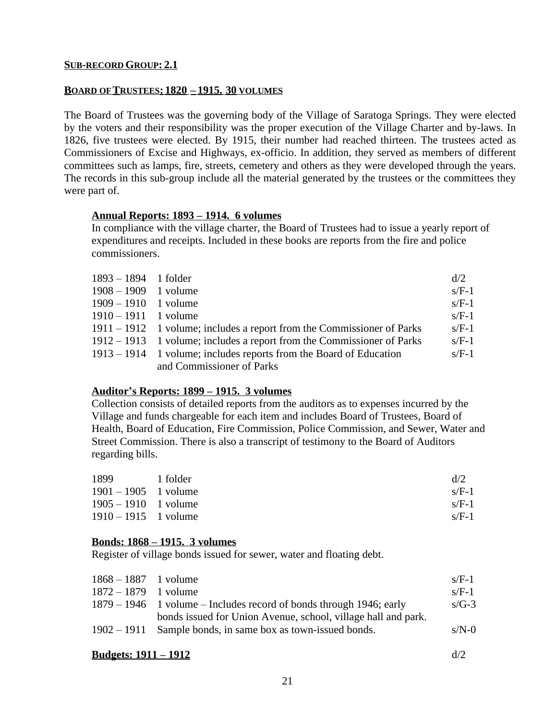# **BOARD OF TRUSTEES: 1820 – 1915. 30 VOLUMES**

The Board of Trustees was the governing body of the Village of Saratoga Springs. They were elected by the voters and their responsibility was the proper execution of the Village Charter and by-laws. In 1826, five trustees were elected. By 1915, their number had reached thirteen. The trustees acted as Commissioners of Excise and Highways, ex-officio. In addition, they served as members of different committees such as lamps, fire, streets, cemetery and others as they were developed through the years. The records in this sub-group include all the material generated by the trustees or the committees they were part of.

# **Annual Reports: 1893 – 1914. 6 volumes**

In compliance with the village charter, the Board of Trustees had to issue a yearly report of expenditures and receipts. Included in these books are reports from the fire and police commissioners.

| $1893 - 1894$ 1 folder |                                                                        | d/2     |
|------------------------|------------------------------------------------------------------------|---------|
| $1908 - 1909$ 1 volume |                                                                        | $s/F-1$ |
| $1909 - 1910$ 1 volume |                                                                        | $s/F-1$ |
| $1910 - 1911$ 1 volume |                                                                        | $s/F-1$ |
|                        | 1911 – 1912 1 volume; includes a report from the Commissioner of Parks | $s/F-1$ |
|                        | 1912 – 1913 1 volume; includes a report from the Commissioner of Parks | $s/F-1$ |
|                        | 1913 – 1914 1 volume; includes reports from the Board of Education     | $s/F-1$ |
|                        | and Commissioner of Parks                                              |         |

# **Auditor's Reports: 1899 – 1915. 3 volumes**

Collection consists of detailed reports from the auditors as to expenses incurred by the Village and funds chargeable for each item and includes Board of Trustees, Board of Health, Board of Education, Fire Commission, Police Commission, and Sewer, Water and Street Commission. There is also a transcript of testimony to the Board of Auditors regarding bills.

| 1899                   | 1 folder | d/2     |
|------------------------|----------|---------|
| $1901 - 1905$ 1 volume |          | $s/F-1$ |
| $1905 - 1910$ 1 volume |          | $s/F-1$ |
| $1910 - 1915$ 1 volume |          | $s/F-1$ |

# **Bonds: 1868 – 1915. 3 volumes**

Register of village bonds issued for sewer, water and floating debt.

| $1868 - 1887$ 1 volume |                                                                     | $s/F-1$ |
|------------------------|---------------------------------------------------------------------|---------|
| $1872 - 1879$ 1 volume |                                                                     | $s/F-1$ |
|                        | 1879 – 1946 1 volume – Includes record of bonds through 1946; early | $s/G-3$ |
|                        | bonds issued for Union Avenue, school, village hall and park.       |         |
|                        | 1902 – 1911 Sample bonds, in same box as town-issued bonds.         | $s/N-0$ |
|                        |                                                                     |         |

#### **Budgets: 1911 – 1912** d/2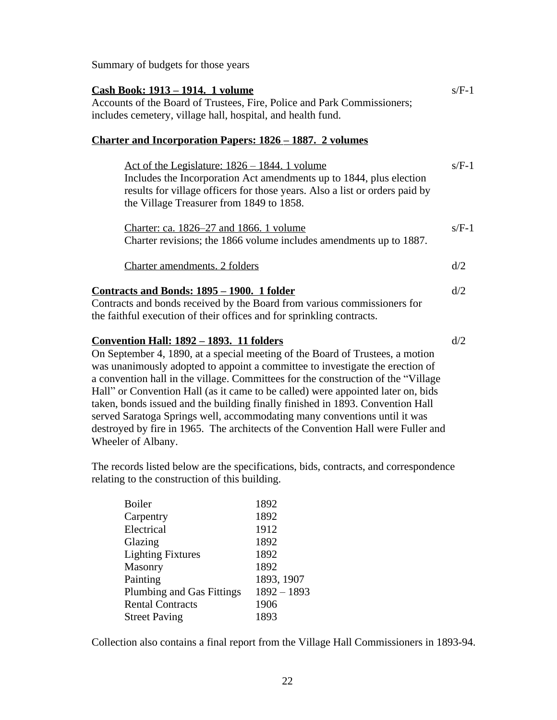Summary of budgets for those years

| <u> Cash Book: 1913 – 1914. 1 volume</u><br>Accounts of the Board of Trustees, Fire, Police and Park Commissioners;<br>includes cemetery, village hall, hospital, and health fund.                                                                                                                                                                                                                                                                                                                                                                                |         |
|-------------------------------------------------------------------------------------------------------------------------------------------------------------------------------------------------------------------------------------------------------------------------------------------------------------------------------------------------------------------------------------------------------------------------------------------------------------------------------------------------------------------------------------------------------------------|---------|
| <u>Charter and Incorporation Papers: 1826 – 1887. 2 volumes</u>                                                                                                                                                                                                                                                                                                                                                                                                                                                                                                   |         |
| <u>Act of the Legislature: 1826 – 1844. 1 volume</u><br>Includes the Incorporation Act amendments up to 1844, plus election<br>results for village officers for those years. Also a list or orders paid by<br>the Village Treasurer from 1849 to 1858.                                                                                                                                                                                                                                                                                                            | $s/F-1$ |
| Charter: ca. 1826–27 and 1866. 1 volume<br>Charter revisions; the 1866 volume includes amendments up to 1887.                                                                                                                                                                                                                                                                                                                                                                                                                                                     | $s/F-1$ |
| Charter amendments. 2 folders                                                                                                                                                                                                                                                                                                                                                                                                                                                                                                                                     | d/2     |
| Contracts and Bonds: 1895 – 1900. 1 folder<br>Contracts and bonds received by the Board from various commissioners for<br>the faithful execution of their offices and for sprinkling contracts.                                                                                                                                                                                                                                                                                                                                                                   | d/2     |
| <u><b>Convention Hall: 1892 – 1893. 11 folders</b></u><br>On September 4, 1890, at a special meeting of the Board of Trustees, a motion<br>was unanimously adopted to appoint a committee to investigate the erection of<br>a convention hall in the village. Committees for the construction of the "Village"<br>Hall" or Convention Hall (as it came to be called) were appointed later on, bids<br>taken, bonds issued and the building finally finished in 1893. Convention Hall<br>served Saratoga Springs well, accommodating many conventions until it was | d/2     |

The records listed below are the specifications, bids, contracts, and correspondence relating to the construction of this building.

destroyed by fire in 1965. The architects of the Convention Hall were Fuller and

| <b>Boiler</b>                    | 1892          |
|----------------------------------|---------------|
| Carpentry                        | 1892          |
| Electrical                       | 1912          |
| Glazing                          | 1892          |
| <b>Lighting Fixtures</b>         | 1892          |
| Masonry                          | 1892          |
| Painting                         | 1893, 1907    |
| <b>Plumbing and Gas Fittings</b> | $1892 - 1893$ |
| <b>Rental Contracts</b>          | 1906          |
| <b>Street Paving</b>             | 1893          |
|                                  |               |

Wheeler of Albany.

Collection also contains a final report from the Village Hall Commissioners in 1893-94.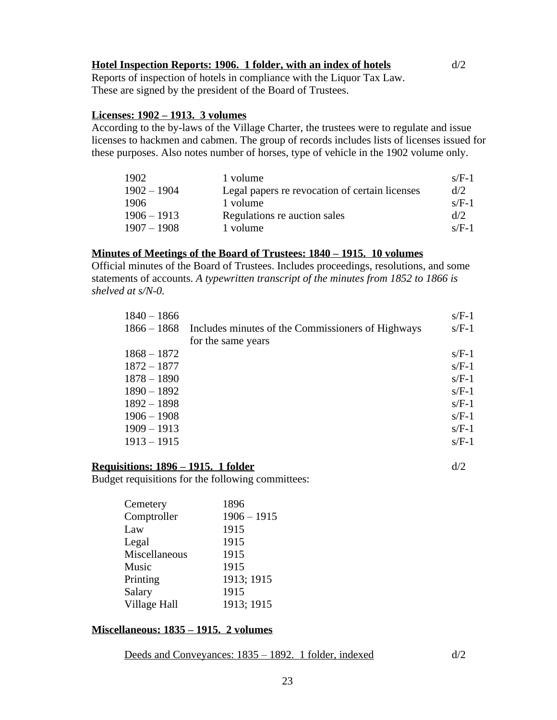# **Hotel Inspection Reports: 1906. 1 folder, with an index of hotels** d/2

Reports of inspection of hotels in compliance with the Liquor Tax Law. These are signed by the president of the Board of Trustees.

## **Licenses: 1902 – 1913. 3 volumes**

According to the by-laws of the Village Charter, the trustees were to regulate and issue licenses to hackmen and cabmen. The group of records includes lists of licenses issued for these purposes. Also notes number of horses, type of vehicle in the 1902 volume only.

| 1902          | 1 volume                                       | $s/F-1$ |
|---------------|------------------------------------------------|---------|
| $1902 - 1904$ | Legal papers re revocation of certain licenses | d/2     |
| 1906          | 1 volume                                       | $s/F-1$ |
| $1906 - 1913$ | Regulations re auction sales                   | d/2     |
| $1907 - 1908$ | 1 volume                                       | $s/F-1$ |

# **Minutes of Meetings of the Board of Trustees: 1840 – 1915. 10 volumes**

Official minutes of the Board of Trustees. Includes proceedings, resolutions, and some statements of accounts. *A typewritten transcript of the minutes from 1852 to 1866 is shelved at s/N-0.*

| $1840 - 1866$ |                                                   | $s/F-1$ |
|---------------|---------------------------------------------------|---------|
| $1866 - 1868$ | Includes minutes of the Commissioners of Highways | $s/F-1$ |
|               | for the same years                                |         |
| $1868 - 1872$ |                                                   | $s/F-1$ |
| $1872 - 1877$ |                                                   | $s/F-1$ |
| $1878 - 1890$ |                                                   | $s/F-1$ |
| $1890 - 1892$ |                                                   | $s/F-1$ |
| $1892 - 1898$ |                                                   | $s/F-1$ |
| $1906 - 1908$ |                                                   | $s/F-1$ |
| $1909 - 1913$ |                                                   | $s/F-1$ |
| $1913 - 1915$ |                                                   | $s/F-1$ |
|               |                                                   |         |

# **Requisitions: 1896 – 1915. 1 folder** d/2

Budget requisitions for the following committees:

| Cemetery      | 1896          |
|---------------|---------------|
| Comptroller   | $1906 - 1915$ |
| Law           | 1915          |
| Legal         | 1915          |
| Miscellaneous | 1915          |
| Music         | 1915          |
| Printing      | 1913; 1915    |
| Salary        | 1915          |
| Village Hall  | 1913; 1915    |
|               |               |

# **Miscellaneous: 1835 – 1915. 2 volumes**

Deeds and Conveyances: 1835 – 1892. 1 folder, indexed d/2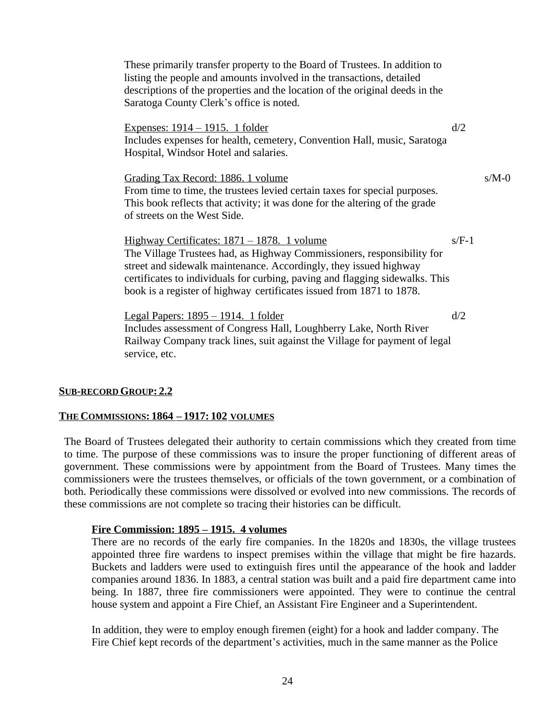| These primarily transfer property to the Board of Trustees. In addition to<br>listing the people and amounts involved in the transactions, detailed<br>descriptions of the properties and the location of the original deeds in the<br>Saratoga County Clerk's office is noted.                                                                            |         |         |
|------------------------------------------------------------------------------------------------------------------------------------------------------------------------------------------------------------------------------------------------------------------------------------------------------------------------------------------------------------|---------|---------|
| <u>Expenses: 1914 – 1915. 1 folder</u><br>Includes expenses for health, cemetery, Convention Hall, music, Saratoga<br>Hospital, Windsor Hotel and salaries.                                                                                                                                                                                                | d/2     |         |
| Grading Tax Record: 1886. 1 volume<br>From time to time, the trustees levied certain taxes for special purposes.<br>This book reflects that activity; it was done for the altering of the grade<br>of streets on the West Side.                                                                                                                            |         | $s/M-0$ |
| <u> Highway Certificates: 1871 – 1878. 1 volume</u><br>The Village Trustees had, as Highway Commissioners, responsibility for<br>street and sidewalk maintenance. Accordingly, they issued highway<br>certificates to individuals for curbing, paving and flagging sidewalks. This<br>book is a register of highway certificates issued from 1871 to 1878. | $s/F-1$ |         |
| <u> Legal Papers: 1895 – 1914. 1 folder</u><br>Includes assessment of Congress Hall, Loughberry Lake, North River<br>Railway Company track lines, suit against the Village for payment of legal<br>service, etc.                                                                                                                                           | d/2     |         |

### **SUB-RECORD GROUP: 2.2**

#### **THE COMMISSIONS: 1864 – 1917: 102 VOLUMES**

The Board of Trustees delegated their authority to certain commissions which they created from time to time. The purpose of these commissions was to insure the proper functioning of different areas of government. These commissions were by appointment from the Board of Trustees. Many times the commissioners were the trustees themselves, or officials of the town government, or a combination of both. Periodically these commissions were dissolved or evolved into new commissions. The records of these commissions are not complete so tracing their histories can be difficult.

#### **Fire Commission: 1895 – 1915. 4 volumes**

There are no records of the early fire companies. In the 1820s and 1830s, the village trustees appointed three fire wardens to inspect premises within the village that might be fire hazards. Buckets and ladders were used to extinguish fires until the appearance of the hook and ladder companies around 1836. In 1883, a central station was built and a paid fire department came into being. In 1887, three fire commissioners were appointed. They were to continue the central house system and appoint a Fire Chief, an Assistant Fire Engineer and a Superintendent.

In addition, they were to employ enough firemen (eight) for a hook and ladder company. The Fire Chief kept records of the department's activities, much in the same manner as the Police

24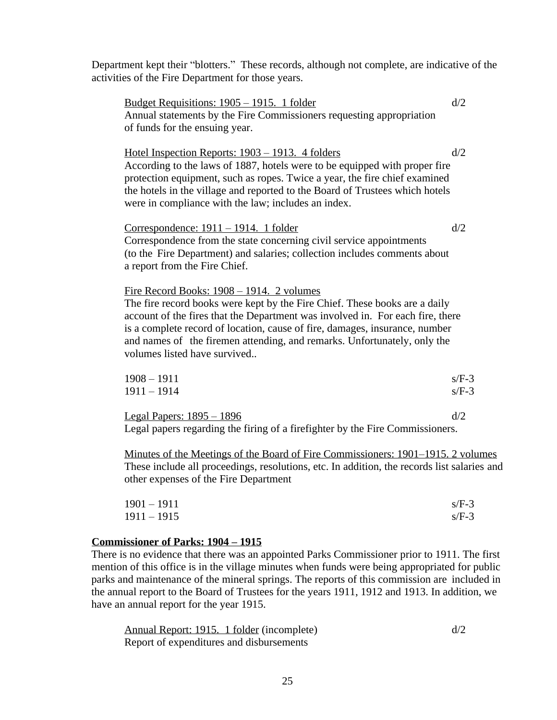Department kept their "blotters." These records, although not complete, are indicative of the activities of the Fire Department for those years.

Budget Requisitions:  $1905 - 1915$ . 1 folder d/2 Annual statements by the Fire Commissioners requesting appropriation of funds for the ensuing year. Hotel Inspection Reports:  $1903 - 1913$ . 4 folders d/2 According to the laws of 1887, hotels were to be equipped with proper fire protection equipment, such as ropes. Twice a year, the fire chief examined the hotels in the village and reported to the Board of Trustees which hotels were in compliance with the law; includes an index.  $Correspondence: 1911 - 1914. 1 folder$  d/2 Correspondence from the state concerning civil service appointments (to the Fire Department) and salaries; collection includes comments about a report from the Fire Chief. Fire Record Books: 1908 – 1914. 2 volumes The fire record books were kept by the Fire Chief. These books are a daily account of the fires that the Department was involved in. For each fire, there is a complete record of location, cause of fire, damages, insurance, number and names of the firemen attending, and remarks. Unfortunately, only the volumes listed have survived..  $1908 - 1911$  s/F-3  $1911 - 1914$  s/F-3 Legal Papers:  $1895 - 1896$  d/2 Legal papers regarding the firing of a firefighter by the Fire Commissioners. Minutes of the Meetings of the Board of Fire Commissioners: 1901–1915. 2 volumes These include all proceedings, resolutions, etc. In addition, the records list salaries and

| $1901 - 1911$ | $s/F-3$ |
|---------------|---------|
| $1911 - 1915$ | $s/F-3$ |

# **Commissioner of Parks: 1904 – 1915**

other expenses of the Fire Department

There is no evidence that there was an appointed Parks Commissioner prior to 1911. The first mention of this office is in the village minutes when funds were being appropriated for public parks and maintenance of the mineral springs. The reports of this commission are included in the annual report to the Board of Trustees for the years 1911, 1912 and 1913. In addition, we have an annual report for the year 1915.

| Annual Report: 1915. 1 folder (incomplete) | d/2 |
|--------------------------------------------|-----|
| Report of expenditures and disbursements   |     |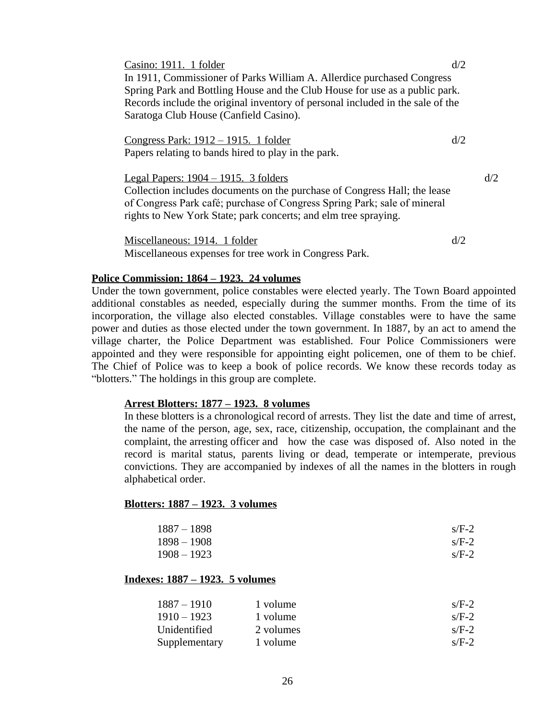| Casino: 1911. 1 folder                                                         | d/2 |
|--------------------------------------------------------------------------------|-----|
| In 1911, Commissioner of Parks William A. Allerdice purchased Congress         |     |
| Spring Park and Bottling House and the Club House for use as a public park.    |     |
| Records include the original inventory of personal included in the sale of the |     |
| Saratoga Club House (Canfield Casino).                                         |     |
|                                                                                |     |
| <u>Congress Park: 1912 – 1915. 1 folder</u>                                    | d/2 |
| Papers relating to bands hired to play in the park.                            |     |
|                                                                                |     |
| Legal Papers: $1904 - 1915$ . 3 folders                                        | d/2 |
| Collection includes documents on the purchase of Congress Hall; the lease      |     |
| of Congress Park café; purchase of Congress Spring Park; sale of mineral       |     |
| rights to New York State; park concerts; and elm tree spraying.                |     |
|                                                                                |     |
|                                                                                |     |

Miscellaneous: 1914. 1 folder  $d/2$ Miscellaneous expenses for tree work in Congress Park.

#### **Police Commission: 1864 – 1923. 24 volumes**

Under the town government, police constables were elected yearly. The Town Board appointed additional constables as needed, especially during the summer months. From the time of its incorporation, the village also elected constables. Village constables were to have the same power and duties as those elected under the town government. In 1887, by an act to amend the village charter, the Police Department was established. Four Police Commissioners were appointed and they were responsible for appointing eight policemen, one of them to be chief. The Chief of Police was to keep a book of police records. We know these records today as "blotters." The holdings in this group are complete.

#### **Arrest Blotters: 1877 – 1923. 8 volumes**

In these blotters is a chronological record of arrests. They list the date and time of arrest, the name of the person, age, sex, race, citizenship, occupation, the complainant and the complaint, the arresting officer and how the case was disposed of. Also noted in the record is marital status, parents living or dead, temperate or intemperate, previous convictions. They are accompanied by indexes of all the names in the blotters in rough alphabetical order.

#### **Blotters: 1887 – 1923. 3 volumes**

| $1887 - 1898$ | $s/F-2$ |
|---------------|---------|
| $1898 - 1908$ | $s/F-2$ |
| $1908 - 1923$ | $s/F-2$ |

#### **Indexes: 1887 – 1923. 5 volumes**

| $1887 - 1910$ | 1 volume  | $s/F-2$ |
|---------------|-----------|---------|
| $1910 - 1923$ | 1 volume  | $s/F-2$ |
| Unidentified  | 2 volumes | $s/F-2$ |
| Supplementary | 1 volume  | $s/F-2$ |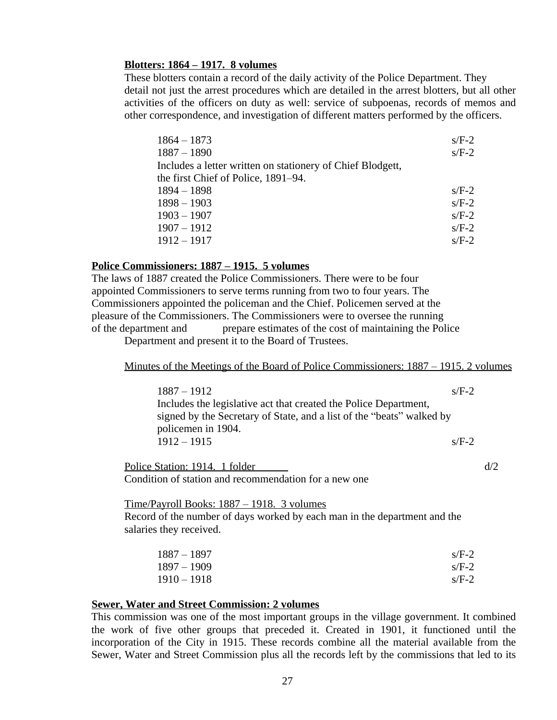## **Blotters: 1864 – 1917. 8 volumes**

These blotters contain a record of the daily activity of the Police Department. They detail not just the arrest procedures which are detailed in the arrest blotters, but all other activities of the officers on duty as well: service of subpoenas, records of memos and other correspondence, and investigation of different matters performed by the officers.

| $1864 - 1873$                                              | $s/F-2$ |
|------------------------------------------------------------|---------|
| $1887 - 1890$                                              | $s/F-2$ |
| Includes a letter written on stationery of Chief Blodgett, |         |
| the first Chief of Police, 1891–94.                        |         |
| $1894 - 1898$                                              | $s/F-2$ |
| $1898 - 1903$                                              | $s/F-2$ |
| $1903 - 1907$                                              | $s/F-2$ |
| $1907 - 1912$                                              | $s/F-2$ |
| $1912 - 1917$                                              | $s/F-2$ |

# **Police Commissioners: 1887 – 1915. 5 volumes**

The laws of 1887 created the Police Commissioners. There were to be four appointed Commissioners to serve terms running from two to four years. The Commissioners appointed the policeman and the Chief. Policemen served at the pleasure of the Commissioners. The Commissioners were to oversee the running of the department and prepare estimates of the cost of maintaining the Police

Department and present it to the Board of Trustees.

#### Minutes of the Meetings of the Board of Police Commissioners: 1887 – 1915. 2 volumes

| $1887 - 1912$                                                         | $s/F-2$ |
|-----------------------------------------------------------------------|---------|
| Includes the legislative act that created the Police Department,      |         |
| signed by the Secretary of State, and a list of the "beats" walked by |         |
| policemen in 1904.                                                    |         |
| $1912 - 1915$                                                         | $s/F-2$ |
|                                                                       |         |

Police Station: 1914. 1 folder  $d/2$ Condition of station and recommendation for a new one

#### Time/Payroll Books: 1887 – 1918. 3 volumes

Record of the number of days worked by each man in the department and the salaries they received.

| $1887 - 1897$ | $s/F-2$ |
|---------------|---------|
| $1897 - 1909$ | $s/F-2$ |
| $1910 - 1918$ | $s/F-2$ |

#### **Sewer, Water and Street Commission: 2 volumes**

This commission was one of the most important groups in the village government. It combined the work of five other groups that preceded it. Created in 1901, it functioned until the incorporation of the City in 1915. These records combine all the material available from the Sewer, Water and Street Commission plus all the records left by the commissions that led to its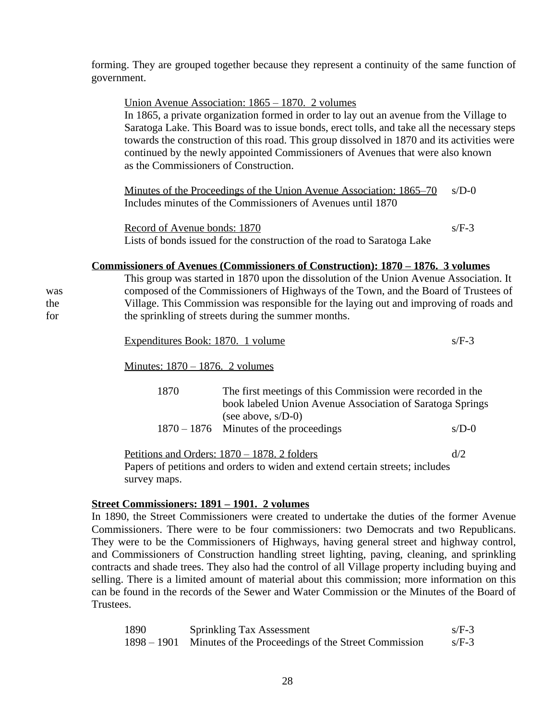forming. They are grouped together because they represent a continuity of the same function of government.

|                   | Union Avenue Association: 1865 – 1870. 2 volumes<br>In 1865, a private organization formed in order to lay out an avenue from the Village to<br>Saratoga Lake. This Board was to issue bonds, erect tolls, and take all the necessary steps<br>towards the construction of this road. This group dissolved in 1870 and its activities were<br>continued by the newly appointed Commissioners of Avenues that were also known<br>as the Commissioners of Construction. |         |
|-------------------|-----------------------------------------------------------------------------------------------------------------------------------------------------------------------------------------------------------------------------------------------------------------------------------------------------------------------------------------------------------------------------------------------------------------------------------------------------------------------|---------|
|                   | <u>Minutes of the Proceedings of the Union Avenue Association: 1865–70</u><br>Includes minutes of the Commissioners of Avenues until 1870                                                                                                                                                                                                                                                                                                                             | $s/D-0$ |
|                   | Record of Avenue bonds: 1870<br>Lists of bonds issued for the construction of the road to Saratoga Lake                                                                                                                                                                                                                                                                                                                                                               | $s/F-3$ |
| was<br>the<br>for | Commissioners of Avenues (Commissioners of Construction): 1870 – 1876. 3 volumes<br>This group was started in 1870 upon the dissolution of the Union Avenue Association. It<br>composed of the Commissioners of Highways of the Town, and the Board of Trustees of<br>Village. This Commission was responsible for the laying out and improving of roads and<br>the sprinkling of streets during the summer months.                                                   |         |

| Expenditures Book: 1870. 1 volume |  |
|-----------------------------------|--|
|                                   |  |

Minutes: 1870 – 1876. 2 volumes

| 1870 | The first meetings of this Commission were recorded in the |         |
|------|------------------------------------------------------------|---------|
|      | book labeled Union Avenue Association of Saratoga Springs  |         |
|      | (see above, $s/D-0$ )                                      |         |
|      | $1870 - 1876$ Minutes of the proceedings                   | $s/D-0$ |

Petitions and Orders:  $1870 - 1878$ . 2 folders d/2 Papers of petitions and orders to widen and extend certain streets; includes survey maps.

#### **Street Commissioners: 1891 – 1901. 2 volumes**

In 1890, the Street Commissioners were created to undertake the duties of the former Avenue Commissioners. There were to be four commissioners: two Democrats and two Republicans. They were to be the Commissioners of Highways, having general street and highway control, and Commissioners of Construction handling street lighting, paving, cleaning, and sprinkling contracts and shade trees. They also had the control of all Village property including buying and selling. There is a limited amount of material about this commission; more information on this can be found in the records of the Sewer and Water Commission or the Minutes of the Board of Trustees.

| 1890 | <b>Sprinkling Tax Assessment</b>                                | $s/F-3$ |
|------|-----------------------------------------------------------------|---------|
|      | 1898 – 1901 Minutes of the Proceedings of the Street Commission | $s/F-3$ |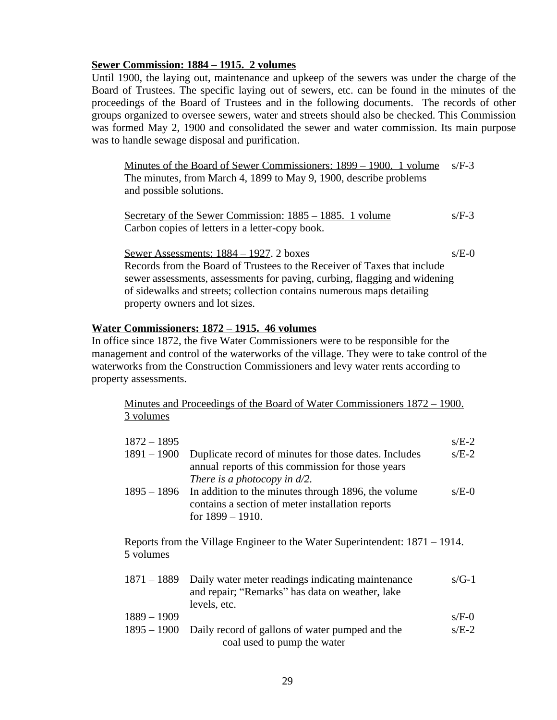# **Sewer Commission: 1884 – 1915. 2 volumes**

Until 1900, the laying out, maintenance and upkeep of the sewers was under the charge of the Board of Trustees. The specific laying out of sewers, etc. can be found in the minutes of the proceedings of the Board of Trustees and in the following documents. The records of other groups organized to oversee sewers, water and streets should also be checked. This Commission was formed May 2, 1900 and consolidated the sewer and water commission. Its main purpose was to handle sewage disposal and purification.

Minutes of the Board of Sewer Commissioners: 1899 – 1900. 1 volume s/F-3 The minutes, from March 4, 1899 to May 9, 1900, describe problems and possible solutions.

Secretary of the Sewer Commission: 1885 – 1885. 1 volume s/F-3 Carbon copies of letters in a letter-copy book.

Sewer Assessments:  $1884 - 1927$ . 2 boxes s/E-0 Records from the Board of Trustees to the Receiver of Taxes that include sewer assessments, assessments for paving, curbing, flagging and widening of sidewalks and streets; collection contains numerous maps detailing property owners and lot sizes.

# **Water Commissioners: 1872 – 1915. 46 volumes**

In office since 1872, the five Water Commissioners were to be responsible for the management and control of the waterworks of the village. They were to take control of the waterworks from the Construction Commissioners and levy water rents according to property assessments.

Minutes and Proceedings of the Board of Water Commissioners 1872 – 1900. 3 volumes

| $1872 - 1895$ |                                                                                                                                               | $s/E-2$ |
|---------------|-----------------------------------------------------------------------------------------------------------------------------------------------|---------|
| $1891 - 1900$ | Duplicate record of minutes for those dates. Includes<br>annual reports of this commission for those years<br>There is a photocopy in $d/2$ . | $s/E-2$ |
| $1895 - 1896$ | In addition to the minutes through 1896, the volume<br>contains a section of meter installation reports<br>for $1899 - 1910$ .                | $s/E-0$ |
| 5 volumes     | <u>Reports from the Village Engineer to the Water Superintendent: 1871 – 1914.</u>                                                            |         |
| $1871 - 1889$ | Daily water meter readings indicating maintenance<br>and repair; "Remarks" has data on weather, lake<br>levels, etc.                          | $s/G-1$ |
| $1889 - 1909$ |                                                                                                                                               | $s/F-0$ |
| $1895 - 1900$ | Daily record of gallons of water pumped and the<br>coal used to pump the water                                                                | $s/E-2$ |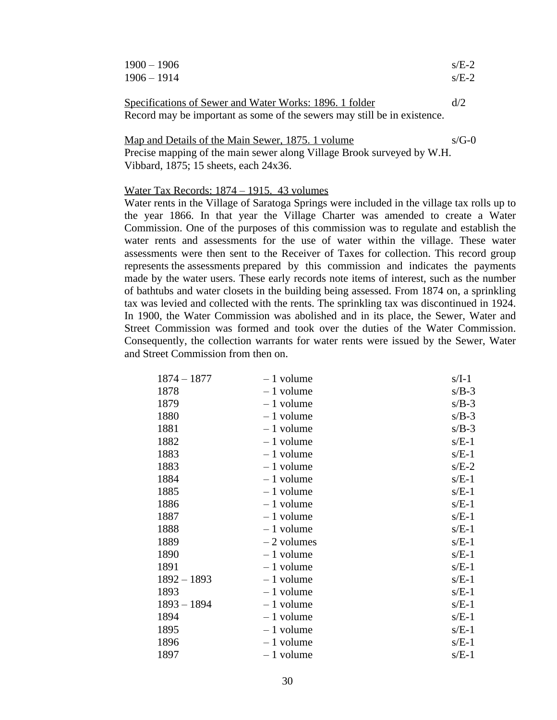| $1900 - 1906$ | $s/E-2$ |
|---------------|---------|
| $1906 - 1914$ | $s/E-2$ |
|               |         |

| Specifications of Sewer and Water Works: 1896. 1 folder                  | d/2 |
|--------------------------------------------------------------------------|-----|
| Record may be important as some of the sewers may still be in existence. |     |

Map and Details of the Main Sewer, 1875. 1 volume s/G-0 Precise mapping of the main sewer along Village Brook surveyed by W.H. Vibbard, 1875; 15 sheets, each 24x36.

# Water Tax Records: 1874 – 1915. 43 volumes

Water rents in the Village of Saratoga Springs were included in the village tax rolls up to the year 1866. In that year the Village Charter was amended to create a Water Commission. One of the purposes of this commission was to regulate and establish the water rents and assessments for the use of water within the village. These water assessments were then sent to the Receiver of Taxes for collection. This record group represents the assessments prepared by this commission and indicates the payments made by the water users. These early records note items of interest, such as the number of bathtubs and water closets in the building being assessed. From 1874 on, a sprinkling tax was levied and collected with the rents. The sprinkling tax was discontinued in 1924. In 1900, the Water Commission was abolished and in its place, the Sewer, Water and Street Commission was formed and took over the duties of the Water Commission. Consequently, the collection warrants for water rents were issued by the Sewer, Water and Street Commission from then on.

| $1874 - 1877$ | $-1$ volume  | $s/I-1$ |
|---------------|--------------|---------|
| 1878          | $-1$ volume  | $s/B-3$ |
| 1879          | $-1$ volume  | $s/B-3$ |
| 1880          | $-1$ volume  | $s/B-3$ |
| 1881          | $-1$ volume  | $s/B-3$ |
| 1882          | $-1$ volume  | $s/E-1$ |
| 1883          | $-1$ volume  | $s/E-1$ |
| 1883          | $-1$ volume  | $s/E-2$ |
| 1884          | $-1$ volume  | $s/E-1$ |
| 1885          | $-1$ volume  | $s/E-1$ |
| 1886          | $-1$ volume  | $s/E-1$ |
| 1887          | $-1$ volume  | $s/E-1$ |
| 1888          | $-1$ volume  | $s/E-1$ |
| 1889          | $-2$ volumes | $s/E-1$ |
| 1890          | $-1$ volume  | $s/E-1$ |
| 1891          | $-1$ volume  | $s/E-1$ |
| $1892 - 1893$ | $-1$ volume  | $s/E-1$ |
| 1893          | $-1$ volume  | $s/E-1$ |
| $1893 - 1894$ | $-1$ volume  | $s/E-1$ |
| 1894          | $-1$ volume  | $s/E-1$ |
| 1895          | $-1$ volume  | $s/E-1$ |
| 1896          | $-1$ volume  | $s/E-1$ |
| 1897          | $-1$ volume  | $s/E-1$ |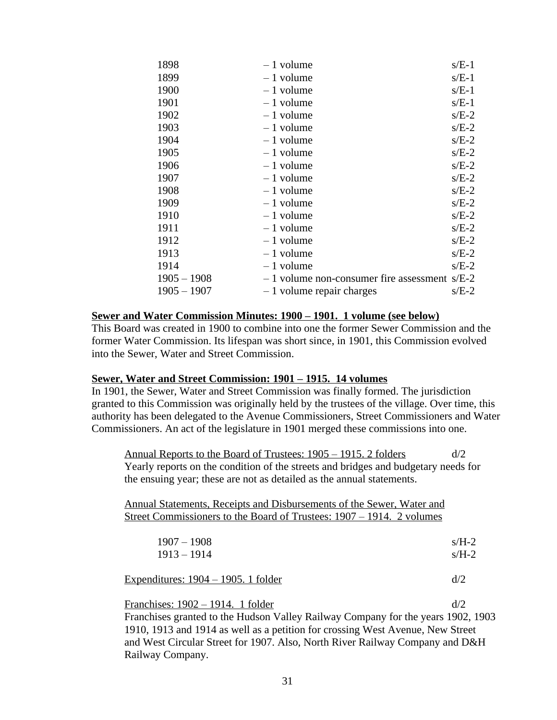| 1898          | $-1$ volume                                    | $s/E-1$ |
|---------------|------------------------------------------------|---------|
| 1899          | $-1$ volume                                    | $s/E-1$ |
| 1900          | $-1$ volume                                    | $s/E-1$ |
| 1901          | $-1$ volume                                    | $s/E-1$ |
| 1902          | $-1$ volume                                    | $s/E-2$ |
| 1903          | $-1$ volume                                    | $s/E-2$ |
| 1904          | $-1$ volume                                    | $s/E-2$ |
| 1905          | $-1$ volume                                    | $s/E-2$ |
| 1906          | $-1$ volume                                    | $s/E-2$ |
| 1907          | $-1$ volume                                    | $s/E-2$ |
| 1908          | $-1$ volume                                    | $s/E-2$ |
| 1909          | $-1$ volume                                    | $s/E-2$ |
| 1910          | $-1$ volume                                    | $s/E-2$ |
| 1911          | $-1$ volume                                    | $s/E-2$ |
| 1912          | $-1$ volume                                    | $s/E-2$ |
| 1913          | $-1$ volume                                    | $s/E-2$ |
| 1914          | $-1$ volume                                    | $s/E-2$ |
| $1905 - 1908$ | $-1$ volume non-consumer fire assessment s/E-2 |         |
| $1905 - 1907$ | $-1$ volume repair charges                     | $s/E-2$ |
|               |                                                |         |

## **Sewer and Water Commission Minutes: 1900 – 1901. 1 volume (see below)**

This Board was created in 1900 to combine into one the former Sewer Commission and the former Water Commission. Its lifespan was short since, in 1901, this Commission evolved into the Sewer, Water and Street Commission.

#### **Sewer, Water and Street Commission: 1901 – 1915. 14 volumes**

In 1901, the Sewer, Water and Street Commission was finally formed. The jurisdiction granted to this Commission was originally held by the trustees of the village. Over time, this authority has been delegated to the Avenue Commissioners, Street Commissioners and Water Commissioners. An act of the legislature in 1901 merged these commissions into one.

Annual Reports to the Board of Trustees:  $1905 - 1915$ . 2 folders d/2 Yearly reports on the condition of the streets and bridges and budgetary needs for the ensuing year; these are not as detailed as the annual statements.

Annual Statements, Receipts and Disbursements of the Sewer, Water and Street Commissioners to the Board of Trustees: 1907 – 1914. 2 volumes

| $1907 - 1908$ | $s/H-2$ |
|---------------|---------|
| $1913 - 1914$ | $s/H-2$ |

Expenditures:  $1904 - 1905$ . 1 folder d/2

Franchises:  $1902 - 1914$ . 1 folder d/2 Franchises granted to the Hudson Valley Railway Company for the years 1902, 1903 1910, 1913 and 1914 as well as a petition for crossing West Avenue, New Street and West Circular Street for 1907. Also, North River Railway Company and D&H Railway Company.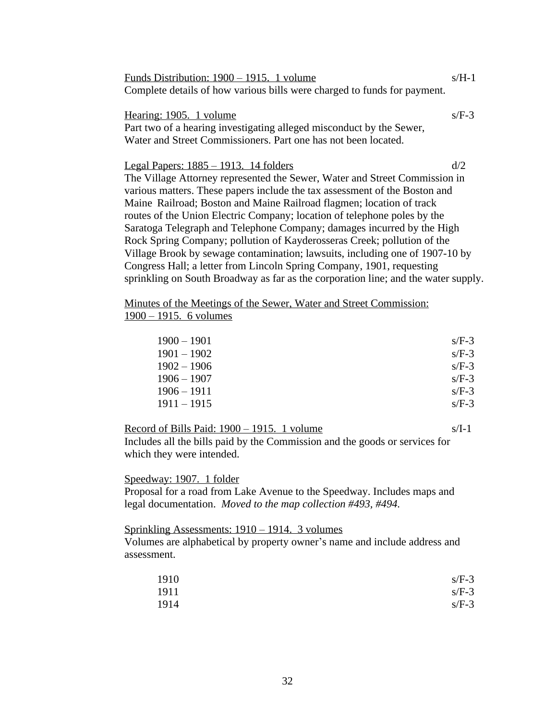| Funds Distribution: 1900 – 1915. 1 volume                                | $s/H-1$ |
|--------------------------------------------------------------------------|---------|
| Complete details of how various bills were charged to funds for payment. |         |

Hearing:  $1905.$  1 volume s/F-3 Part two of a hearing investigating alleged misconduct by the Sewer, Water and Street Commissioners. Part one has not been located.

Legal Papers:  $1885 - 1913$ . 14 folders d/2 The Village Attorney represented the Sewer, Water and Street Commission in various matters. These papers include the tax assessment of the Boston and Maine Railroad; Boston and Maine Railroad flagmen; location of track routes of the Union Electric Company; location of telephone poles by the Saratoga Telegraph and Telephone Company; damages incurred by the High Rock Spring Company; pollution of Kayderosseras Creek; pollution of the Village Brook by sewage contamination; lawsuits, including one of 1907-10 by Congress Hall; a letter from Lincoln Spring Company, 1901, requesting sprinkling on South Broadway as far as the corporation line; and the water supply.

Minutes of the Meetings of the Sewer, Water and Street Commission: 1900 – 1915. 6 volumes

| $1900 - 1901$ | $s/F-3$ |
|---------------|---------|
| $1901 - 1902$ | $s/F-3$ |
| $1902 - 1906$ | $s/F-3$ |
| $1906 - 1907$ | $s/F-3$ |
| $1906 - 1911$ | $s/F-3$ |
| $1911 - 1915$ | $s/F-3$ |

Record of Bills Paid:  $1900 - 1915$ . 1 volume s/I-1 Includes all the bills paid by the Commission and the goods or services for which they were intended.

Speedway: 1907. 1 folder Proposal for a road from Lake Avenue to the Speedway. Includes maps and legal documentation. *Moved to the map collection #493, #494.*

Sprinkling Assessments: 1910 – 1914. 3 volumes

Volumes are alphabetical by property owner's name and include address and assessment.

| 1910 | $s/F-3$ |
|------|---------|
| 1911 | $s/F-3$ |
| 1914 | $s/F-3$ |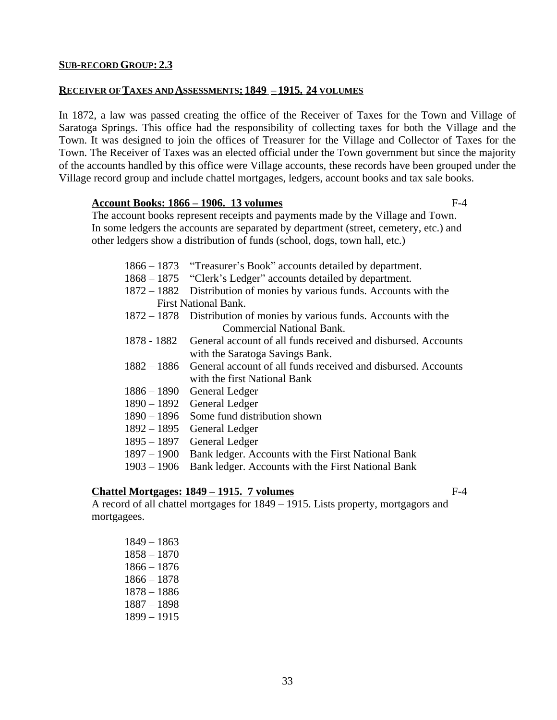- First National Bank.
- 1872 1878 Distribution of monies by various funds. Accounts with the Commercial National Bank.

1866 – 1873 "Treasurer's Book" accounts detailed by department. 1868 – 1875 "Clerk's Ledger" accounts detailed by department.

- with the Saratoga Savings Bank.
- with the first National Bank
- 
- 
- 
- 
- 1895 1897 General Ledger
- 1897 1900 Bank ledger. Accounts with the First National Bank
- 1903 1906 Bank ledger. Accounts with the First National Bank

# **Chattel Mortgages: 1849 – 1915. 7 volumes** F-4

A record of all chattel mortgages for 1849 – 1915. Lists property, mortgagors and mortgagees.

#### **SUB-RECORD GROUP: 2.3**

#### **RECEIVER OF TAXES AND ASSESSMENTS: 1849 – 1915. 24 VOLUMES**

In 1872, a law was passed creating the office of the Receiver of Taxes for the Town and Village of Saratoga Springs. This office had the responsibility of collecting taxes for both the Village and the Town. It was designed to join the offices of Treasurer for the Village and Collector of Taxes for the Town. The Receiver of Taxes was an elected official under the Town government but since the majority of the accounts handled by this office were Village accounts, these records have been grouped under the Village record group and include chattel mortgages, ledgers, account books and tax sale books.

#### **Account Books: 1866 – 1906. 13 volumes** F-4

The account books represent receipts and payments made by the Village and Town. In some ledgers the accounts are separated by department (street, cemetery, etc.) and other ledgers show a distribution of funds (school, dogs, town hall, etc.)

- 1878 1882 General account of all funds received and disbursed. Accounts 1882 – 1886 General account of all funds received and disbursed. Accounts 1886 – 1890 General Ledger 1890 – 1892 General Ledger 1890 – 1896 Some fund distribution shown 1892 – 1895 General Ledger
- 
-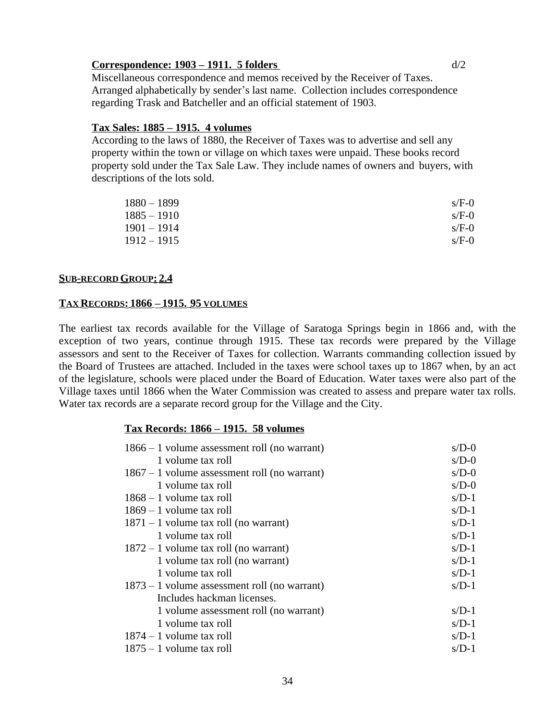# **Correspondence: 1903 – 1911. 5 folders** d/2

Miscellaneous correspondence and memos received by the Receiver of Taxes. Arranged alphabetically by sender's last name. Collection includes correspondence regarding Trask and Batcheller and an official statement of 1903.

## **Tax Sales: 1885 – 1915. 4 volumes**

According to the laws of 1880, the Receiver of Taxes was to advertise and sell any property within the town or village on which taxes were unpaid. These books record property sold under the Tax Sale Law. They include names of owners and buyers, with descriptions of the lots sold.

| $1880 - 1899$ | $s/F-0$ |
|---------------|---------|
| $1885 - 1910$ | $s/F-0$ |
| $1901 - 1914$ | $s/F-0$ |
| $1912 - 1915$ | $s/F-0$ |

#### **SUB-RECORD GROUP: 2.4**

#### **TAX RECORDS: 1866 – 1915. 95 VOLUMES**

The earliest tax records available for the Village of Saratoga Springs begin in 1866 and, with the exception of two years, continue through 1915. These tax records were prepared by the Village assessors and sent to the Receiver of Taxes for collection. Warrants commanding collection issued by the Board of Trustees are attached. Included in the taxes were school taxes up to 1867 when, by an act of the legislature, schools were placed under the Board of Education. Water taxes were also part of the Village taxes until 1866 when the Water Commission was created to assess and prepare water tax rolls. Water tax records are a separate record group for the Village and the City.

#### **Tax Records: 1866 – 1915. 58 volumes**

| $1866 - 1$ volume assessment roll (no warrant) | $s/D-0$ |
|------------------------------------------------|---------|
| 1 volume tax roll                              | $s/D-0$ |
| $1867 - 1$ volume assessment roll (no warrant) | $s/D-0$ |
| 1 volume tax roll                              | $s/D-0$ |
| $1868 - 1$ volume tax roll                     | $s/D-1$ |
| $1869 - 1$ volume tax roll                     | $s/D-1$ |
| $1871 - 1$ volume tax roll (no warrant)        | $s/D-1$ |
| 1 volume tax roll                              | $s/D-1$ |
| $1872 - 1$ volume tax roll (no warrant)        | $s/D-1$ |
| 1 volume tax roll (no warrant)                 | $s/D-1$ |
| 1 volume tax roll                              | $s/D-1$ |
| $1873 - 1$ volume assessment roll (no warrant) | $s/D-1$ |
| Includes hackman licenses.                     |         |
| 1 volume assessment roll (no warrant)          | $s/D-1$ |
| 1 volume tax roll                              | $s/D-1$ |
| $1874 - 1$ volume tax roll                     | $s/D-1$ |
| $1875 - 1$ volume tax roll                     | $s/D-1$ |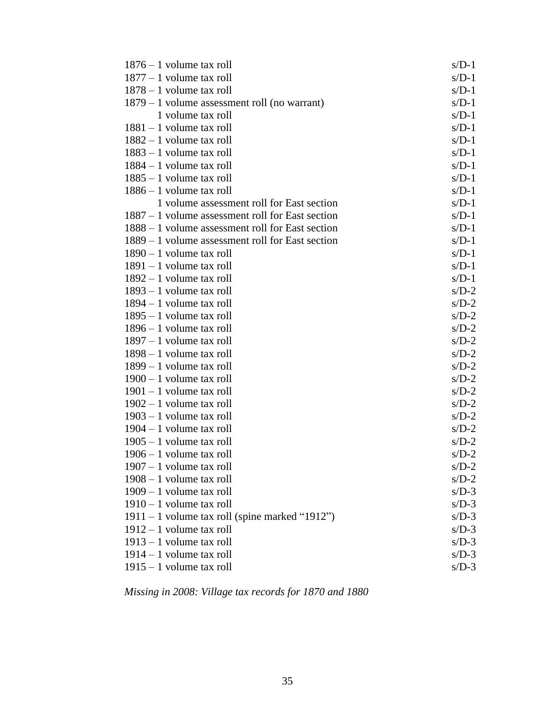| $1876 - 1$ volume tax roll                         | $s/D-1$ |
|----------------------------------------------------|---------|
| $1877 - 1$ volume tax roll                         | $s/D-1$ |
| $1878 - 1$ volume tax roll                         | $s/D-1$ |
| $1879 - 1$ volume assessment roll (no warrant)     | $s/D-1$ |
| 1 volume tax roll                                  | $s/D-1$ |
| $1881 - 1$ volume tax roll                         | $s/D-1$ |
| $1882 - 1$ volume tax roll                         | $s/D-1$ |
| $1883 - 1$ volume tax roll                         | $s/D-1$ |
| $1884 - 1$ volume tax roll                         | $s/D-1$ |
| $1885 - 1$ volume tax roll                         | $s/D-1$ |
| $1886 - 1$ volume tax roll                         | $s/D-1$ |
| 1 volume assessment roll for East section          | $s/D-1$ |
| $1887 - 1$ volume assessment roll for East section | $s/D-1$ |
| 1888 – 1 volume assessment roll for East section   | $s/D-1$ |
| $1889 - 1$ volume assessment roll for East section | $s/D-1$ |
| $1890 - 1$ volume tax roll                         | $s/D-1$ |
| $1891 - 1$ volume tax roll                         | $s/D-1$ |
| $1892 - 1$ volume tax roll                         | $s/D-1$ |
| $1893 - 1$ volume tax roll                         | $s/D-2$ |
| $1894 - 1$ volume tax roll                         | $s/D-2$ |
| $1895 - 1$ volume tax roll                         | $s/D-2$ |
| $1896 - 1$ volume tax roll                         | $s/D-2$ |
| $1897 - 1$ volume tax roll                         | $s/D-2$ |
| $1898 - 1$ volume tax roll                         | $s/D-2$ |
| $1899 - 1$ volume tax roll                         | $s/D-2$ |
| $1900 - 1$ volume tax roll                         | $s/D-2$ |
| $1901 - 1$ volume tax roll                         | $s/D-2$ |
| $1902 - 1$ volume tax roll                         | $s/D-2$ |
| $1903 - 1$ volume tax roll                         | $s/D-2$ |
| $1904 - 1$ volume tax roll                         | $s/D-2$ |
| $1905 - 1$ volume tax roll                         | $s/D-2$ |
| $1906 - 1$ volume tax roll                         | $s/D-2$ |
| $1907 - 1$ volume tax roll                         | $s/D-2$ |
| $1908 - 1$ volume tax roll                         | $s/D-2$ |
| $1909 - 1$ volume tax roll                         | $s/D-3$ |
| $1910 - 1$ volume tax roll                         | $s/D-3$ |
| $1911 - 1$ volume tax roll (spine marked "1912")   | $s/D-3$ |
| $1912 - 1$ volume tax roll                         | $s/D-3$ |
| $1913 - 1$ volume tax roll                         | $s/D-3$ |
| $1914 - 1$ volume tax roll                         | $s/D-3$ |
| $1915 - 1$ volume tax roll                         | $s/D-3$ |

*Missing in 2008: Village tax records for 1870 and 1880*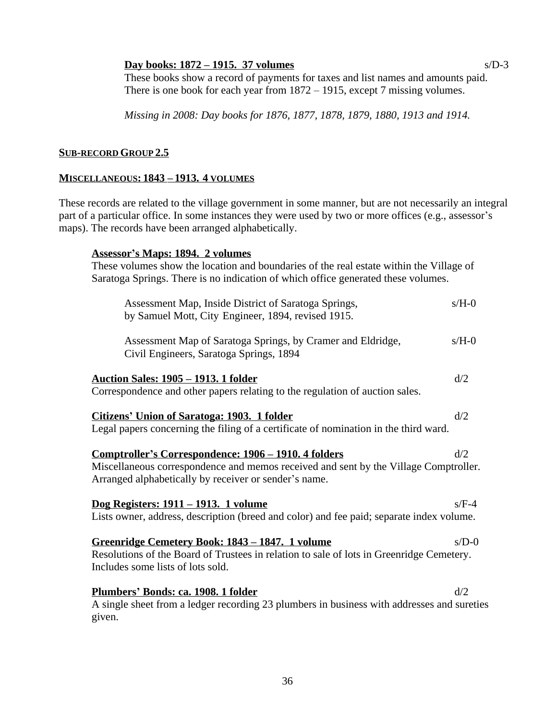# **Day books: 1872 – 1915. 37 volumes** s/D-3

These books show a record of payments for taxes and list names and amounts paid. There is one book for each year from  $1872 - 1915$ , except 7 missing volumes.

*Missing in 2008: Day books for 1876, 1877, 1878, 1879, 1880, 1913 and 1914.*

# **SUB-RECORD GROUP 2.5**

# **MISCELLANEOUS: 1843 – 1913. 4 VOLUMES**

These records are related to the village government in some manner, but are not necessarily an integral part of a particular office. In some instances they were used by two or more offices (e.g., assessor's maps). The records have been arranged alphabetically.

# **Assessor's Maps: 1894. 2 volumes**

These volumes show the location and boundaries of the real estate within the Village of Saratoga Springs. There is no indication of which office generated these volumes.

| Assessment Map, Inside District of Saratoga Springs,<br>by Samuel Mott, City Engineer, 1894, revised 1915.                                                                       | $s/H-0$ |
|----------------------------------------------------------------------------------------------------------------------------------------------------------------------------------|---------|
| Assessment Map of Saratoga Springs, by Cramer and Eldridge,<br>Civil Engineers, Saratoga Springs, 1894                                                                           | $s/H-0$ |
| <u><b>Auction Sales: 1905 – 1913. 1 folder</b></u>                                                                                                                               | d/2     |
| Correspondence and other papers relating to the regulation of auction sales.                                                                                                     |         |
| <b>Citizens' Union of Saratoga: 1903. 1 folder</b><br>Legal papers concerning the filing of a certificate of nomination in the third ward.                                       | d/2     |
|                                                                                                                                                                                  |         |
| Comptroller's Correspondence: 1906 - 1910. 4 folders                                                                                                                             | d/2     |
| Miscellaneous correspondence and memos received and sent by the Village Comptroller.<br>Arranged alphabetically by receiver or sender's name.                                    |         |
| <u>Dog Registers: 1911 – 1913. 1 volume</u>                                                                                                                                      | $s/F-4$ |
| Lists owner, address, description (breed and color) and fee paid; separate index volume.                                                                                         |         |
| Greenridge Cemetery Book: 1843 - 1847. 1 volume<br>Resolutions of the Board of Trustees in relation to sale of lots in Greenridge Cemetery.<br>Includes some lists of lots sold. | $s/D-0$ |
| Plumbers' Bonds: ca. 1908. 1 folder<br>A single sheet from a ledger recording 23 plumbers in business with addresses and sureties<br>given.                                      | d/2     |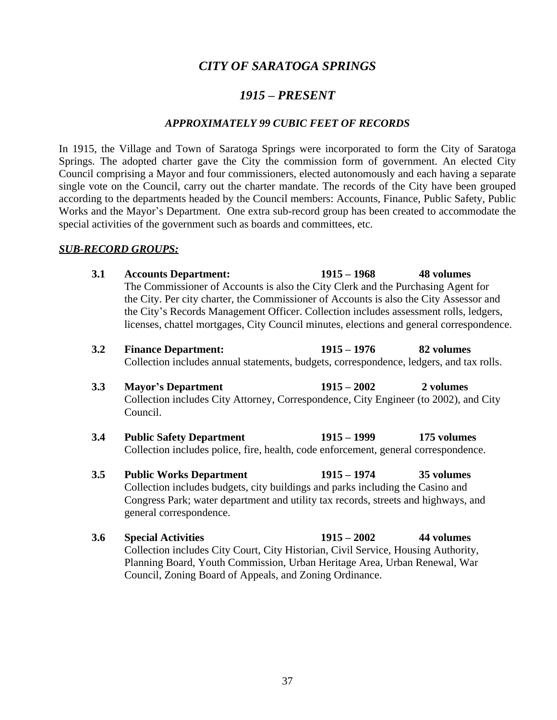# *CITY OF SARATOGA SPRINGS*

# *1915 – PRESENT*

#### *APPROXIMATELY 99 CUBIC FEET OF RECORDS*

In 1915, the Village and Town of Saratoga Springs were incorporated to form the City of Saratoga Springs. The adopted charter gave the City the commission form of government. An elected City Council comprising a Mayor and four commissioners, elected autonomously and each having a separate single vote on the Council, carry out the charter mandate. The records of the City have been grouped according to the departments headed by the Council members: Accounts, Finance, Public Safety, Public Works and the Mayor's Department. One extra sub-record group has been created to accommodate the special activities of the government such as boards and committees, etc.

#### *SUB-RECORD GROUPS:*

- **3.1 Accounts Department: 1915 – 1968 48 volumes** The Commissioner of Accounts is also the City Clerk and the Purchasing Agent for the City. Per city charter, the Commissioner of Accounts is also the City Assessor and the City's Records Management Officer. Collection includes assessment rolls, ledgers, licenses, chattel mortgages, City Council minutes, elections and general correspondence.
- **3.2 Finance Department: 1915 – 1976 82 volumes** Collection includes annual statements, budgets, correspondence, ledgers, and tax rolls.
- **3.3 Mayor's Department 1915 – 2002 2 volumes** Collection includes City Attorney, Correspondence, City Engineer (to 2002), and City Council.
- **3.4 Public Safety Department 1915 – 1999 175 volumes** Collection includes police, fire, health, code enforcement, general correspondence.
- **3.5 Public Works Department 1915 – 1974 35 volumes** Collection includes budgets, city buildings and parks including the Casino and Congress Park; water department and utility tax records, streets and highways, and general correspondence.
- **3.6 Special Activities 1915 – 2002 44 volumes** Collection includes City Court, City Historian, Civil Service, Housing Authority, Planning Board, Youth Commission, Urban Heritage Area, Urban Renewal, War Council, Zoning Board of Appeals, and Zoning Ordinance.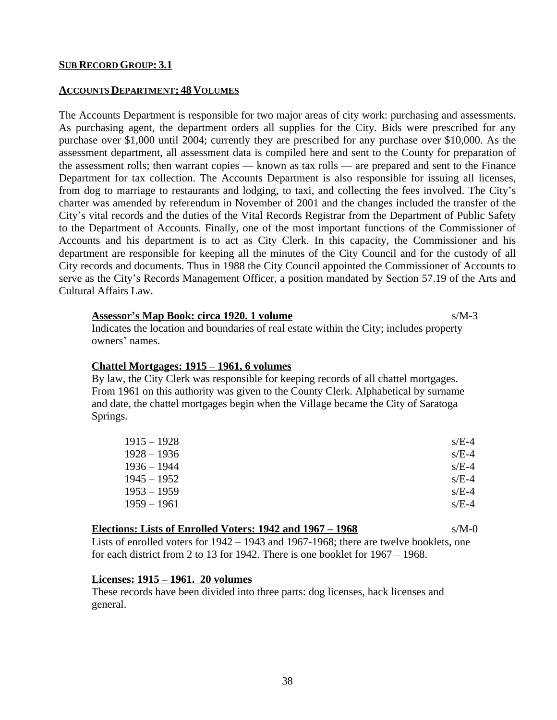#### **SUB RECORD GROUP: 3.1**

#### **ACCOUNTS DEPARTMENT: 48 VOLUMES**

The Accounts Department is responsible for two major areas of city work: purchasing and assessments. As purchasing agent, the department orders all supplies for the City. Bids were prescribed for any purchase over \$1,000 until 2004; currently they are prescribed for any purchase over \$10,000. As the assessment department, all assessment data is compiled here and sent to the County for preparation of the assessment rolls; then warrant copies — known as tax rolls — are prepared and sent to the Finance Department for tax collection. The Accounts Department is also responsible for issuing all licenses, from dog to marriage to restaurants and lodging, to taxi, and collecting the fees involved. The City's charter was amended by referendum in November of 2001 and the changes included the transfer of the City's vital records and the duties of the Vital Records Registrar from the Department of Public Safety to the Department of Accounts. Finally, one of the most important functions of the Commissioner of Accounts and his department is to act as City Clerk. In this capacity, the Commissioner and his department are responsible for keeping all the minutes of the City Council and for the custody of all City records and documents. Thus in 1988 the City Council appointed the Commissioner of Accounts to serve as the City's Records Management Officer, a position mandated by Section 57.19 of the Arts and Cultural Affairs Law.

#### **Assessor's Map Book: circa 1920. 1 volume** s/M-3

Indicates the location and boundaries of real estate within the City; includes property owners' names.

#### **Chattel Mortgages: 1915 – 1961, 6 volumes**

By law, the City Clerk was responsible for keeping records of all chattel mortgages. From 1961 on this authority was given to the County Clerk. Alphabetical by surname and date, the chattel mortgages begin when the Village became the City of Saratoga Springs.

| $1915 - 1928$ | $s/E-4$ |
|---------------|---------|
| $1928 - 1936$ | $s/E-4$ |
| $1936 - 1944$ | $s/E-4$ |
| $1945 - 1952$ | $s/E-4$ |
| $1953 - 1959$ | $s/E-4$ |
| $1959 - 1961$ | $s/E-4$ |

#### **Elections: Lists of Enrolled Voters: 1942 and 1967 – 1968** s/M-0

Lists of enrolled voters for 1942 – 1943 and 1967-1968; there are twelve booklets, one for each district from 2 to 13 for 1942. There is one booklet for 1967 – 1968.

#### **Licenses: 1915 – 1961. 20 volumes**

These records have been divided into three parts: dog licenses, hack licenses and general.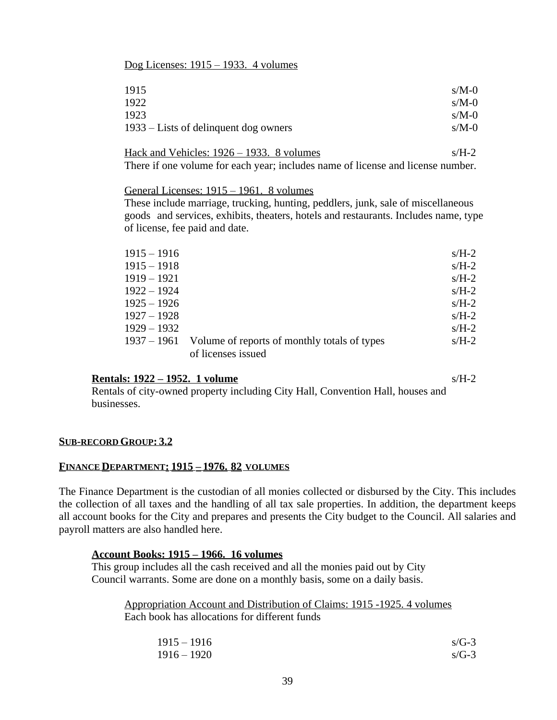### Dog Licenses: 1915 – 1933. 4 volumes

| 1915                                  | $s/M-0$ |
|---------------------------------------|---------|
| 1922                                  | $s/M-0$ |
| 1923                                  | $s/M-0$ |
| 1933 – Lists of delinquent dog owners | $s/M-0$ |

Hack and Vehicles:  $1926 - 1933$ . 8 volumes s/H-2 There if one volume for each year; includes name of license and license number.

General Licenses: 1915 – 1961. 8 volumes

These include marriage, trucking, hunting, peddlers, junk, sale of miscellaneous goods and services, exhibits, theaters, hotels and restaurants. Includes name, type of license, fee paid and date.

| $1915 - 1916$ |                                                          | $s/H-2$ |
|---------------|----------------------------------------------------------|---------|
| $1915 - 1918$ |                                                          | $s/H-2$ |
| $1919 - 1921$ |                                                          | $s/H-2$ |
| $1922 - 1924$ |                                                          | $s/H-2$ |
| $1925 - 1926$ |                                                          | $s/H-2$ |
| $1927 - 1928$ |                                                          | $s/H-2$ |
| $1929 - 1932$ |                                                          | $s/H-2$ |
|               | 1937 – 1961 Volume of reports of monthly totals of types | $s/H-2$ |
|               | of licenses issued                                       |         |

#### **<u>Rentals: 1922 – 1952. 1 volume</u>** s/H-2

Rentals of city-owned property including City Hall, Convention Hall, houses and businesses.

#### **SUB-RECORD GROUP: 3.2**

#### **FINANCE DEPARTMENT: 1915 – 1976. 82 VOLUMES**

The Finance Department is the custodian of all monies collected or disbursed by the City. This includes the collection of all taxes and the handling of all tax sale properties. In addition, the department keeps all account books for the City and prepares and presents the City budget to the Council. All salaries and payroll matters are also handled here.

#### **Account Books: 1915 – 1966. 16 volumes**

This group includes all the cash received and all the monies paid out by City Council warrants. Some are done on a monthly basis, some on a daily basis.

Appropriation Account and Distribution of Claims: 1915 -1925. 4 volumes Each book has allocations for different funds

| $1915 - 1916$ | $s/G-3$ |
|---------------|---------|
| $1916 - 1920$ | $s/G-3$ |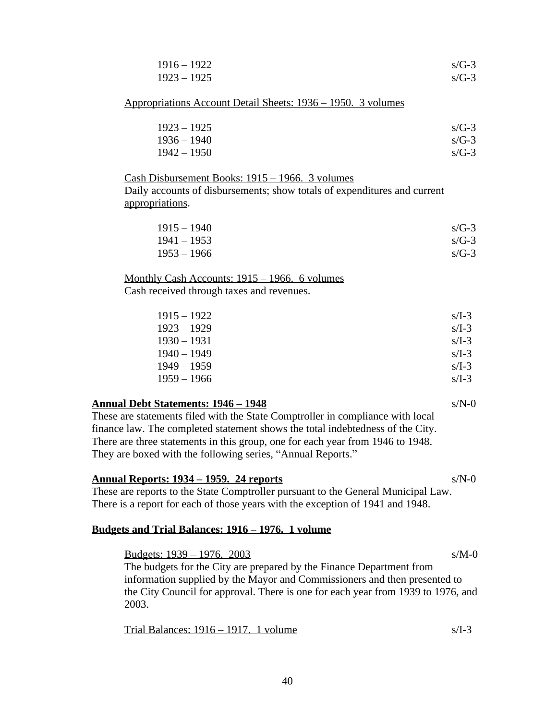| $1916 - 1922$ | $s/G-3$ |
|---------------|---------|
| $1923 - 1925$ | $s/G-3$ |

Appropriations Account Detail Sheets: 1936 – 1950. 3 volumes

| $1923 - 1925$ | $s/G-3$ |
|---------------|---------|
| $1936 - 1940$ | $s/G-3$ |
| $1942 - 1950$ | $s/G-3$ |

#### Cash Disbursement Books: 1915 – 1966. 3 volumes

Daily accounts of disbursements; show totals of expenditures and current appropriations.

| $1915 - 1940$ | $s/G-3$ |
|---------------|---------|
| $1941 - 1953$ | $s/G-3$ |
| $1953 - 1966$ | $s/G-3$ |

Monthly Cash Accounts: 1915 – 1966. 6 volumes

Cash received through taxes and revenues.

| $1915 - 1922$ | $s/I-3$ |
|---------------|---------|
| $1923 - 1929$ | $s/I-3$ |
| $1930 - 1931$ | $s/I-3$ |
| $1940 - 1949$ | $s/I-3$ |
| $1949 - 1959$ | $s/I-3$ |
| $1959 - 1966$ | $s/I-3$ |
|               |         |

#### **Annual Debt Statements: 1946 – 1948** s/N-0

These are statements filed with the State Comptroller in compliance with local finance law. The completed statement shows the total indebtedness of the City. There are three statements in this group, one for each year from 1946 to 1948. They are boxed with the following series, "Annual Reports."

#### **Annual Reports: 1934 – 1959. 24 reports** s/N-0

These are reports to the State Comptroller pursuant to the General Municipal Law. There is a report for each of those years with the exception of 1941 and 1948.

#### **Budgets and Trial Balances: 1916 – 1976. 1 volume**

Budgets: 1939 – 1976. 2003 s/M-0 The budgets for the City are prepared by the Finance Department from information supplied by the Mayor and Commissioners and then presented to the City Council for approval. There is one for each year from 1939 to 1976, and 2003.

| Trial Balances: $1916 - 1917$ . 1 volume |  |  |
|------------------------------------------|--|--|
|                                          |  |  |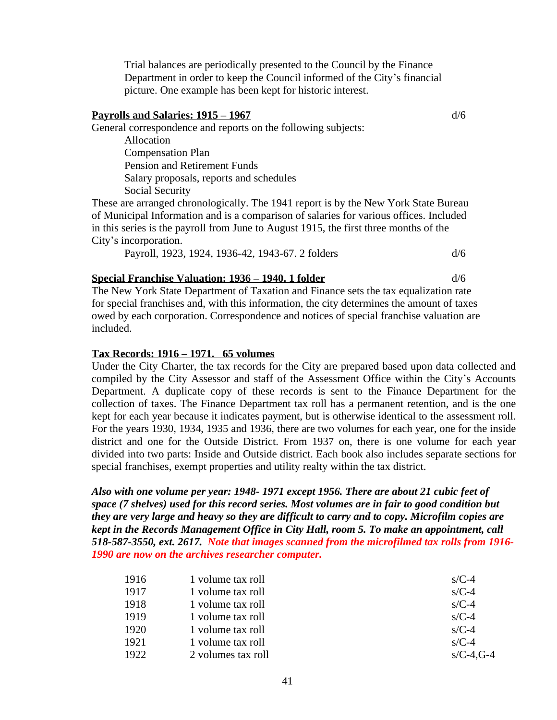Trial balances are periodically presented to the Council by the Finance Department in order to keep the Council informed of the City's financial picture. One example has been kept for historic interest.

#### **Payrolls and Salaries: 1915 – 1967** d/6

General correspondence and reports on the following subjects:

Allocation Compensation Plan Pension and Retirement Funds Salary proposals, reports and schedules Social Security

These are arranged chronologically. The 1941 report is by the New York State Bureau of Municipal Information and is a comparison of salaries for various offices. Included in this series is the payroll from June to August 1915, the first three months of the City's incorporation.

Payroll, 1923, 1924, 1936-42, 1943-67. 2 folders d/6

#### **Special Franchise Valuation: 1936 – 1940. 1 folder** d/6

The New York State Department of Taxation and Finance sets the tax equalization rate for special franchises and, with this information, the city determines the amount of taxes owed by each corporation. Correspondence and notices of special franchise valuation are included.

#### **Tax Records: 1916 – 1971. 65 volumes**

Under the City Charter, the tax records for the City are prepared based upon data collected and compiled by the City Assessor and staff of the Assessment Office within the City's Accounts Department. A duplicate copy of these records is sent to the Finance Department for the collection of taxes. The Finance Department tax roll has a permanent retention, and is the one kept for each year because it indicates payment, but is otherwise identical to the assessment roll. For the years 1930, 1934, 1935 and 1936, there are two volumes for each year, one for the inside district and one for the Outside District. From 1937 on, there is one volume for each year divided into two parts: Inside and Outside district. Each book also includes separate sections for special franchises, exempt properties and utility realty within the tax district.

*Also with one volume per year: 1948- 1971 except 1956. There are about 21 cubic feet of space (7 shelves) used for this record series. Most volumes are in fair to good condition but they are very large and heavy so they are difficult to carry and to copy. Microfilm copies are kept in the Records Management Office in City Hall, room 5. To make an appointment, call 518-587-3550, ext. 2617. Note that images scanned from the microfilmed tax rolls from 1916- 1990 are now on the archives researcher computer.*

| 1916 | 1 volume tax roll  | $s/C-4$       |
|------|--------------------|---------------|
| 1917 | 1 volume tax roll  | $s/C-4$       |
| 1918 | 1 volume tax roll  | $s/C-4$       |
| 1919 | 1 volume tax roll  | $s/C-4$       |
| 1920 | 1 volume tax roll  | $s/C-4$       |
| 1921 | 1 volume tax roll  | $s/C-4$       |
| 1922 | 2 volumes tax roll | $s/C-4$ , G-4 |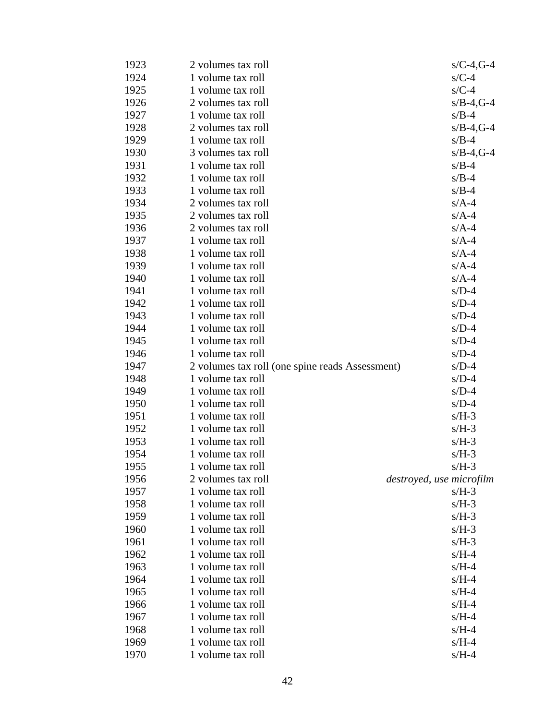| 1923 | 2 volumes tax roll                              | $s/C-4$ , G-4 |
|------|-------------------------------------------------|---------------|
| 1924 | 1 volume tax roll                               | $s/C-4$       |
| 1925 | 1 volume tax roll                               | $s/C-4$       |
| 1926 | 2 volumes tax roll                              | $s/B-4$ , G-4 |
| 1927 | 1 volume tax roll                               | $s/B-4$       |
| 1928 | 2 volumes tax roll                              | $s/B-4$ , G-4 |
| 1929 | 1 volume tax roll                               | $s/B-4$       |
| 1930 | 3 volumes tax roll                              | $s/B-4$ , G-4 |
| 1931 | 1 volume tax roll                               | $s/B-4$       |
| 1932 | 1 volume tax roll                               | $s/B-4$       |
| 1933 | 1 volume tax roll                               | $s/B-4$       |
| 1934 | 2 volumes tax roll                              | $s/A-4$       |
| 1935 | 2 volumes tax roll                              | $s/A-4$       |
| 1936 | 2 volumes tax roll                              | $s/A-4$       |
| 1937 | 1 volume tax roll                               | $s/A-4$       |
| 1938 | 1 volume tax roll                               | $s/A-4$       |
| 1939 | 1 volume tax roll                               | $s/A-4$       |
| 1940 | 1 volume tax roll                               | $s/A-4$       |
| 1941 | 1 volume tax roll                               | $s/D-4$       |
| 1942 | 1 volume tax roll                               | $s/D-4$       |
| 1943 | 1 volume tax roll                               | $s/D-4$       |
| 1944 | 1 volume tax roll                               | $s/D-4$       |
| 1945 | 1 volume tax roll                               | $s/D-4$       |
| 1946 | 1 volume tax roll                               | $s/D-4$       |
| 1947 | 2 volumes tax roll (one spine reads Assessment) | $s/D-4$       |
| 1948 | 1 volume tax roll                               | $s/D-4$       |
| 1949 | 1 volume tax roll                               | $s/D-4$       |
| 1950 | 1 volume tax roll                               | $s/D-4$       |
| 1951 | 1 volume tax roll                               | $s/H-3$       |
| 1952 | 1 volume tax roll                               | $s/H-3$       |
| 1953 | 1 volume tax roll                               | $s/H-3$       |
| 1954 | 1 volume tax roll                               | $s/H-3$       |
| 1955 | 1 volume tax roll                               | $s/H-3$       |
| 1956 | 2 volumes tax roll<br>destroyed, use microfilm  |               |
| 1957 | 1 volume tax roll                               | $s/H-3$       |
| 1958 | 1 volume tax roll                               | $s/H-3$       |
| 1959 | 1 volume tax roll                               | $s/H-3$       |
| 1960 | 1 volume tax roll                               | $s/H-3$       |
| 1961 | 1 volume tax roll                               | $s/H-3$       |
| 1962 | 1 volume tax roll                               | $s/H-4$       |
| 1963 | 1 volume tax roll                               | $s/H-4$       |
| 1964 | 1 volume tax roll                               | $s/H-4$       |
| 1965 | 1 volume tax roll                               | $s/H-4$       |
| 1966 | 1 volume tax roll                               | $s/H-4$       |
| 1967 | 1 volume tax roll                               | $s/H-4$       |
| 1968 | 1 volume tax roll                               | $s/H-4$       |
| 1969 | 1 volume tax roll                               | $s/H-4$       |
| 1970 | 1 volume tax roll                               | $s/H-4$       |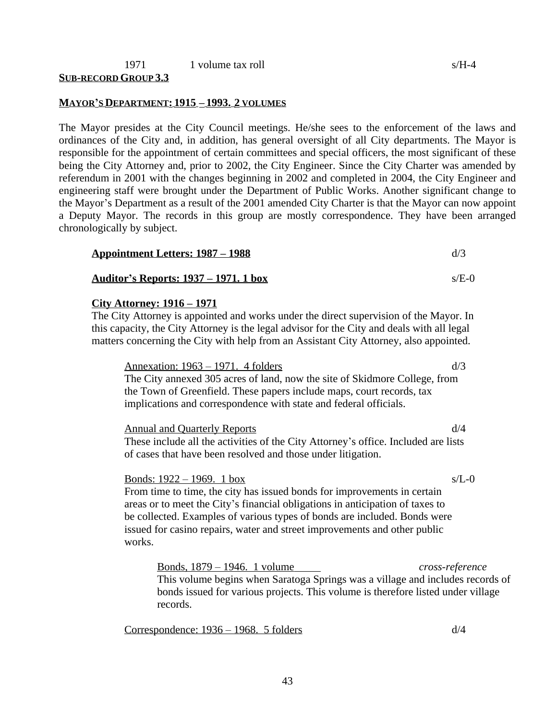#### 1971 1 volume tax roll s/H-4 **SUB-RECORD GROUP 3.3**

#### **MAYOR'S DEPARTMENT: 1915 – 1993. 2 VOLUMES**

The Mayor presides at the City Council meetings. He/she sees to the enforcement of the laws and ordinances of the City and, in addition, has general oversight of all City departments. The Mayor is responsible for the appointment of certain committees and special officers, the most significant of these being the City Attorney and, prior to 2002, the City Engineer. Since the City Charter was amended by referendum in 2001 with the changes beginning in 2002 and completed in 2004, the City Engineer and engineering staff were brought under the Department of Public Works. Another significant change to the Mayor's Department as a result of the 2001 amended City Charter is that the Mayor can now appoint a Deputy Mayor. The records in this group are mostly correspondence. They have been arranged chronologically by subject.

| <u> Appointment Letters: 1987 – 1988</u>      |         |
|-----------------------------------------------|---------|
| <u> Auditor's Reports: 1937 – 1971. 1 box</u> | $s/E-0$ |

#### **City Attorney: 1916 – 1971**

The City Attorney is appointed and works under the direct supervision of the Mayor. In this capacity, the City Attorney is the legal advisor for the City and deals with all legal matters concerning the City with help from an Assistant City Attorney, also appointed.

Annexation:  $1963 - 1971$ . 4 folders d/3 The City annexed 305 acres of land, now the site of Skidmore College, from the Town of Greenfield. These papers include maps, court records, tax implications and correspondence with state and federal officials.

Annual and Quarterly Reports d/4 These include all the activities of the City Attorney's office. Included are lists of cases that have been resolved and those under litigation.

Bonds: 1922 – 1969. 1 box s/L-0 From time to time, the city has issued bonds for improvements in certain areas or to meet the City's financial obligations in anticipation of taxes to be collected. Examples of various types of bonds are included. Bonds were issued for casino repairs, water and street improvements and other public works.

Bonds, 1879 – 1946. 1 volume *cross-reference* This volume begins when Saratoga Springs was a village and includes records of bonds issued for various projects. This volume is therefore listed under village records.

Correspondence:  $1936 - 1968$ . 5 folders d/4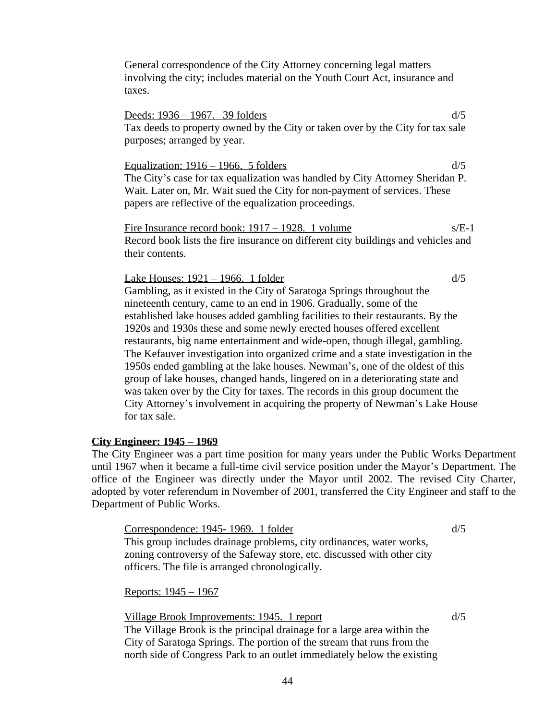General correspondence of the City Attorney concerning legal matters involving the city; includes material on the Youth Court Act, insurance and taxes.

Deeds: 1936 – 1967. 39 folders d/5 Tax deeds to property owned by the City or taken over by the City for tax sale purposes; arranged by year.

Equalization:  $1916 - 1966$ . 5 folders d/5 The City's case for tax equalization was handled by City Attorney Sheridan P. Wait. Later on, Mr. Wait sued the City for non-payment of services. These papers are reflective of the equalization proceedings.

Fire Insurance record book: 1917 – 1928. 1 volume s/E-1 Record book lists the fire insurance on different city buildings and vehicles and their contents.

Lake Houses:  $1921 - 1966$ . 1 folder d/5 Gambling, as it existed in the City of Saratoga Springs throughout the nineteenth century, came to an end in 1906. Gradually, some of the established lake houses added gambling facilities to their restaurants. By the 1920s and 1930s these and some newly erected houses offered excellent restaurants, big name entertainment and wide-open, though illegal, gambling. The Kefauver investigation into organized crime and a state investigation in the 1950s ended gambling at the lake houses. Newman's, one of the oldest of this group of lake houses, changed hands, lingered on in a deteriorating state and was taken over by the City for taxes. The records in this group document the City Attorney's involvement in acquiring the property of Newman's Lake House for tax sale.

#### **City Engineer: 1945 – 1969**

The City Engineer was a part time position for many years under the Public Works Department until 1967 when it became a full-time civil service position under the Mayor's Department. The office of the Engineer was directly under the Mayor until 2002. The revised City Charter, adopted by voter referendum in November of 2001, transferred the City Engineer and staff to the Department of Public Works.

Correspondence:  $1945 - 1969$ . 1 folder d/5

This group includes drainage problems, city ordinances, water works, zoning controversy of the Safeway store, etc. discussed with other city officers. The file is arranged chronologically.

Reports: 1945 – 1967

Village Brook Improvements: 1945. 1 report d/5

The Village Brook is the principal drainage for a large area within the City of Saratoga Springs. The portion of the stream that runs from the north side of Congress Park to an outlet immediately below the existing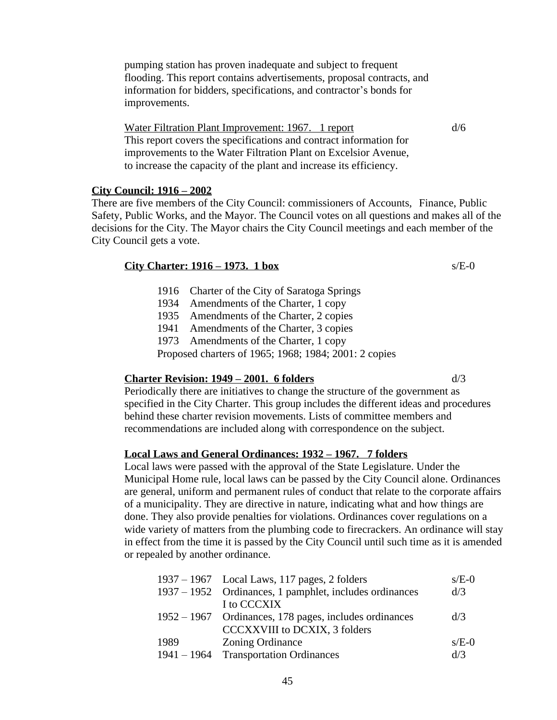pumping station has proven inadequate and subject to frequent flooding. This report contains advertisements, proposal contracts, and information for bidders, specifications, and contractor's bonds for improvements.

Water Filtration Plant Improvement: 1967. 1 report d/6 This report covers the specifications and contract information for improvements to the Water Filtration Plant on Excelsior Avenue, to increase the capacity of the plant and increase its efficiency.

#### **City Council: 1916 – 2002**

There are five members of the City Council: commissioners of Accounts, Finance, Public Safety, Public Works, and the Mayor. The Council votes on all questions and makes all of the decisions for the City. The Mayor chairs the City Council meetings and each member of the City Council gets a vote.

#### **City Charter: 1916 – 1973. 1 box** s/E-0

- 1916 Charter of the City of Saratoga Springs
- 1934 Amendments of the Charter, 1 copy
- 1935 Amendments of the Charter, 2 copies
- 1941 Amendments of the Charter, 3 copies
- 1973 Amendments of the Charter, 1 copy

Proposed charters of 1965; 1968; 1984; 2001: 2 copies

#### **Charter Revision: 1949 – 2001. 6 folders** d/3

Periodically there are initiatives to change the structure of the government as specified in the City Charter. This group includes the different ideas and procedures behind these charter revision movements. Lists of committee members and recommendations are included along with correspondence on the subject.

#### **Local Laws and General Ordinances: 1932 – 1967. 7 folders**

Local laws were passed with the approval of the State Legislature. Under the Municipal Home rule, local laws can be passed by the City Council alone. Ordinances are general, uniform and permanent rules of conduct that relate to the corporate affairs of a municipality. They are directive in nature, indicating what and how things are done. They also provide penalties for violations. Ordinances cover regulations on a wide variety of matters from the plumbing code to firecrackers. An ordinance will stay in effect from the time it is passed by the City Council until such time as it is amended or repealed by another ordinance.

|               | $1937 - 1967$ Local Laws, 117 pages, 2 folders          | $s/E-0$ |
|---------------|---------------------------------------------------------|---------|
|               | 1937 – 1952 Ordinances, 1 pamphlet, includes ordinances | d/3     |
|               | I to CCCXIX                                             |         |
|               | 1952 – 1967 Ordinances, 178 pages, includes ordinances  | d/3     |
|               | <b>CCCXXVIII</b> to DCXIX, 3 folders                    |         |
| 1989          | <b>Zoning Ordinance</b>                                 | $s/E-0$ |
| $1941 - 1964$ | <b>Transportation Ordinances</b>                        | d/3     |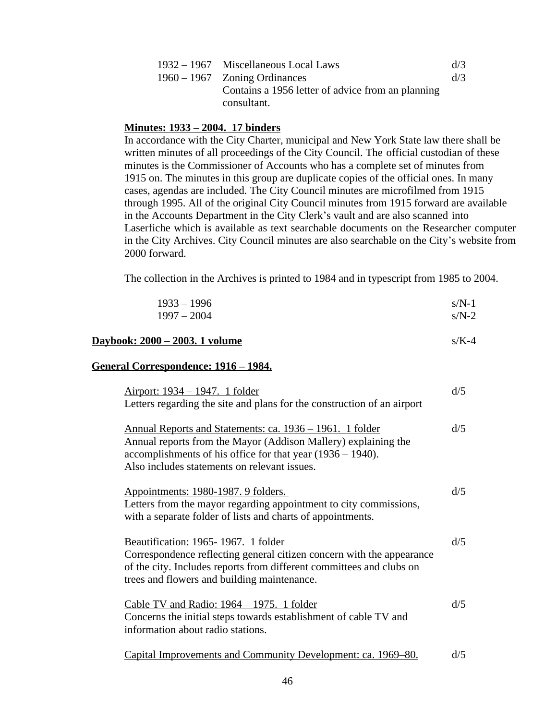| 1932 – 1967 Miscellaneous Local Laws                             | d/3 |
|------------------------------------------------------------------|-----|
| $1960 - 1967$ Zoning Ordinances                                  | d/3 |
| Contains a 1956 letter of advice from an planning<br>consultant. |     |

#### **Minutes: 1933 – 2004. 17 binders**

In accordance with the City Charter, municipal and New York State law there shall be written minutes of all proceedings of the City Council. The official custodian of these minutes is the Commissioner of Accounts who has a complete set of minutes from 1915 on. The minutes in this group are duplicate copies of the official ones. In many cases, agendas are included. The City Council minutes are microfilmed from 1915 through 1995. All of the original City Council minutes from 1915 forward are available in the Accounts Department in the City Clerk's vault and are also scanned into Laserfiche which is available as text searchable documents on the Researcher computer in the City Archives. City Council minutes are also searchable on the City's website from 2000 forward.

The collection in the Archives is printed to 1984 and in typescript from 1985 to 2004.

| $1933 - 1996$<br>$1997 - 2004$                                                                                                                                                                                                                  | $s/N-1$<br>$s/N-2$ |
|-------------------------------------------------------------------------------------------------------------------------------------------------------------------------------------------------------------------------------------------------|--------------------|
| <u>Daybook: 2000 – 2003. 1 volume</u>                                                                                                                                                                                                           | $s/K-4$            |
| <u>General Correspondence: 1916 – 1984.</u>                                                                                                                                                                                                     |                    |
| <u> Airport: 1934 – 1947. 1 folder</u><br>Letters regarding the site and plans for the construction of an airport                                                                                                                               | d/5                |
| <u>Annual Reports and Statements: ca. 1936 – 1961. 1 folder</u><br>Annual reports from the Mayor (Addison Mallery) explaining the<br>accomplishments of his office for that year (1936 – 1940).<br>Also includes statements on relevant issues. | d/5                |
| Appointments: 1980-1987. 9 folders.<br>Letters from the mayor regarding appointment to city commissions,<br>with a separate folder of lists and charts of appointments.                                                                         | d/5                |
| Beautification: 1965-1967. 1 folder<br>Correspondence reflecting general citizen concern with the appearance<br>of the city. Includes reports from different committees and clubs on<br>trees and flowers and building maintenance.             | d/5                |
| Cable TV and Radio: $1964 - 1975$ . 1 folder<br>Concerns the initial steps towards establishment of cable TV and<br>information about radio stations.                                                                                           | d/5                |
| Capital Improvements and Community Development: ca. 1969–80.                                                                                                                                                                                    | d/5                |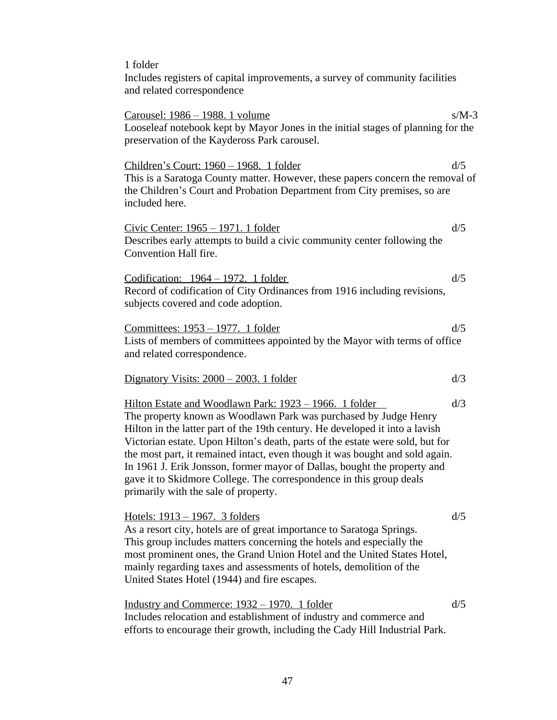1 folder Includes registers of capital improvements, a survey of community facilities and related correspondence Carousel: 1986 – 1988. 1 volume s/M-3 Looseleaf notebook kept by Mayor Jones in the initial stages of planning for the preservation of the Kaydeross Park carousel. Children's Court: 1960 – 1968. 1 folder d/5 This is a Saratoga County matter. However, these papers concern the removal of the Children's Court and Probation Department from City premises, so are included here. Civic Center:  $1965 - 1971$ . 1 folder d/5 Describes early attempts to build a civic community center following the Convention Hall fire. Codification:  $1964 - 1972$ . 1 folder d/5 Record of codification of City Ordinances from 1916 including revisions, subjects covered and code adoption. Committees:  $1953 - 1977$ . 1 folder d/5 Lists of members of committees appointed by the Mayor with terms of office and related correspondence. Dignatory Visits:  $2000 - 2003$ . 1 folder d/3 Hilton Estate and Woodlawn Park:  $1923 - 1966$ . 1 folder d/3 The property known as Woodlawn Park was purchased by Judge Henry Hilton in the latter part of the 19th century. He developed it into a lavish Victorian estate. Upon Hilton's death, parts of the estate were sold, but for the most part, it remained intact, even though it was bought and sold again. In 1961 J. Erik Jonsson, former mayor of Dallas, bought the property and gave it to Skidmore College. The correspondence in this group deals primarily with the sale of property. Hotels:  $1913 - 1967$ . 3 folders d/5 As a resort city, hotels are of great importance to Saratoga Springs. This group includes matters concerning the hotels and especially the most prominent ones, the Grand Union Hotel and the United States Hotel, mainly regarding taxes and assessments of hotels, demolition of the United States Hotel (1944) and fire escapes. Industry and Commerce:  $1932 - 1970$ . 1 folder d/5 Includes relocation and establishment of industry and commerce and efforts to encourage their growth, including the Cady Hill Industrial Park.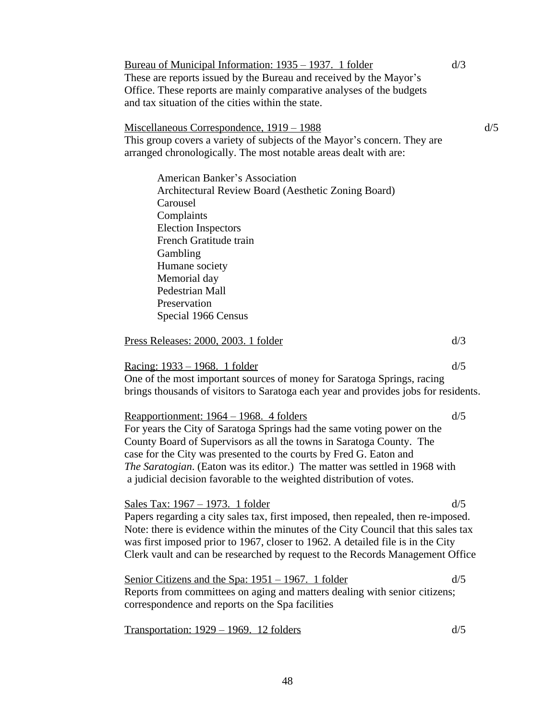Bureau of Municipal Information: 1935 – 1937. 1 folder d/3 These are reports issued by the Bureau and received by the Mayor's Office. These reports are mainly comparative analyses of the budgets and tax situation of the cities within the state. Miscellaneous Correspondence, 1919 – 1988 d/5 This group covers a variety of subjects of the Mayor's concern. They are arranged chronologically. The most notable areas dealt with are: American Banker's Association Architectural Review Board (Aesthetic Zoning Board) Carousel Complaints Election Inspectors French Gratitude train Gambling Humane society Memorial day Pedestrian Mall Preservation Special 1966 Census Press Releases: 2000, 2003. 1 folder d/3 Racing: 1933 – 1968. 1 folder d/5 d/5 One of the most important sources of money for Saratoga Springs, racing brings thousands of visitors to Saratoga each year and provides jobs for residents. Reapportionment:  $1964 - 1968$ . 4 folders d/5 For years the City of Saratoga Springs had the same voting power on the County Board of Supervisors as all the towns in Saratoga County. The case for the City was presented to the courts by Fred G. Eaton and *The Saratogian*. (Eaton was its editor.) The matter was settled in 1968 with a judicial decision favorable to the weighted distribution of votes. Sales Tax:  $1967 - 1973$ . 1 folder d/5 Papers regarding a city sales tax, first imposed, then repealed, then re-imposed. Note: there is evidence within the minutes of the City Council that this sales tax was first imposed prior to 1967, closer to 1962. A detailed file is in the City Clerk vault and can be researched by request to the Records Management Office Senior Citizens and the Spa:  $1951 - 1967$ . 1 folder d/5 Reports from committees on aging and matters dealing with senior citizens; correspondence and reports on the Spa facilities Transportation:  $1929 - 1969$ . 12 folders d/5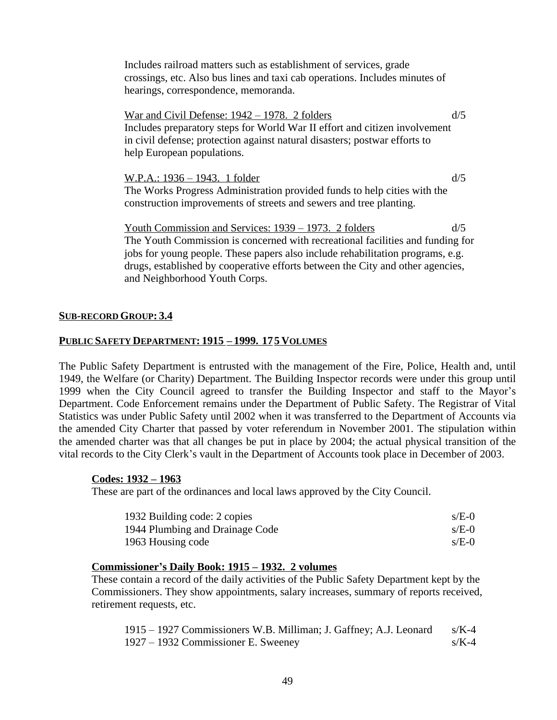Includes railroad matters such as establishment of services, grade crossings, etc. Also bus lines and taxi cab operations. Includes minutes of hearings, correspondence, memoranda.

War and Civil Defense:  $1942 - 1978$ . 2 folders d/5 Includes preparatory steps for World War II effort and citizen involvement in civil defense; protection against natural disasters; postwar efforts to help European populations.

W.P.A.: 1936 – 1943. 1 folder d/5 The Works Progress Administration provided funds to help cities with the construction improvements of streets and sewers and tree planting.

Youth Commission and Services: 1939 – 1973. 2 folders d/5 The Youth Commission is concerned with recreational facilities and funding for jobs for young people. These papers also include rehabilitation programs, e.g. drugs, established by cooperative efforts between the City and other agencies, and Neighborhood Youth Corps.

#### **SUB-RECORD GROUP: 3.4**

#### **PUBLIC SAFETY DEPARTMENT: 1915 – 1999. 175 VOLUMES**

The Public Safety Department is entrusted with the management of the Fire, Police, Health and, until 1949, the Welfare (or Charity) Department. The Building Inspector records were under this group until 1999 when the City Council agreed to transfer the Building Inspector and staff to the Mayor's Department. Code Enforcement remains under the Department of Public Safety. The Registrar of Vital Statistics was under Public Safety until 2002 when it was transferred to the Department of Accounts via the amended City Charter that passed by voter referendum in November 2001. The stipulation within the amended charter was that all changes be put in place by 2004; the actual physical transition of the vital records to the City Clerk's vault in the Department of Accounts took place in December of 2003.

#### **Codes: 1932 – 1963**

These are part of the ordinances and local laws approved by the City Council.

| 1932 Building code: 2 copies    | $s/E-0$ |
|---------------------------------|---------|
| 1944 Plumbing and Drainage Code | $s/E-0$ |
| 1963 Housing code               | $s/E-0$ |

#### **Commissioner's Daily Book: 1915 – 1932. 2 volumes**

These contain a record of the daily activities of the Public Safety Department kept by the Commissioners. They show appointments, salary increases, summary of reports received, retirement requests, etc.

| 1915 – 1927 Commissioners W.B. Milliman; J. Gaffney; A.J. Leonard s/K-4 |         |
|-------------------------------------------------------------------------|---------|
| 1927 – 1932 Commissioner E. Sweeney                                     | $s/K-4$ |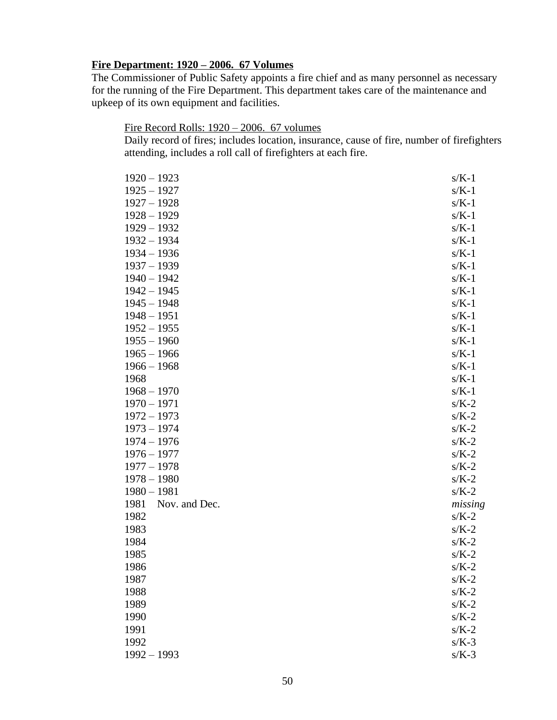#### **Fire Department: 1920 – 2006. 67 Volumes**

The Commissioner of Public Safety appoints a fire chief and as many personnel as necessary for the running of the Fire Department. This department takes care of the maintenance and upkeep of its own equipment and facilities.

### Fire Record Rolls: 1920 – 2006. 67 volumes

Daily record of fires; includes location, insurance, cause of fire, number of firefighters attending, includes a roll call of firefighters at each fire.

| $1925 - 1927$<br>$s/K-1$<br>$1927 - 1928$<br>$s/K-1$<br>$1928 - 1929$<br>$s/K-1$<br>$1929 - 1932$<br>$s/K-1$<br>$1932 - 1934$<br>$s/K-1$<br>$1934 - 1936$<br>$s/K-1$<br>$1937 - 1939$ | $s/K-1$ |
|---------------------------------------------------------------------------------------------------------------------------------------------------------------------------------------|---------|
|                                                                                                                                                                                       |         |
|                                                                                                                                                                                       |         |
|                                                                                                                                                                                       |         |
|                                                                                                                                                                                       |         |
|                                                                                                                                                                                       |         |
|                                                                                                                                                                                       |         |
|                                                                                                                                                                                       |         |
| $1940 - 1942$<br>$s/K-1$                                                                                                                                                              |         |
| $1942 - 1945$<br>$s/K-1$                                                                                                                                                              |         |
| $1945 - 1948$<br>$s/K-1$                                                                                                                                                              |         |
| $1948 - 1951$<br>$s/K-1$                                                                                                                                                              |         |
| $1952 - 1955$<br>$s/K-1$                                                                                                                                                              |         |
| $1955 - 1960$<br>$s/K-1$                                                                                                                                                              |         |
| $1965 - 1966$<br>$s/K-1$                                                                                                                                                              |         |
| $1966 - 1968$<br>$s/K-1$                                                                                                                                                              |         |
| 1968<br>$s/K-1$                                                                                                                                                                       |         |
| $1968 - 1970$<br>$s/K-1$                                                                                                                                                              |         |
| $1970 - 1971$<br>$s/K-2$                                                                                                                                                              |         |
| $1972 - 1973$<br>$s/K-2$                                                                                                                                                              |         |
| $1973 - 1974$<br>$s/K-2$                                                                                                                                                              |         |
| $1974 - 1976$<br>$s/K-2$                                                                                                                                                              |         |
| $1976 - 1977$<br>$s/K-2$                                                                                                                                                              |         |
| $1977 - 1978$<br>$s/K-2$                                                                                                                                                              |         |
| $1978 - 1980$<br>$s/K-2$                                                                                                                                                              |         |
| $1980 - 1981$<br>$s/K-2$                                                                                                                                                              |         |
| Nov. and Dec.<br>1981                                                                                                                                                                 | missing |
| 1982<br>$s/K-2$                                                                                                                                                                       |         |
| 1983<br>$s/K-2$                                                                                                                                                                       |         |
| 1984<br>$s/K-2$                                                                                                                                                                       |         |
| 1985<br>$s/K-2$                                                                                                                                                                       |         |
| 1986<br>$s/K-2$                                                                                                                                                                       |         |
| 1987<br>$s/K-2$                                                                                                                                                                       |         |
| 1988<br>$s/K-2$                                                                                                                                                                       |         |
| 1989<br>$s/K-2$                                                                                                                                                                       |         |
| $s/K-2$<br>1990                                                                                                                                                                       |         |
| 1991<br>$s/K-2$                                                                                                                                                                       |         |
| 1992<br>$s/K-3$                                                                                                                                                                       |         |
| $1992 - 1993$<br>$s/K-3$                                                                                                                                                              |         |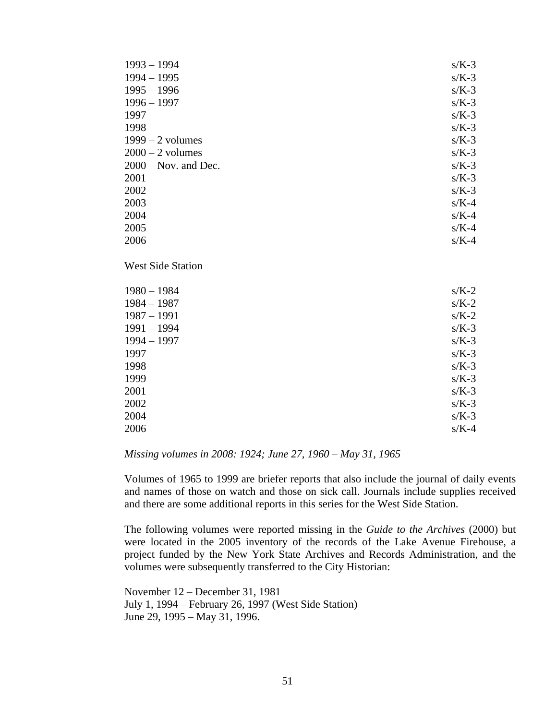| $1993 - 1994$            | $s/K-3$ |
|--------------------------|---------|
| $1994 - 1995$            | $s/K-3$ |
| $1995 - 1996$            | $s/K-3$ |
| $1996 - 1997$            | $s/K-3$ |
| 1997                     | $s/K-3$ |
| 1998                     | $s/K-3$ |
| $1999 - 2$ volumes       | $s/K-3$ |
| $2000 - 2$ volumes       | $s/K-3$ |
| 2000<br>Nov. and Dec.    | $s/K-3$ |
| 2001                     | $s/K-3$ |
| 2002                     | $s/K-3$ |
| 2003                     | $s/K-4$ |
| 2004                     | $s/K-4$ |
| 2005                     | $s/K-4$ |
| 2006                     | $s/K-4$ |
| <b>West Side Station</b> |         |
| $1980 - 1984$            | $s/K-2$ |
| $1984 - 1987$            | $s/K-2$ |
| $1987 - 1991$            | $s/K-2$ |
| $1991 - 1994$            | $s/K-3$ |
| $1994 - 1997$            | $s/K-3$ |
| 1997                     | $s/K-3$ |
| 1998                     | $s/K-3$ |
| 1999                     | $s/K-3$ |
| 2001                     | $s/K-3$ |
| 2002                     | $s/K-3$ |
| 2004                     | $s/K-3$ |
| 2006                     | $s/K-4$ |

*Missing volumes in 2008: 1924; June 27, 1960 – May 31, 1965* 

Volumes of 1965 to 1999 are briefer reports that also include the journal of daily events and names of those on watch and those on sick call. Journals include supplies received and there are some additional reports in this series for the West Side Station.

The following volumes were reported missing in the *Guide to the Archives* (2000) but were located in the 2005 inventory of the records of the Lake Avenue Firehouse, a project funded by the New York State Archives and Records Administration, and the volumes were subsequently transferred to the City Historian:

November 12 – December 31, 1981 July 1, 1994 – February 26, 1997 (West Side Station) June 29, 1995 – May 31, 1996.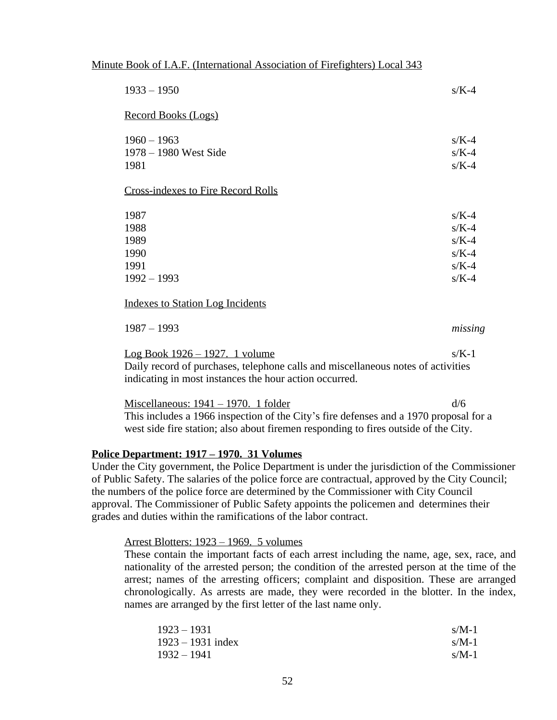#### Minute Book of I.A.F. (International Association of Firefighters) Local 343

| $1933 - 1950$                                                                                                                                                                                                     | $s/K-4$                                                        |
|-------------------------------------------------------------------------------------------------------------------------------------------------------------------------------------------------------------------|----------------------------------------------------------------|
| Record Books (Logs)                                                                                                                                                                                               |                                                                |
| $1960 - 1963$<br>1978 – 1980 West Side<br>1981                                                                                                                                                                    | $s/K-4$<br>$s/K-4$<br>$s/K-4$                                  |
| <b>Cross-indexes to Fire Record Rolls</b>                                                                                                                                                                         |                                                                |
| 1987<br>1988<br>1989<br>1990<br>1991<br>$1992 - 1993$                                                                                                                                                             | $s/K-4$<br>$s/K-4$<br>$s/K-4$<br>$s/K-4$<br>$s/K-4$<br>$s/K-4$ |
| <b>Indexes to Station Log Incidents</b>                                                                                                                                                                           |                                                                |
| $1987 - 1993$<br><u>Log Book <math>1926 - 1927</math>. 1 volume</u><br>Daily record of purchases, telephone calls and miscellaneous notes of activities<br>indicating in most instances the hour action occurred. | missing<br>$s/K-1$                                             |
| <u> Miscellaneous: 1941 – 1970. 1 folder</u>                                                                                                                                                                      | d/6                                                            |

This includes a 1966 inspection of the City's fire defenses and a 1970 proposal for a west side fire station; also about firemen responding to fires outside of the City.

#### **Police Department: 1917 – 1970. 31 Volumes**

Under the City government, the Police Department is under the jurisdiction of the Commissioner of Public Safety. The salaries of the police force are contractual, approved by the City Council; the numbers of the police force are determined by the Commissioner with City Council approval. The Commissioner of Public Safety appoints the policemen and determines their grades and duties within the ramifications of the labor contract.

#### Arrest Blotters: 1923 – 1969. 5 volumes

These contain the important facts of each arrest including the name, age, sex, race, and nationality of the arrested person; the condition of the arrested person at the time of the arrest; names of the arresting officers; complaint and disposition. These are arranged chronologically. As arrests are made, they were recorded in the blotter. In the index, names are arranged by the first letter of the last name only.

| $1923 - 1931$       | $s/M-1$ |
|---------------------|---------|
| $1923 - 1931$ index | $s/M-1$ |
| $1932 - 1941$       | $s/M-1$ |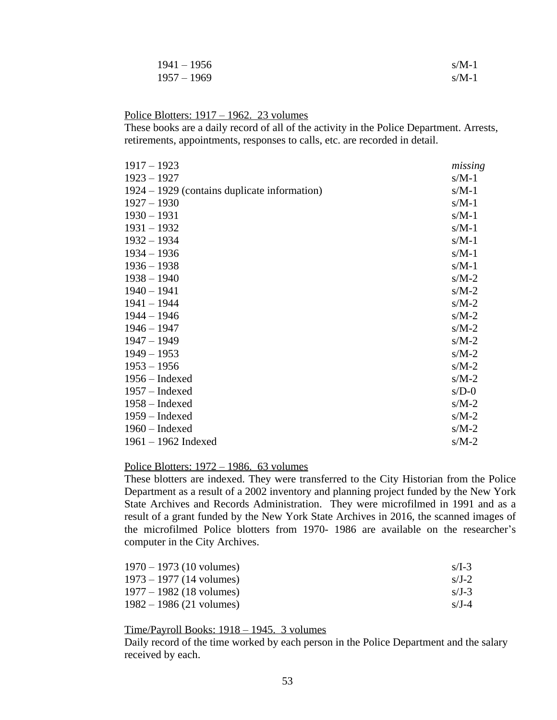| $1941 - 1956$ | $s/M-1$ |
|---------------|---------|
| $1957 - 1969$ | $s/M-1$ |

#### Police Blotters: 1917 – 1962. 23 volumes

These books are a daily record of all of the activity in the Police Department. Arrests, retirements, appointments, responses to calls, etc. are recorded in detail.

| $1917 - 1923$                                | missing |
|----------------------------------------------|---------|
| $1923 - 1927$                                | $s/M-1$ |
| 1924 – 1929 (contains duplicate information) | $s/M-1$ |
| $1927 - 1930$                                | $s/M-1$ |
| $1930 - 1931$                                | $s/M-1$ |
| $1931 - 1932$                                | $s/M-1$ |
| $1932 - 1934$                                | $s/M-1$ |
| $1934 - 1936$                                | $s/M-1$ |
| $1936 - 1938$                                | $s/M-1$ |
| $1938 - 1940$                                | $s/M-2$ |
| $1940 - 1941$                                | $s/M-2$ |
| 1941 - 1944                                  | $s/M-2$ |
| 1944 - 1946                                  | $s/M-2$ |
| $1946 - 1947$                                | $s/M-2$ |
| 1947 - 1949                                  | $s/M-2$ |
| $1949 - 1953$                                | $s/M-2$ |
| $1953 - 1956$                                | $s/M-2$ |
| 1956 – Indexed                               | $s/M-2$ |
| $1957$ – Indexed                             | $s/D-0$ |
| $1958 -$ Indexed                             | $s/M-2$ |
| $1959$ – Indexed                             | $s/M-2$ |
| 1960 - Indexed                               | $s/M-2$ |
| $1961 - 1962$ Indexed                        | $s/M-2$ |
|                                              |         |

#### Police Blotters: 1972 – 1986. 63 volumes

These blotters are indexed. They were transferred to the City Historian from the Police Department as a result of a 2002 inventory and planning project funded by the New York State Archives and Records Administration. They were microfilmed in 1991 and as a result of a grant funded by the New York State Archives in 2016, the scanned images of the microfilmed Police blotters from 1970- 1986 are available on the researcher's computer in the City Archives.

| $1970 - 1973$ (10 volumes) | $s/I-3$ |
|----------------------------|---------|
| $1973 - 1977$ (14 volumes) | $s/I-2$ |
| $1977 - 1982$ (18 volumes) | $s/J-3$ |
| $1982 - 1986$ (21 volumes) | $s/I-4$ |

#### Time/Payroll Books: 1918 – 1945. 3 volumes

Daily record of the time worked by each person in the Police Department and the salary received by each.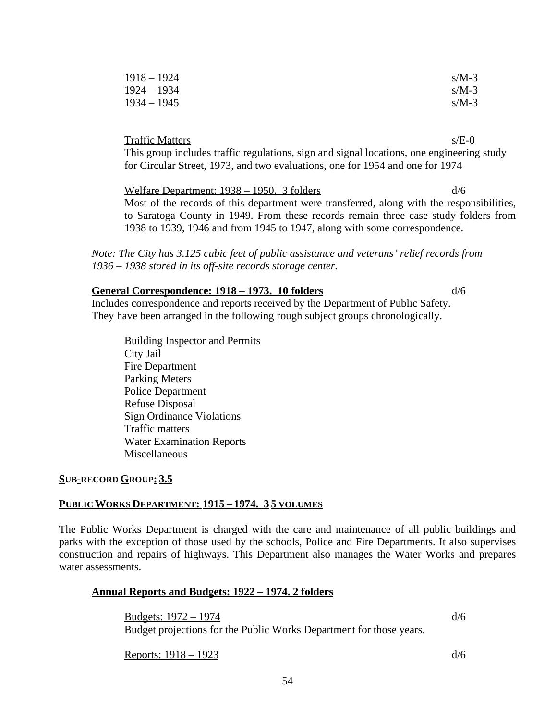| $1918 - 1924$ | $s/M-3$ |
|---------------|---------|
| $1924 - 1934$ | $s/M-3$ |
| $1934 - 1945$ | $s/M-3$ |

Traffic Matters s/E-0

This group includes traffic regulations, sign and signal locations, one engineering study for Circular Street, 1973, and two evaluations, one for 1954 and one for 1974

Welfare Department: 1938 – 1950. 3 folders d/6 Most of the records of this department were transferred, along with the responsibilities, to Saratoga County in 1949. From these records remain three case study folders from 1938 to 1939, 1946 and from 1945 to 1947, along with some correspondence.

*Note: The City has 3.125 cubic feet of public assistance and veterans' relief records from 1936 – 1938 stored in its off-site records storage center.*

#### **General Correspondence: 1918 – 1973. 10 folders** d/6

Includes correspondence and reports received by the Department of Public Safety. They have been arranged in the following rough subject groups chronologically.

Building Inspector and Permits City Jail Fire Department Parking Meters Police Department Refuse Disposal Sign Ordinance Violations Traffic matters Water Examination Reports Miscellaneous

#### **SUB-RECORD GROUP: 3.5**

#### **PUBLIC WORKS DEPARTMENT: 1915 – 1974. 3 5 VOLUMES**

The Public Works Department is charged with the care and maintenance of all public buildings and parks with the exception of those used by the schools, Police and Fire Departments. It also supervises construction and repairs of highways. This Department also manages the Water Works and prepares water assessments.

#### **Annual Reports and Budgets: 1922 – 1974. 2 folders**

Budgets:  $1972 - 1974$  d/6 Budget projections for the Public Works Department for those years.

Reports:  $1918 - 1923$  d/6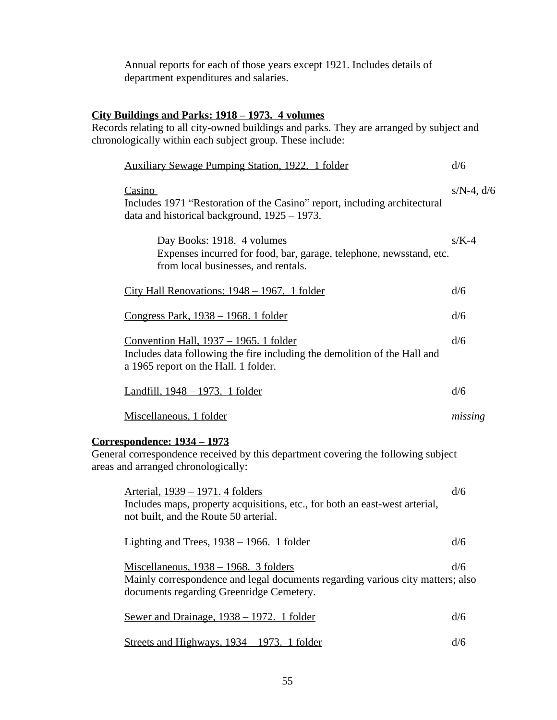Annual reports for each of those years except 1921. Includes details of department expenditures and salaries.

### **City Buildings and Parks: 1918 – 1973. 4 volumes**

Records relating to all city-owned buildings and parks. They are arranged by subject and chronologically within each subject group. These include:

| <b>Auxiliary Sewage Pumping Station, 1922. 1 folder</b>                                                                                                                | d/6             |
|------------------------------------------------------------------------------------------------------------------------------------------------------------------------|-----------------|
| Casino<br>Includes 1971 "Restoration of the Casino" report, including architectural<br>data and historical background, 1925 – 1973.                                    | $s/N-4$ , $d/6$ |
| Day Books: 1918. 4 volumes<br>Expenses incurred for food, bar, garage, telephone, newsstand, etc.<br>from local businesses, and rentals.                               | $s/K-4$         |
| City Hall Renovations: 1948 – 1967. 1 folder                                                                                                                           | d/6             |
| <u>Congress Park, 1938 – 1968. 1 folder</u>                                                                                                                            | d/6             |
| Convention Hall, 1937 – 1965. 1 folder<br>Includes data following the fire including the demolition of the Hall and<br>a 1965 report on the Hall. 1 folder.            | d/6             |
| <u>Landfill, 1948 – 1973. 1 folder</u>                                                                                                                                 | d/6             |
|                                                                                                                                                                        |                 |
| Miscellaneous, 1 folder                                                                                                                                                | missing         |
| <u>Correspondence: 1934 – 1973</u><br>General correspondence received by this department covering the following subject<br>areas and arranged chronologically:         |                 |
| Arterial, 1939 – 1971. 4 folders<br>Includes maps, property acquisitions, etc., for both an east-west arterial,<br>not built, and the Route 50 arterial.               | d/6             |
| Lighting and Trees, $1938 - 1966$ . 1 folder                                                                                                                           | d/6             |
| Miscellaneous, $1938 - 1968$ . 3 folders<br>Mainly correspondence and legal documents regarding various city matters; also<br>documents regarding Greenridge Cemetery. | d/6             |
| Sewer and Drainage, 1938 - 1972. 1 folder                                                                                                                              | d/6             |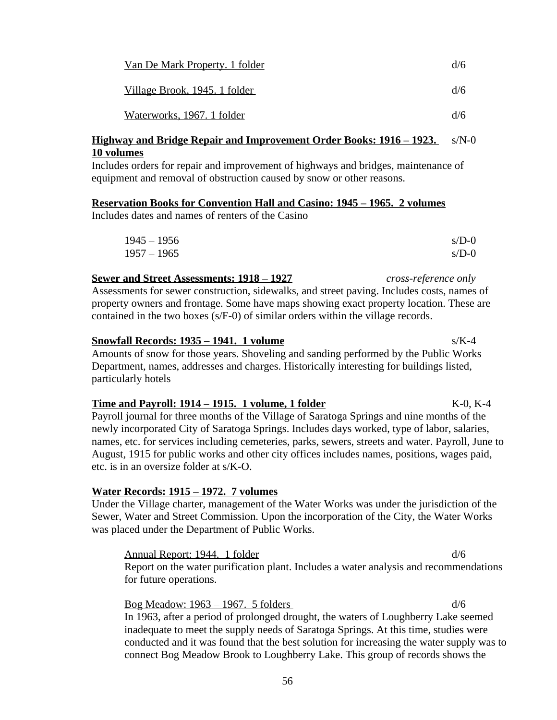| Van De Mark Property. 1 folder       | d/6 |
|--------------------------------------|-----|
| <u>Village Brook, 1945. 1 folder</u> | d/6 |
| Waterworks, 1967. 1 folder           | d/6 |

#### **Highway and Bridge Repair and Improvement Order Books: 1916 – 1923.** s/N-0 **10 volumes**

Includes orders for repair and improvement of highways and bridges, maintenance of equipment and removal of obstruction caused by snow or other reasons.

#### **Reservation Books for Convention Hall and Casino: 1945 – 1965. 2 volumes**

Includes dates and names of renters of the Casino

| $1945 - 1956$ | $s/D-0$ |
|---------------|---------|
| $1957 - 1965$ | $s/D-0$ |

#### **Sewer and Street Assessments: 1918 – 1927** *cross-reference only*

Assessments for sewer construction, sidewalks, and street paving. Includes costs, names of property owners and frontage. Some have maps showing exact property location. These are contained in the two boxes (s/F-0) of similar orders within the village records.

#### **Snowfall Records: 1935 – 1941. 1 volume** s/K-4

Amounts of snow for those years. Shoveling and sanding performed by the Public Works Department, names, addresses and charges. Historically interesting for buildings listed, particularly hotels

#### **Time and Payroll: 1914 – 1915. 1 volume, 1 folder** K-0, K-4

Payroll journal for three months of the Village of Saratoga Springs and nine months of the newly incorporated City of Saratoga Springs. Includes days worked, type of labor, salaries, names, etc. for services including cemeteries, parks, sewers, streets and water. Payroll, June to August, 1915 for public works and other city offices includes names, positions, wages paid, etc. is in an oversize folder at s/K-O.

#### **Water Records: 1915 – 1972. 7 volumes**

Under the Village charter, management of the Water Works was under the jurisdiction of the Sewer, Water and Street Commission. Upon the incorporation of the City, the Water Works was placed under the Department of Public Works.

Annual Report: 1944. 1 folder d/6 Report on the water purification plant. Includes a water analysis and recommendations for future operations.

Bog Meadow:  $1963 - 1967$ . 5 folders d/6 In 1963, after a period of prolonged drought, the waters of Loughberry Lake seemed inadequate to meet the supply needs of Saratoga Springs. At this time, studies were conducted and it was found that the best solution for increasing the water supply was to connect Bog Meadow Brook to Loughberry Lake. This group of records shows the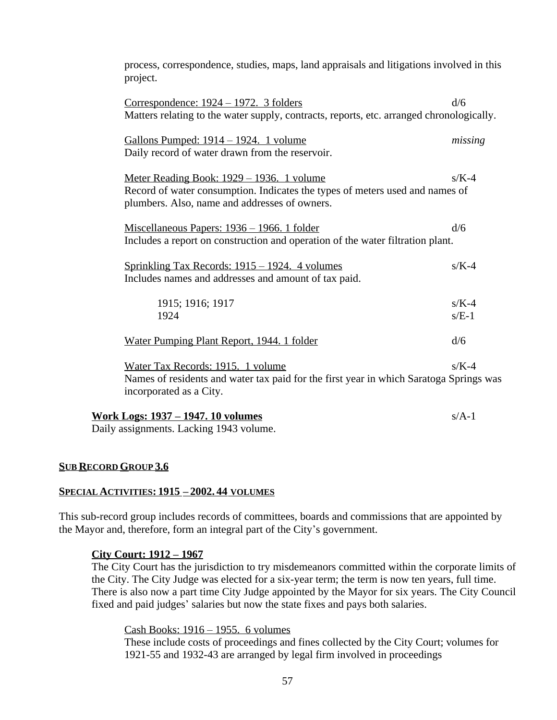process, correspondence, studies, maps, land appraisals and litigations involved in this project.

| Correspondence: $1924 - 1972$ . 3 folders<br>Matters relating to the water supply, contracts, reports, etc. arranged chronologically.                                      | d/6                |
|----------------------------------------------------------------------------------------------------------------------------------------------------------------------------|--------------------|
| Gallons Pumped: 1914 - 1924. 1 volume<br>Daily record of water drawn from the reservoir.                                                                                   | missing            |
| Meter Reading Book: 1929 - 1936. 1 volume<br>Record of water consumption. Indicates the types of meters used and names of<br>plumbers. Also, name and addresses of owners. | $s/K-4$            |
| <u> Miscellaneous Papers: 1936 – 1966. 1 folder</u><br>Includes a report on construction and operation of the water filtration plant.                                      | d/6                |
| <u> Sprinkling Tax Records: 1915 – 1924. 4 volumes</u><br>Includes names and addresses and amount of tax paid.                                                             | $s/K-4$            |
| 1915; 1916; 1917<br>1924                                                                                                                                                   | $s/K-4$<br>$s/E-1$ |
| Water Pumping Plant Report, 1944. 1 folder                                                                                                                                 | d/6                |
| Water Tax Records: 1915. 1 volume<br>Names of residents and water tax paid for the first year in which Saratoga Springs was<br>incorporated as a City.                     | $s/K-4$            |
| <u> Work Logs: 1937 – 1947. 10 volumes</u><br>Deily essignments. Legling 1042 volume                                                                                       | $s/A-1$            |

Daily assignments. Lacking 1943 volume.

#### **SUB RECORD GROUP 3.6**

#### **SPECIAL ACTIVITIES: 1915 – 2002. 44 VOLUMES**

This sub-record group includes records of committees, boards and commissions that are appointed by the Mayor and, therefore, form an integral part of the City's government.

#### **City Court: 1912 – 1967**

The City Court has the jurisdiction to try misdemeanors committed within the corporate limits of the City. The City Judge was elected for a six-year term; the term is now ten years, full time. There is also now a part time City Judge appointed by the Mayor for six years. The City Council fixed and paid judges' salaries but now the state fixes and pays both salaries.

#### Cash Books: 1916 – 1955. 6 volumes

These include costs of proceedings and fines collected by the City Court; volumes for 1921-55 and 1932-43 are arranged by legal firm involved in proceedings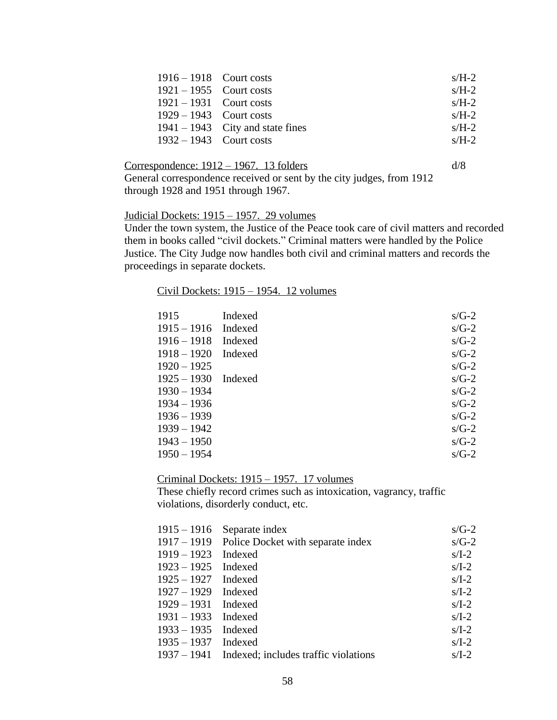| $1916 - 1918$ Court costs |                                    | $s/H-2$ |
|---------------------------|------------------------------------|---------|
| $1921 - 1955$ Court costs |                                    | $s/H-2$ |
| $1921 - 1931$ Court costs |                                    | $s/H-2$ |
| $1929 - 1943$ Court costs |                                    | $s/H-2$ |
|                           | $1941 - 1943$ City and state fines | $s/H-2$ |
| $1932 - 1943$ Court costs |                                    | $s/H-2$ |

#### Correspondence:  $1912 - 1967$ . 13 folders d/8

General correspondence received or sent by the city judges, from 1912 through 1928 and 1951 through 1967.

#### Judicial Dockets: 1915 – 1957. 29 volumes

Under the town system, the Justice of the Peace took care of civil matters and recorded them in books called "civil dockets." Criminal matters were handled by the Police Justice. The City Judge now handles both civil and criminal matters and records the proceedings in separate dockets.

#### Civil Dockets: 1915 – 1954. 12 volumes

| 1915                  | Indexed | $s/G-2$ |
|-----------------------|---------|---------|
| $1915 - 1916$ Indexed |         | $s/G-2$ |
| $1916 - 1918$         | Indexed | $s/G-2$ |
| $1918 - 1920$         | Indexed | $s/G-2$ |
| $1920 - 1925$         |         | $s/G-2$ |
| $1925 - 1930$ Indexed |         | $s/G-2$ |
| $1930 - 1934$         |         | $s/G-2$ |
| $1934 - 1936$         |         | $s/G-2$ |
| $1936 - 1939$         |         | $s/G-2$ |
| $1939 - 1942$         |         | $s/G-2$ |
| $1943 - 1950$         |         | $s/G-2$ |
| $1950 - 1954$         |         | $s/G-2$ |

Criminal Dockets: 1915 – 1957. 17 volumes

These chiefly record crimes such as intoxication, vagrancy, traffic violations, disorderly conduct, etc.

|                       | $1915 - 1916$ Separate index                     | $s/G-2$ |
|-----------------------|--------------------------------------------------|---------|
|                       | 1917 – 1919 Police Docket with separate index    | $s/G-2$ |
| $1919 - 1923$         | Indexed                                          | $s/I-2$ |
| $1923 - 1925$ Indexed |                                                  | $s/I-2$ |
| $1925 - 1927$ Indexed |                                                  | $s/I-2$ |
| $1927 - 1929$ Indexed |                                                  | $s/I-2$ |
| $1929 - 1931$ Indexed |                                                  | $s/I-2$ |
| $1931 - 1933$ Indexed |                                                  | $s/I-2$ |
| $1933 - 1935$ Indexed |                                                  | $s/I-2$ |
| $1935 - 1937$ Indexed |                                                  | $s/I-2$ |
|                       | 1937 – 1941 Indexed; includes traffic violations | $s/I-2$ |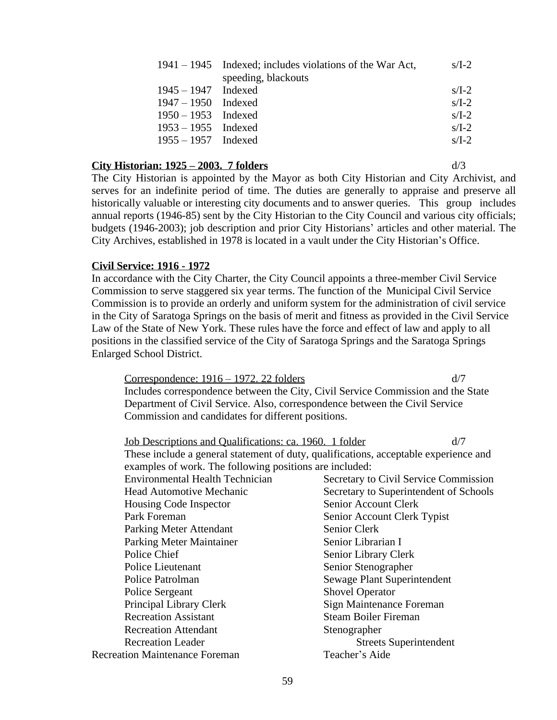|                       | $1941 - 1945$ Indexed; includes violations of the War Act, | $s/I-2$ |
|-----------------------|------------------------------------------------------------|---------|
|                       | speeding, blackouts                                        |         |
| $1945 - 1947$ Indexed |                                                            | $s/I-2$ |
| $1947 - 1950$ Indexed |                                                            | $s/I-2$ |
| $1950 - 1953$ Indexed |                                                            | $s/I-2$ |
| $1953 - 1955$ Indexed |                                                            | $s/I-2$ |
| $1955 - 1957$ Indexed |                                                            | $s/I-2$ |
|                       |                                                            |         |

#### **City Historian: 1925 – 2003. 7 folders** d/3

The City Historian is appointed by the Mayor as both City Historian and City Archivist, and serves for an indefinite period of time. The duties are generally to appraise and preserve all historically valuable or interesting city documents and to answer queries. This group includes annual reports (1946-85) sent by the City Historian to the City Council and various city officials; budgets (1946-2003); job description and prior City Historians' articles and other material. The City Archives, established in 1978 is located in a vault under the City Historian's Office.

#### **Civil Service: 1916 - 1972**

In accordance with the City Charter, the City Council appoints a three-member Civil Service Commission to serve staggered six year terms. The function of the Municipal Civil Service Commission is to provide an orderly and uniform system for the administration of civil service in the City of Saratoga Springs on the basis of merit and fitness as provided in the Civil Service Law of the State of New York. These rules have the force and effect of law and apply to all positions in the classified service of the City of Saratoga Springs and the Saratoga Springs Enlarged School District.

Correspondence: 1916 – 1972. 22 folders d/7 Includes correspondence between the City, Civil Service Commission and the State Department of Civil Service. Also, correspondence between the Civil Service Commission and candidates for different positions.

| Job Descriptions and Qualifications: ca. 1960. 1 folder                              | d/7                                    |
|--------------------------------------------------------------------------------------|----------------------------------------|
| These include a general statement of duty, qualifications, acceptable experience and |                                        |
| examples of work. The following positions are included:                              |                                        |
| <b>Environmental Health Technician</b>                                               | Secretary to Civil Service Commission  |
| <b>Head Automotive Mechanic</b>                                                      | Secretary to Superintendent of Schools |
| Housing Code Inspector                                                               | Senior Account Clerk                   |
| Park Foreman                                                                         | Senior Account Clerk Typist            |
| Parking Meter Attendant                                                              | Senior Clerk                           |
| <b>Parking Meter Maintainer</b>                                                      | Senior Librarian I                     |
| Police Chief                                                                         | Senior Library Clerk                   |
| Police Lieutenant                                                                    | Senior Stenographer                    |
| Police Patrolman                                                                     | Sewage Plant Superintendent            |
| Police Sergeant                                                                      | <b>Shovel Operator</b>                 |
| Principal Library Clerk                                                              | Sign Maintenance Foreman               |
| <b>Recreation Assistant</b>                                                          | <b>Steam Boiler Fireman</b>            |
| <b>Recreation Attendant</b>                                                          | Stenographer                           |
| <b>Recreation Leader</b>                                                             | <b>Streets Superintendent</b>          |
| <b>Recreation Maintenance Foreman</b>                                                | Teacher's Aide                         |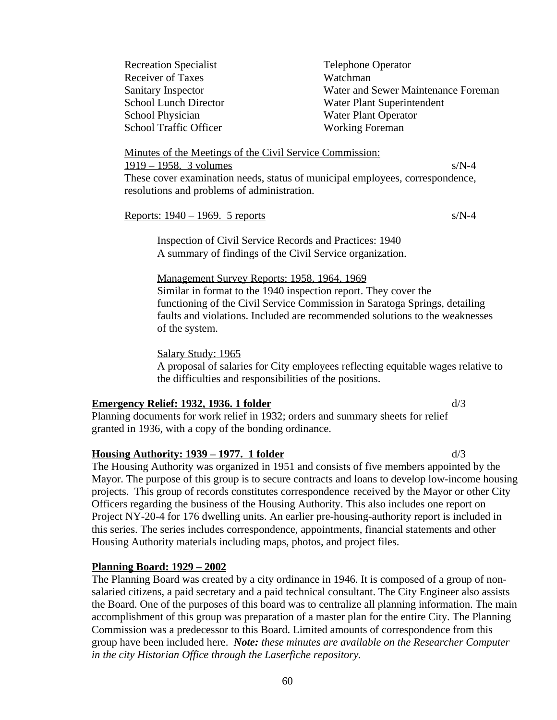Recreation Specialist Telephone Operator Receiver of Taxes Watchman School Physician Water Plant Operator School Traffic Officer Working Foreman

Sanitary Inspector Water and Sewer Maintenance Foreman School Lunch Director Water Plant Superintendent

Minutes of the Meetings of the Civil Service Commission:  $1919 - 1958$ . 3 volumes s/N-4 These cover examination needs, status of municipal employees, correspondence, resolutions and problems of administration.

Reports:  $1940 - 1969$ . 5 reports s/N-4

Inspection of Civil Service Records and Practices: 1940 A summary of findings of the Civil Service organization.

Management Survey Reports: 1958, 1964, 1969 Similar in format to the 1940 inspection report. They cover the functioning of the Civil Service Commission in Saratoga Springs, detailing faults and violations. Included are recommended solutions to the weaknesses of the system.

Salary Study: 1965

A proposal of salaries for City employees reflecting equitable wages relative to the difficulties and responsibilities of the positions.

# **Emergency Relief: 1932, 1936. 1 folder** d/3

Planning documents for work relief in 1932; orders and summary sheets for relief granted in 1936, with a copy of the bonding ordinance.

# **Housing Authority: 1939 – 1977. 1 folder** d/3

The Housing Authority was organized in 1951 and consists of five members appointed by the Mayor. The purpose of this group is to secure contracts and loans to develop low-income housing projects. This group of records constitutes correspondence received by the Mayor or other City Officers regarding the business of the Housing Authority. This also includes one report on Project NY-20-4 for 176 dwelling units. An earlier pre-housing-authority report is included in this series. The series includes correspondence, appointments, financial statements and other Housing Authority materials including maps, photos, and project files.

# **Planning Board: 1929 – 2002**

The Planning Board was created by a city ordinance in 1946. It is composed of a group of nonsalaried citizens, a paid secretary and a paid technical consultant. The City Engineer also assists the Board. One of the purposes of this board was to centralize all planning information. The main accomplishment of this group was preparation of a master plan for the entire City. The Planning Commission was a predecessor to this Board. Limited amounts of correspondence from this group have been included here. *Note: these minutes are available on the Researcher Computer in the city Historian Office through the Laserfiche repository.*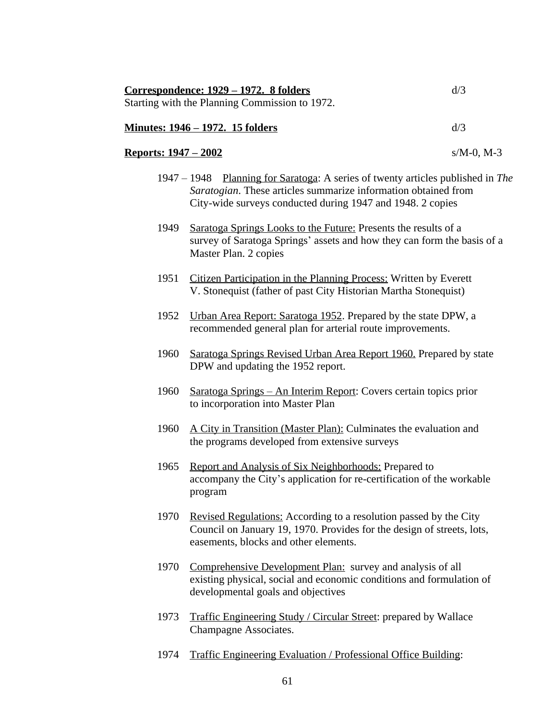|                              | Correspondence: 1929 - 1972. 8 folders                                                                                                                                                                          | d/3           |
|------------------------------|-----------------------------------------------------------------------------------------------------------------------------------------------------------------------------------------------------------------|---------------|
|                              | Starting with the Planning Commission to 1972.                                                                                                                                                                  |               |
|                              | <u> Minutes: 1946 – 1972. 15 folders</u>                                                                                                                                                                        | d/3           |
| <u> Reports: 1947 – 2002</u> |                                                                                                                                                                                                                 | $s/M-0$ , M-3 |
|                              | 1947 – 1948 Planning for Saratoga: A series of twenty articles published in The<br>Saratogian. These articles summarize information obtained from<br>City-wide surveys conducted during 1947 and 1948. 2 copies |               |
| 1949                         | Saratoga Springs Looks to the Future: Presents the results of a<br>survey of Saratoga Springs' assets and how they can form the basis of a<br>Master Plan. 2 copies                                             |               |
| 1951                         | Citizen Participation in the Planning Process: Written by Everett<br>V. Stonequist (father of past City Historian Martha Stonequist)                                                                            |               |
| 1952                         | Urban Area Report: Saratoga 1952. Prepared by the state DPW, a<br>recommended general plan for arterial route improvements.                                                                                     |               |
| 1960                         | Saratoga Springs Revised Urban Area Report 1960. Prepared by state<br>DPW and updating the 1952 report.                                                                                                         |               |
| 1960                         | <u> Saratoga Springs – An Interim Report:</u> Covers certain topics prior<br>to incorporation into Master Plan                                                                                                  |               |
| 1960                         | A City in Transition (Master Plan): Culminates the evaluation and<br>the programs developed from extensive surveys                                                                                              |               |
| 1965                         | Report and Analysis of Six Neighborhoods: Prepared to<br>accompany the City's application for re-certification of the workable<br>program                                                                       |               |
| 1970                         | Revised Regulations: According to a resolution passed by the City<br>Council on January 19, 1970. Provides for the design of streets, lots,<br>easements, blocks and other elements.                            |               |
| 1970                         | Comprehensive Development Plan: survey and analysis of all<br>existing physical, social and economic conditions and formulation of<br>developmental goals and objectives                                        |               |
| 1973                         | <b>Traffic Engineering Study / Circular Street: prepared by Wallace</b><br>Champagne Associates.                                                                                                                |               |
|                              |                                                                                                                                                                                                                 |               |

1974 Traffic Engineering Evaluation / Professional Office Building: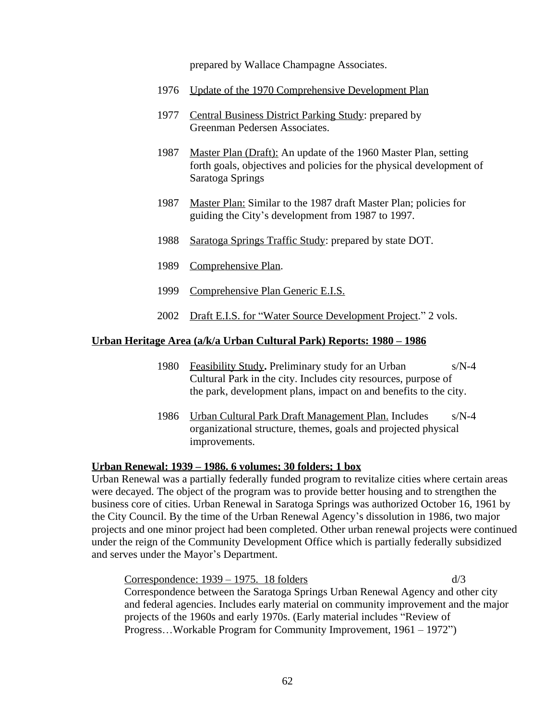prepared by Wallace Champagne Associates.

- 1976 Update of the 1970 Comprehensive Development Plan
- 1977 Central Business District Parking Study: prepared by Greenman Pedersen Associates.
- 1987 Master Plan (Draft): An update of the 1960 Master Plan, setting forth goals, objectives and policies for the physical development of Saratoga Springs
- 1987 Master Plan: Similar to the 1987 draft Master Plan; policies for guiding the City's development from 1987 to 1997.
- 1988 Saratoga Springs Traffic Study: prepared by state DOT.
- 1989 Comprehensive Plan.
- 1999 Comprehensive Plan Generic E.I.S.
- 2002 Draft E.I.S. for "Water Source Development Project." 2 vols.

#### **Urban Heritage Area (a/k/a Urban Cultural Park) Reports: 1980 – 1986**

- 1980 Feasibility Study**.** Preliminary study for an Urban s/N-4 Cultural Park in the city. Includes city resources, purpose of the park, development plans, impact on and benefits to the city.
- 1986 Urban Cultural Park Draft Management Plan. Includes s/N-4 organizational structure, themes, goals and projected physical improvements.

#### **Urban Renewal: 1939 – 1986. 6 volumes; 30 folders; 1 box**

Urban Renewal was a partially federally funded program to revitalize cities where certain areas were decayed. The object of the program was to provide better housing and to strengthen the business core of cities. Urban Renewal in Saratoga Springs was authorized October 16, 1961 by the City Council. By the time of the Urban Renewal Agency's dissolution in 1986, two major projects and one minor project had been completed. Other urban renewal projects were continued under the reign of the Community Development Office which is partially federally subsidized and serves under the Mayor's Department.

Correspondence:  $1939 - 1975$ . 18 folders d/3 Correspondence between the Saratoga Springs Urban Renewal Agency and other city and federal agencies. Includes early material on community improvement and the major projects of the 1960s and early 1970s. (Early material includes "Review of Progress…Workable Program for Community Improvement, 1961 – 1972")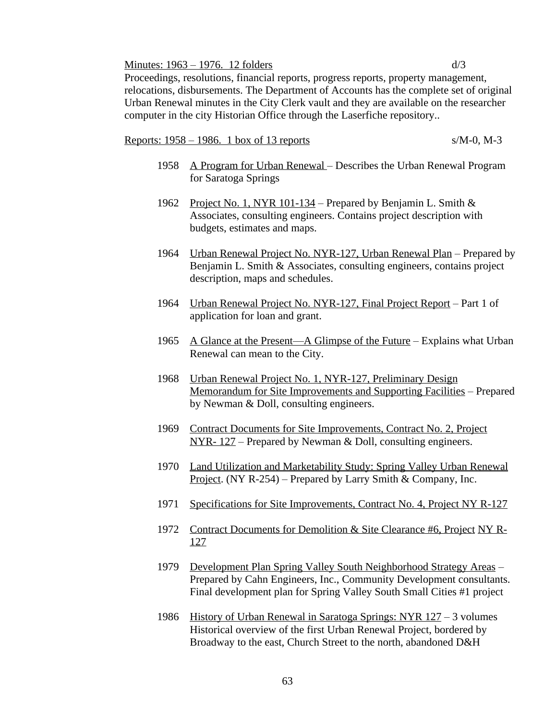#### Minutes:  $1963 - 1976$ . 12 folders d/3

Proceedings, resolutions, financial reports, progress reports, property management, relocations, disbursements. The Department of Accounts has the complete set of original Urban Renewal minutes in the City Clerk vault and they are available on the researcher computer in the city Historian Office through the Laserfiche repository..

#### Reports: 1958 – 1986. 1 box of 13 reports s/M-0, M-3

- 1958 A Program for Urban Renewal Describes the Urban Renewal Program for Saratoga Springs
- 1962 Project No. 1, NYR 101-134 Prepared by Benjamin L. Smith & Associates, consulting engineers. Contains project description with budgets, estimates and maps.
- 1964 Urban Renewal Project No. NYR-127, Urban Renewal Plan Prepared by Benjamin L. Smith & Associates, consulting engineers, contains project description, maps and schedules.
- 1964 Urban Renewal Project No. NYR-127, Final Project Report Part 1 of application for loan and grant.
- 1965 A Glance at the Present—A Glimpse of the Future Explains what Urban Renewal can mean to the City.
- 1968 Urban Renewal Project No. 1, NYR-127, Preliminary Design Memorandum for Site Improvements and Supporting Facilities – Prepared by Newman & Doll, consulting engineers.
- 1969 Contract Documents for Site Improvements, Contract No. 2, Project NYR- 127 – Prepared by Newman & Doll, consulting engineers.
- 1970 Land Utilization and Marketability Study: Spring Valley Urban Renewal Project. (NY R-254) – Prepared by Larry Smith & Company, Inc.
- 1971 Specifications for Site Improvements, Contract No. 4, Project NY R-127
- 1972 Contract Documents for Demolition & Site Clearance #6, Project NY R-127
- 1979 Development Plan Spring Valley South Neighborhood Strategy Areas Prepared by Cahn Engineers, Inc., Community Development consultants. Final development plan for Spring Valley South Small Cities #1 project
- 1986 History of Urban Renewal in Saratoga Springs: NYR 127 3 volumes Historical overview of the first Urban Renewal Project, bordered by Broadway to the east, Church Street to the north, abandoned D&H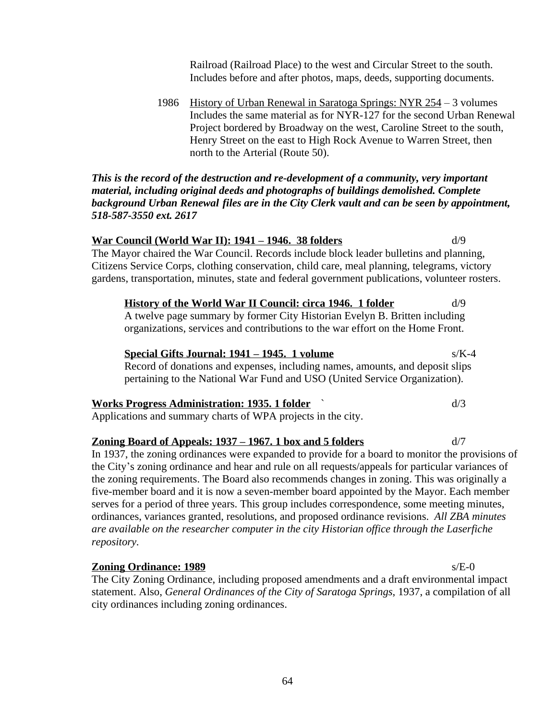Railroad (Railroad Place) to the west and Circular Street to the south. Includes before and after photos, maps, deeds, supporting documents.

1986 History of Urban Renewal in Saratoga Springs: NYR 254 – 3 volumes Includes the same material as for NYR-127 for the second Urban Renewal Project bordered by Broadway on the west, Caroline Street to the south, Henry Street on the east to High Rock Avenue to Warren Street, then north to the Arterial (Route 50).

*This is the record of the destruction and re-development of a community, very important material, including original deeds and photographs of buildings demolished. Complete background Urban Renewal files are in the City Clerk vault and can be seen by appointment, 518-587-3550 ext. 2617*

#### **War Council (World War II): 1941 – 1946. 38 folders** d/9

The Mayor chaired the War Council. Records include block leader bulletins and planning, Citizens Service Corps, clothing conservation, child care, meal planning, telegrams, victory gardens, transportation, minutes, state and federal government publications, volunteer rosters.

#### **History of the World War II Council: circa 1946. 1 folder** d/9

A twelve page summary by former City Historian Evelyn B. Britten including organizations, services and contributions to the war effort on the Home Front.

# **Special Gifts Journal: 1941 – 1945. 1 volume** s/K-4

Record of donations and expenses, including names, amounts, and deposit slips pertaining to the National War Fund and USO (United Service Organization).

# **Works Progress Administration: 1935. 1 folder**  $\dot{\phantom{1}}$  d/3

Applications and summary charts of WPA projects in the city.

#### **Zoning Board of Appeals: 1937 – 1967. 1 box and 5 folders** d/7

In 1937, the zoning ordinances were expanded to provide for a board to monitor the provisions of the City's zoning ordinance and hear and rule on all requests/appeals for particular variances of the zoning requirements. The Board also recommends changes in zoning. This was originally a five-member board and it is now a seven-member board appointed by the Mayor. Each member serves for a period of three years. This group includes correspondence, some meeting minutes, ordinances, variances granted, resolutions, and proposed ordinance revisions. *All ZBA minutes are available on the researcher computer in the city Historian office through the Laserfiche repository.*

#### **Zoning Ordinance: 1989** s/E-0

The City Zoning Ordinance, including proposed amendments and a draft environmental impact statement. Also, *General Ordinances of the City of Saratoga Springs*, 1937, a compilation of all city ordinances including zoning ordinances.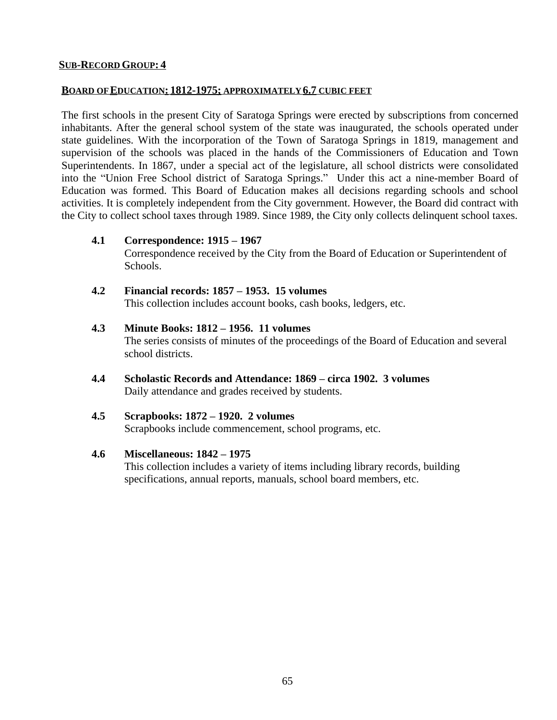#### **SUB-RECORD GROUP: 4**

#### **BOARD OF EDUCATION: 1812-1975; APPROXIMATELY 6.7 CUBIC FEET**

The first schools in the present City of Saratoga Springs were erected by subscriptions from concerned inhabitants. After the general school system of the state was inaugurated, the schools operated under state guidelines. With the incorporation of the Town of Saratoga Springs in 1819, management and supervision of the schools was placed in the hands of the Commissioners of Education and Town Superintendents. In 1867, under a special act of the legislature, all school districts were consolidated into the "Union Free School district of Saratoga Springs." Under this act a nine-member Board of Education was formed. This Board of Education makes all decisions regarding schools and school activities. It is completely independent from the City government. However, the Board did contract with the City to collect school taxes through 1989. Since 1989, the City only collects delinquent school taxes.

**4.1 Correspondence: 1915 – 1967**

Correspondence received by the City from the Board of Education or Superintendent of Schools.

- **4.2 Financial records: 1857 – 1953. 15 volumes** This collection includes account books, cash books, ledgers, etc.
- **4.3 Minute Books: 1812 – 1956. 11 volumes** The series consists of minutes of the proceedings of the Board of Education and several school districts.
- **4.4 Scholastic Records and Attendance: 1869 – circa 1902. 3 volumes** Daily attendance and grades received by students.
- **4.5 Scrapbooks: 1872 – 1920. 2 volumes** Scrapbooks include commencement, school programs, etc.

#### **4.6 Miscellaneous: 1842 – 1975**

This collection includes a variety of items including library records, building specifications, annual reports, manuals, school board members, etc.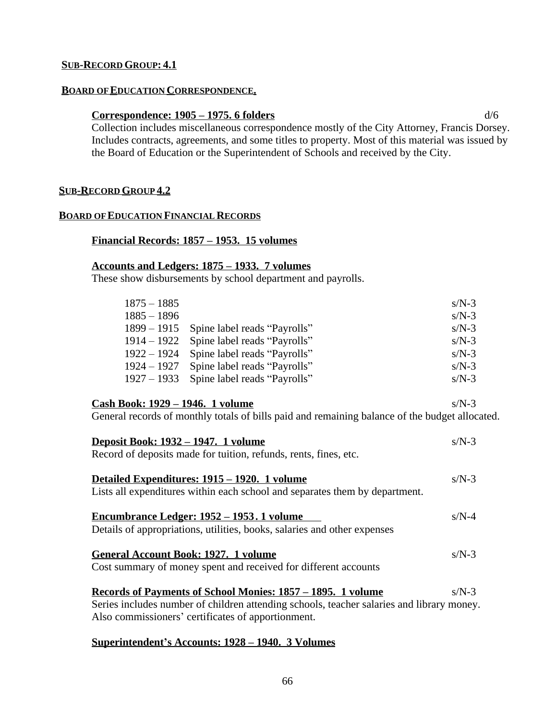#### **SUB-RECORD GROUP: 4.1**

#### **BOARD OF EDUCATION CORRESPONDENCE.**

#### **Correspondence: 1905 – 1975. 6 folders** d/6

Collection includes miscellaneous correspondence mostly of the City Attorney, Francis Dorsey. Includes contracts, agreements, and some titles to property. Most of this material was issued by the Board of Education or the Superintendent of Schools and received by the City.

#### **SUB-RECORD GROUP 4.2**

#### **BOARD OF EDUCATION FINANCIAL RECORDS**

#### **Financial Records: 1857 – 1953. 15 volumes**

#### **Accounts and Ledgers: 1875 – 1933. 7 volumes**

These show disbursements by school department and payrolls.

| $1875 - 1885$ |                              | $s/N-3$ |
|---------------|------------------------------|---------|
| $1885 - 1896$ |                              | $s/N-3$ |
| $1899 - 1915$ | Spine label reads "Payrolls" | $s/N-3$ |
| $1914 - 1922$ | Spine label reads "Payrolls" | $s/N-3$ |
| $1922 - 1924$ | Spine label reads "Payrolls" | $s/N-3$ |
| $1924 - 1927$ | Spine label reads "Payrolls" | $s/N-3$ |
| $1927 - 1933$ | Spine label reads "Payrolls" | $s/N-3$ |

#### **Cash Book: 1929 – 1946. 1 volume** s/N-3

General records of monthly totals of bills paid and remaining balance of the budget allocated.

| <u>Deposit Book: 1932 – 1947. 1 volume</u>                                                | $s/N-3$ |
|-------------------------------------------------------------------------------------------|---------|
| Record of deposits made for tuition, refunds, rents, fines, etc.                          |         |
|                                                                                           |         |
| <u> Detailed Expenditures: 1915 – 1920. 1 volume</u>                                      | $s/N-3$ |
| Lists all expenditures within each school and separates them by department.               |         |
| <u>Encumbrance Ledger: 1952 – 1953. 1 volume</u>                                          | $s/N-4$ |
| Details of appropriations, utilities, books, salaries and other expenses                  |         |
| <b>General Account Book: 1927. 1 volume</b>                                               | $s/N-3$ |
| Cost summary of money spent and received for different accounts                           |         |
| <u>Records of Payments of School Monies: 1857 – 1895. 1 volume</u>                        | $s/N-3$ |
| Series includes number of children attending schools, teacher salaries and library money. |         |
| Also commissioners' certificates of apportionment.                                        |         |

#### **Superintendent's Accounts: 1928 – 1940. 3 Volumes**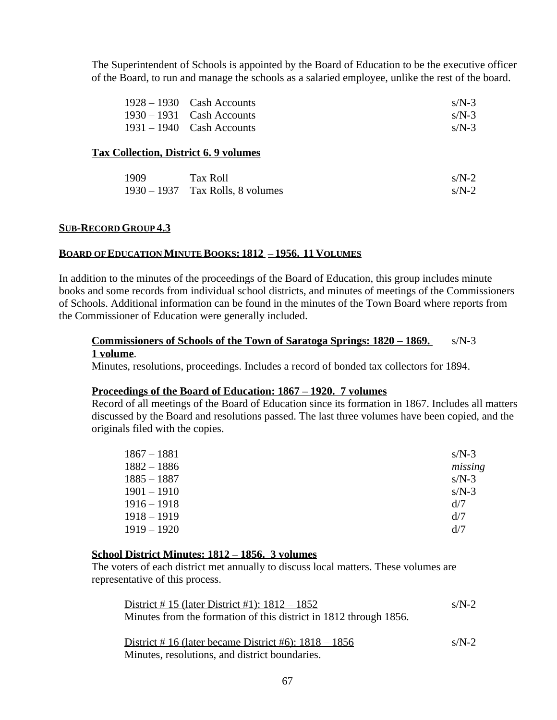The Superintendent of Schools is appointed by the Board of Education to be the executive officer of the Board, to run and manage the schools as a salaried employee, unlike the rest of the board.

| $1928 - 1930$ Cash Accounts | $s/N-3$ |
|-----------------------------|---------|
| $1930 - 1931$ Cash Accounts | $s/N-3$ |
| $1931 - 1940$ Cash Accounts | $s/N-3$ |

#### **Tax Collection, District 6. 9 volumes**

| 1909 | Tax Roll                           | $s/N-2$ |
|------|------------------------------------|---------|
|      | $1930 - 1937$ Tax Rolls, 8 volumes | $s/N-2$ |

#### **SUB-RECORD GROUP 4.3**

#### **BOARD OF EDUCATION MINUTE BOOKS: 1812 – 1956. 11 VOLUMES**

In addition to the minutes of the proceedings of the Board of Education, this group includes minute books and some records from individual school districts, and minutes of meetings of the Commissioners of Schools. Additional information can be found in the minutes of the Town Board where reports from the Commissioner of Education were generally included.

#### **Commissioners of Schools of the Town of Saratoga Springs: 1820 – 1869.** s/N-3 **1 volume**.

Minutes, resolutions, proceedings. Includes a record of bonded tax collectors for 1894.

#### **Proceedings of the Board of Education: 1867 – 1920. 7 volumes**

Record of all meetings of the Board of Education since its formation in 1867. Includes all matters discussed by the Board and resolutions passed. The last three volumes have been copied, and the originals filed with the copies.

| $1867 - 1881$ | $s/N-3$ |
|---------------|---------|
| $1882 - 1886$ | missing |
| $1885 - 1887$ | $s/N-3$ |
| $1901 - 1910$ | $s/N-3$ |
| 1916 – 1918   | d/7     |
| 1918 – 1919   | d/7     |
| $1919 - 1920$ | d/7     |

#### **School District Minutes: 1812 – 1856. 3 volumes**

The voters of each district met annually to discuss local matters. These volumes are representative of this process.

| District #15 (later District #1): $1812 - 1852$                                                                                                                                                                                                                                                              | $s/N-2$        |
|--------------------------------------------------------------------------------------------------------------------------------------------------------------------------------------------------------------------------------------------------------------------------------------------------------------|----------------|
| Minutes from the formation of this district in 1812 through 1856.                                                                                                                                                                                                                                            |                |
| $\mathbf{D}_{\text{total}}^{\text{t}} = 1.44 \pm 1.6 \pm 1.00 \pm 1.00 \pm 1.00 \pm 1.00 \pm 1.00 \pm 1.00 \pm 1.00 \pm 1.00 \pm 1.00 \pm 1.00 \pm 1.00 \pm 1.00 \pm 1.00 \pm 1.00 \pm 1.00 \pm 1.00 \pm 1.00 \pm 1.00 \pm 1.00 \pm 1.00 \pm 1.00 \pm 1.00 \pm 1.00 \pm 1.00 \pm 1.00 \pm 1.00 \pm 1.00 \pm$ | $\overline{M}$ |

District  $\#$  16 (later became District  $\#6$ ):  $1818 - 1856$  s/N-2 Minutes, resolutions, and district boundaries.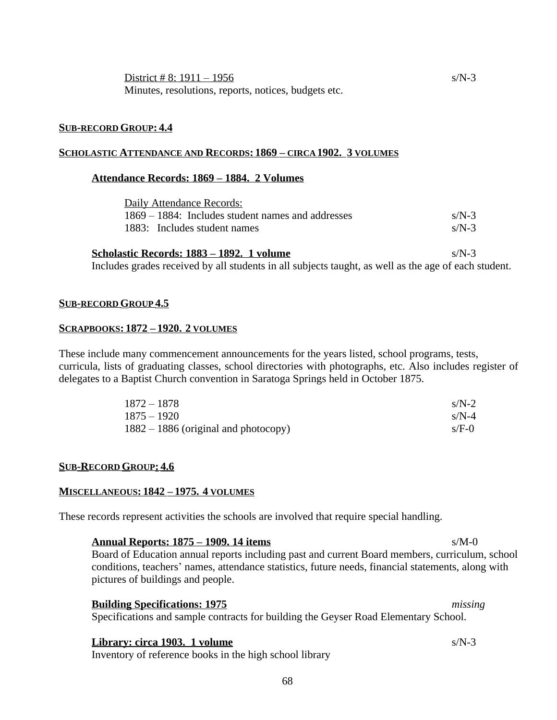#### **SUB-RECORD GROUP: 4.4**

### **SCHOLASTIC ATTENDANCE AND RECORDS: 1869 – CIRCA 1902. 3 VOLUMES**

#### **Attendance Records: 1869 – 1884. 2 Volumes**

| Daily Attendance Records:                         |         |
|---------------------------------------------------|---------|
| 1869 – 1884: Includes student names and addresses | $s/N-3$ |
| 1883: Includes student names                      | $s/N-3$ |

| Scholastic Records: 1883 – 1892. 1 volume                                                            | $s/N-3$ |
|------------------------------------------------------------------------------------------------------|---------|
| Includes grades received by all students in all subjects taught, as well as the age of each student. |         |

#### **SUB-RECORD GROUP 4.5**

#### **SCRAPBOOKS: 1872 – 1920. 2 VOLUMES**

These include many commencement announcements for the years listed, school programs, tests, curricula, lists of graduating classes, school directories with photographs, etc. Also includes register of delegates to a Baptist Church convention in Saratoga Springs held in October 1875.

| $1872 - 1878$                          | $s/N-2$ |
|----------------------------------------|---------|
| $1875 - 1920$                          | $s/N-4$ |
| $1882 - 1886$ (original and photocopy) | $s/F-0$ |

#### **SUB-RECORD GROUP: 4.6**

#### **MISCELLANEOUS: 1842 – 1975. 4 VOLUMES**

These records represent activities the schools are involved that require special handling.

**Annual Reports: 1875 – 1909. 14 items** s/M-0 Board of Education annual reports including past and current Board members, curriculum, school conditions, teachers' names, attendance statistics, future needs, financial statements, along with pictures of buildings and people.

#### **Building Specifications: 1975** *missing*

Specifications and sample contracts for building the Geyser Road Elementary School.

#### **Library: circa 1903. 1 volume** s/N-3

Inventory of reference books in the high school library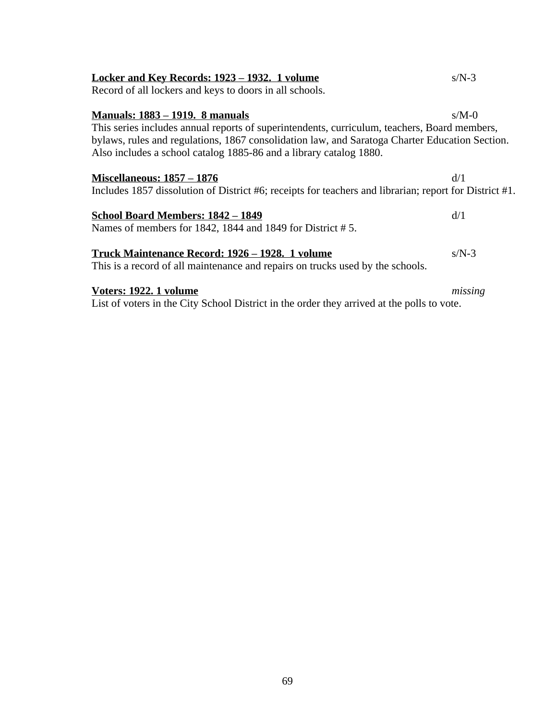| Locker and Key Records: 1923 – 1932. 1 volume                                                          | $s/N-3$ |  |
|--------------------------------------------------------------------------------------------------------|---------|--|
| Record of all lockers and keys to doors in all schools.                                                |         |  |
|                                                                                                        |         |  |
| <b>Manuals: 1883 – 1919. 8 manuals</b>                                                                 | $s/M-0$ |  |
| This series includes annual reports of superintendents, curriculum, teachers, Board members,           |         |  |
| bylaws, rules and regulations, 1867 consolidation law, and Saratoga Charter Education Section.         |         |  |
| Also includes a school catalog 1885-86 and a library catalog 1880.                                     |         |  |
| <b>Miscellaneous: 1857 – 1876</b>                                                                      | d/1     |  |
| Includes 1857 dissolution of District #6; receipts for teachers and librarian; report for District #1. |         |  |
| School Board Members: 1842 – 1849                                                                      | d/1     |  |
| Names of members for 1842, 1844 and 1849 for District #5.                                              |         |  |
| Truck Maintenance Record: 1926 – 1928. 1 volume                                                        | $s/N-3$ |  |

# This is a record of all maintenance and repairs on trucks used by the schools.

### **Voters: 1922. 1 volume** *missing*

List of voters in the City School District in the order they arrived at the polls to vote.

#### 69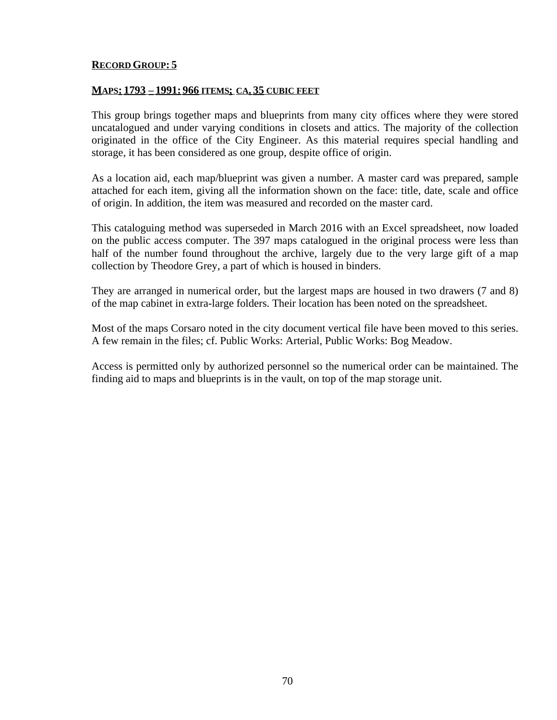#### **RECORD GROUP: 5**

#### **MAPS: 1793 – 1991: 966 ITEMS; CA. 35 CUBIC FEET**

This group brings together maps and blueprints from many city offices where they were stored uncatalogued and under varying conditions in closets and attics. The majority of the collection originated in the office of the City Engineer. As this material requires special handling and storage, it has been considered as one group, despite office of origin.

As a location aid, each map/blueprint was given a number. A master card was prepared, sample attached for each item, giving all the information shown on the face: title, date, scale and office of origin. In addition, the item was measured and recorded on the master card.

This cataloguing method was superseded in March 2016 with an Excel spreadsheet, now loaded on the public access computer. The 397 maps catalogued in the original process were less than half of the number found throughout the archive, largely due to the very large gift of a map collection by Theodore Grey, a part of which is housed in binders.

They are arranged in numerical order, but the largest maps are housed in two drawers (7 and 8) of the map cabinet in extra-large folders. Their location has been noted on the spreadsheet.

Most of the maps Corsaro noted in the city document vertical file have been moved to this series. A few remain in the files; cf. Public Works: Arterial, Public Works: Bog Meadow.

Access is permitted only by authorized personnel so the numerical order can be maintained. The finding aid to maps and blueprints is in the vault, on top of the map storage unit.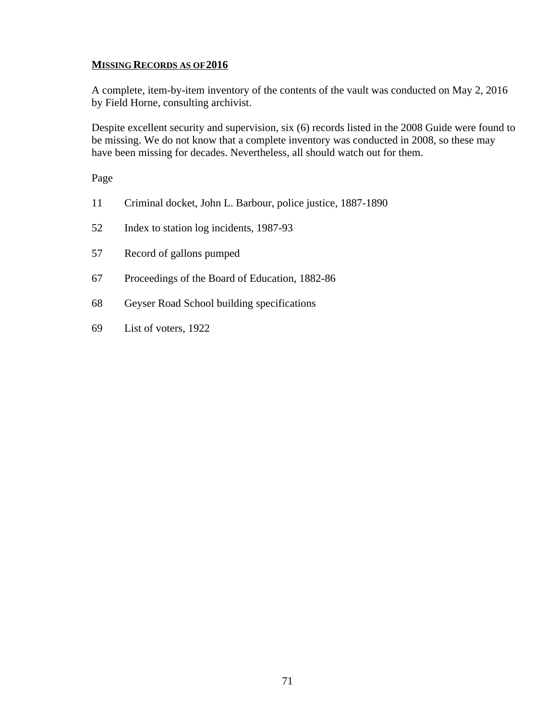### **MISSING RECORDS AS OF 2016**

A complete, item-by-item inventory of the contents of the vault was conducted on May 2, 2016 by Field Horne, consulting archivist.

Despite excellent security and supervision, six (6) records listed in the 2008 Guide were found to be missing. We do not know that a complete inventory was conducted in 2008, so these may have been missing for decades. Nevertheless, all should watch out for them.

Page

- 11 Criminal docket, John L. Barbour, police justice, 1887-1890
- 52 Index to station log incidents, 1987-93
- 57 Record of gallons pumped
- 67 Proceedings of the Board of Education, 1882-86
- 68 Geyser Road School building specifications
- 69 List of voters, 1922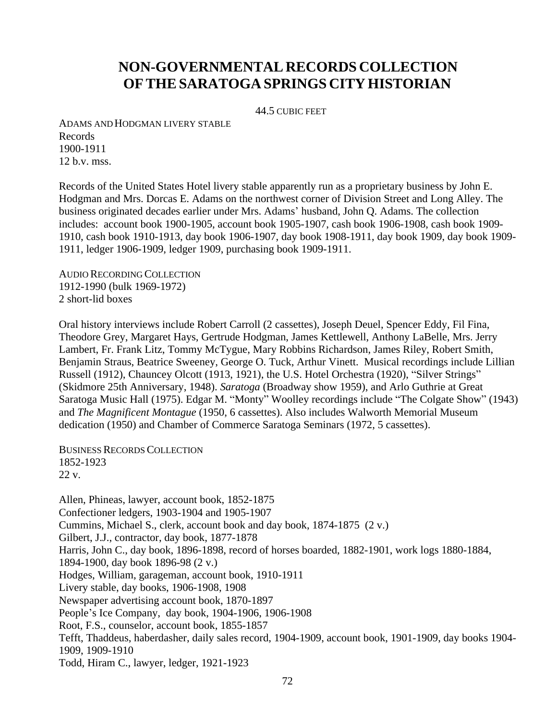# **NON-GOVERNMENTAL RECORDS COLLECTION OFTHESARATOGA SPRINGS CITY HISTORIAN**

44.5 CUBIC FEET

ADAMS AND HODGMAN LIVERY STABLE Records 1900-1911 12 b.v. mss.

Records of the United States Hotel livery stable apparently run as a proprietary business by John E. Hodgman and Mrs. Dorcas E. Adams on the northwest corner of Division Street and Long Alley. The business originated decades earlier under Mrs. Adams' husband, John Q. Adams. The collection includes: account book 1900-1905, account book 1905-1907, cash book 1906-1908, cash book 1909- 1910, cash book 1910-1913, day book 1906-1907, day book 1908-1911, day book 1909, day book 1909- 1911, ledger 1906-1909, ledger 1909, purchasing book 1909-1911.

AUDIO RECORDING COLLECTION 1912-1990 (bulk 1969-1972) 2 short-lid boxes

Oral history interviews include Robert Carroll (2 cassettes), Joseph Deuel, Spencer Eddy, Fil Fina, Theodore Grey, Margaret Hays, Gertrude Hodgman, James Kettlewell, Anthony LaBelle, Mrs. Jerry Lambert, Fr. Frank Litz, Tommy McTygue, Mary Robbins Richardson, James Riley, Robert Smith, Benjamin Straus, Beatrice Sweeney, George O. Tuck, Arthur Vinett. Musical recordings include Lillian Russell (1912), Chauncey Olcott (1913, 1921), the U.S. Hotel Orchestra (1920), "Silver Strings" (Skidmore 25th Anniversary, 1948). *Saratoga* (Broadway show 1959), and Arlo Guthrie at Great Saratoga Music Hall (1975). Edgar M. "Monty" Woolley recordings include "The Colgate Show" (1943) and *The Magnificent Montague* (1950, 6 cassettes). Also includes Walworth Memorial Museum dedication (1950) and Chamber of Commerce Saratoga Seminars (1972, 5 cassettes).

BUSINESS RECORDS COLLECTION 1852-1923 22 v.

Allen, Phineas, lawyer, account book, 1852-1875 Confectioner ledgers, 1903-1904 and 1905-1907 Cummins, Michael S., clerk, account book and day book, 1874-1875 (2 v.) Gilbert, J.J., contractor, day book, 1877-1878 Harris, John C., day book, 1896-1898, record of horses boarded, 1882-1901, work logs 1880-1884, 1894-1900, day book 1896-98 (2 v.) Hodges, William, garageman, account book, 1910-1911 Livery stable, day books, 1906-1908, 1908 Newspaper advertising account book, 1870-1897 People's Ice Company, day book, 1904-1906, 1906-1908 Root, F.S., counselor, account book, 1855-1857 Tefft, Thaddeus, haberdasher, daily sales record, 1904-1909, account book, 1901-1909, day books 1904- 1909, 1909-1910 Todd, Hiram C., lawyer, ledger, 1921-1923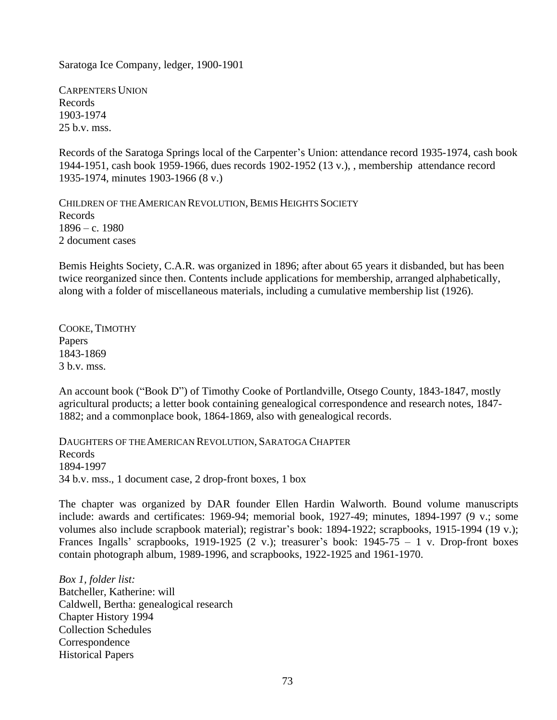Saratoga Ice Company, ledger, 1900-1901

CARPENTERS UNION Records 1903-1974 25 b.v. mss.

Records of the Saratoga Springs local of the Carpenter's Union: attendance record 1935-1974, cash book 1944-1951, cash book 1959-1966, dues records 1902-1952 (13 v.), , membership attendance record 1935-1974, minutes 1903-1966 (8 v.)

CHILDREN OF THE AMERICAN REVOLUTION, BEMIS HEIGHTS SOCIETY Records 1896 – c. 1980 2 document cases

Bemis Heights Society, C.A.R. was organized in 1896; after about 65 years it disbanded, but has been twice reorganized since then. Contents include applications for membership, arranged alphabetically, along with a folder of miscellaneous materials, including a cumulative membership list (1926).

COOKE, TIMOTHY Papers 1843-1869 3 b.v. mss.

An account book ("Book D") of Timothy Cooke of Portlandville, Otsego County, 1843-1847, mostly agricultural products; a letter book containing genealogical correspondence and research notes, 1847- 1882; and a commonplace book, 1864-1869, also with genealogical records.

DAUGHTERS OF THE AMERICAN REVOLUTION, SARATOGA CHAPTER Records 1894-1997 34 b.v. mss., 1 document case, 2 drop-front boxes, 1 box

The chapter was organized by DAR founder Ellen Hardin Walworth. Bound volume manuscripts include: awards and certificates: 1969-94; memorial book, 1927-49; minutes, 1894-1997 (9 v.; some volumes also include scrapbook material); registrar's book: 1894-1922; scrapbooks, 1915-1994 (19 v.); Frances Ingalls' scrapbooks, 1919-1925 (2 v.); treasurer's book:  $1945-75 - 1$  v. Drop-front boxes contain photograph album, 1989-1996, and scrapbooks, 1922-1925 and 1961-1970.

*Box 1, folder list:* Batcheller, Katherine: will Caldwell, Bertha: genealogical research Chapter History 1994 Collection Schedules Correspondence Historical Papers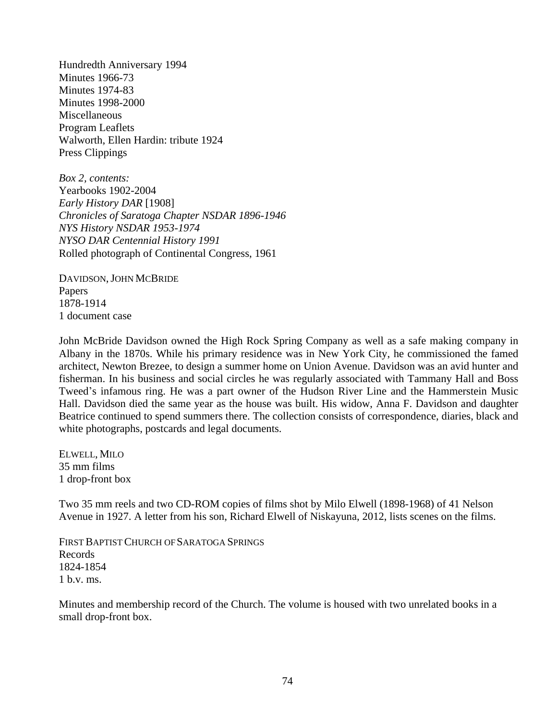Hundredth Anniversary 1994 Minutes 1966-73 Minutes 1974-83 Minutes 1998-2000 **Miscellaneous** Program Leaflets Walworth, Ellen Hardin: tribute 1924 Press Clippings

*Box 2, contents:* Yearbooks 1902-2004 *Early History DAR* [1908] *Chronicles of Saratoga Chapter NSDAR 1896-1946 NYS History NSDAR 1953-1974 NYSO DAR Centennial History 1991* Rolled photograph of Continental Congress, 1961

DAVIDSON, JOHN MCBRIDE Papers 1878-1914 1 document case

John McBride Davidson owned the High Rock Spring Company as well as a safe making company in Albany in the 1870s. While his primary residence was in New York City, he commissioned the famed architect, Newton Brezee, to design a summer home on Union Avenue. Davidson was an avid hunter and fisherman. In his business and social circles he was regularly associated with Tammany Hall and Boss Tweed's infamous ring. He was a part owner of the Hudson River Line and the Hammerstein Music Hall. Davidson died the same year as the house was built. His widow, Anna F. Davidson and daughter Beatrice continued to spend summers there. The collection consists of correspondence, diaries, black and white photographs, postcards and legal documents.

ELWELL, MILO 35 mm films 1 drop-front box

Two 35 mm reels and two CD-ROM copies of films shot by Milo Elwell (1898-1968) of 41 Nelson Avenue in 1927. A letter from his son, Richard Elwell of Niskayuna, 2012, lists scenes on the films.

FIRST BAPTIST CHURCH OF SARATOGA SPRINGS Records 1824-1854 1 b.v. ms.

Minutes and membership record of the Church. The volume is housed with two unrelated books in a small drop-front box.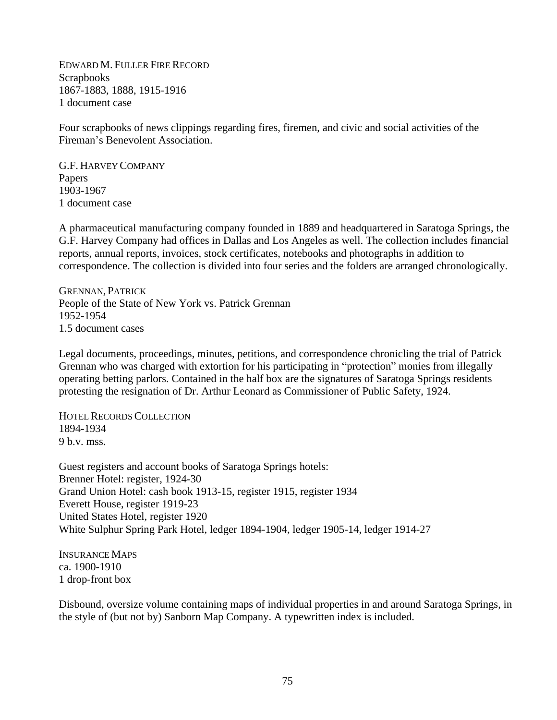EDWARD M. FULLER FIRE RECORD **Scrapbooks** 1867-1883, 1888, 1915-1916 1 document case

Four scrapbooks of news clippings regarding fires, firemen, and civic and social activities of the Fireman's Benevolent Association.

G.F. HARVEY COMPANY Papers 1903-1967 1 document case

A pharmaceutical manufacturing company founded in 1889 and headquartered in Saratoga Springs, the G.F. Harvey Company had offices in Dallas and Los Angeles as well. The collection includes financial reports, annual reports, invoices, stock certificates, notebooks and photographs in addition to correspondence. The collection is divided into four series and the folders are arranged chronologically.

GRENNAN, PATRICK People of the State of New York vs. Patrick Grennan 1952-1954 1.5 document cases

Legal documents, proceedings, minutes, petitions, and correspondence chronicling the trial of Patrick Grennan who was charged with extortion for his participating in "protection" monies from illegally operating betting parlors. Contained in the half box are the signatures of Saratoga Springs residents protesting the resignation of Dr. Arthur Leonard as Commissioner of Public Safety, 1924.

HOTEL RECORDS COLLECTION 1894-1934 9 b.v. mss.

Guest registers and account books of Saratoga Springs hotels: Brenner Hotel: register, 1924-30 Grand Union Hotel: cash book 1913-15, register 1915, register 1934 Everett House, register 1919-23 United States Hotel, register 1920 White Sulphur Spring Park Hotel, ledger 1894-1904, ledger 1905-14, ledger 1914-27

INSURANCE MAPS ca. 1900-1910 1 drop-front box

Disbound, oversize volume containing maps of individual properties in and around Saratoga Springs, in the style of (but not by) Sanborn Map Company. A typewritten index is included.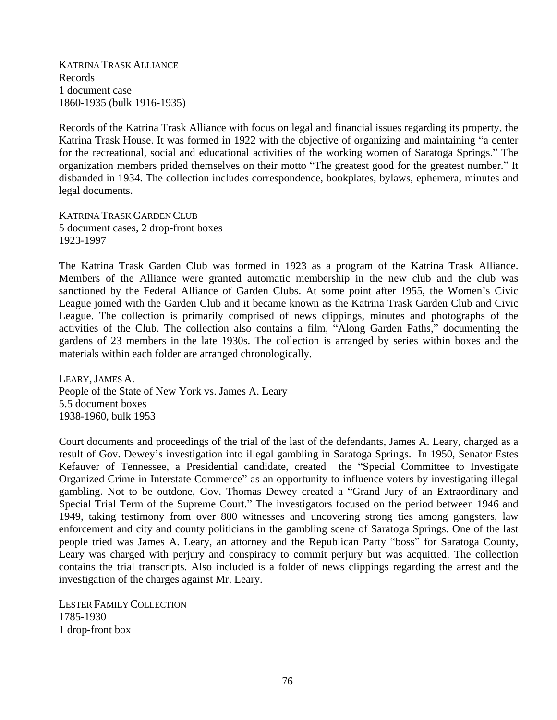KATRINA TRASK ALLIANCE Records 1 document case 1860-1935 (bulk 1916-1935)

Records of the Katrina Trask Alliance with focus on legal and financial issues regarding its property, the Katrina Trask House. It was formed in 1922 with the objective of organizing and maintaining "a center for the recreational, social and educational activities of the working women of Saratoga Springs." The organization members prided themselves on their motto "The greatest good for the greatest number." It disbanded in 1934. The collection includes correspondence, bookplates, bylaws, ephemera, minutes and legal documents.

KATRINA TRASK GARDEN CLUB 5 document cases, 2 drop-front boxes 1923-1997

The Katrina Trask Garden Club was formed in 1923 as a program of the Katrina Trask Alliance. Members of the Alliance were granted automatic membership in the new club and the club was sanctioned by the Federal Alliance of Garden Clubs. At some point after 1955, the Women's Civic League joined with the Garden Club and it became known as the Katrina Trask Garden Club and Civic League. The collection is primarily comprised of news clippings, minutes and photographs of the activities of the Club. The collection also contains a film, "Along Garden Paths," documenting the gardens of 23 members in the late 1930s. The collection is arranged by series within boxes and the materials within each folder are arranged chronologically.

LEARY,JAMES A. People of the State of New York vs. James A. Leary 5.5 document boxes 1938-1960, bulk 1953

Court documents and proceedings of the trial of the last of the defendants, James A. Leary, charged as a result of Gov. Dewey's investigation into illegal gambling in Saratoga Springs. In 1950, Senator Estes Kefauver of Tennessee, a Presidential candidate, created the "Special Committee to Investigate Organized Crime in Interstate Commerce" as an opportunity to influence voters by investigating illegal gambling. Not to be outdone, Gov. Thomas Dewey created a "Grand Jury of an Extraordinary and Special Trial Term of the Supreme Court." The investigators focused on the period between 1946 and 1949, taking testimony from over 800 witnesses and uncovering strong ties among gangsters, law enforcement and city and county politicians in the gambling scene of Saratoga Springs. One of the last people tried was James A. Leary, an attorney and the Republican Party "boss" for Saratoga County, Leary was charged with perjury and conspiracy to commit perjury but was acquitted. The collection contains the trial transcripts. Also included is a folder of news clippings regarding the arrest and the investigation of the charges against Mr. Leary.

LESTER FAMILY COLLECTION 1785-1930 1 drop-front box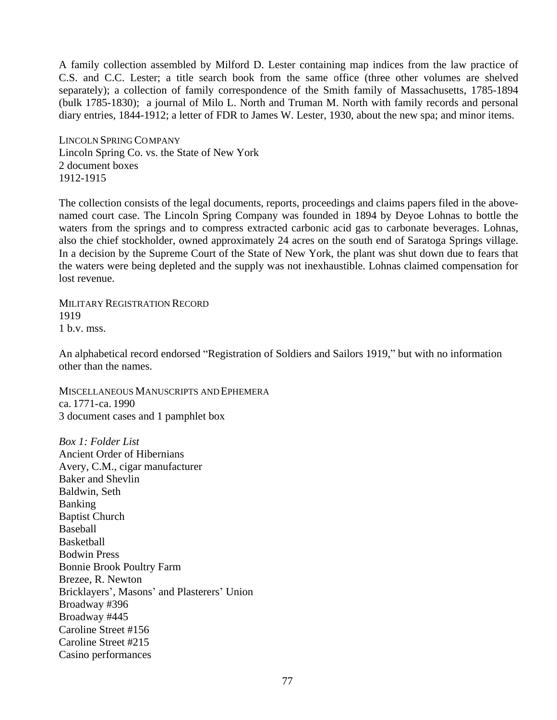A family collection assembled by Milford D. Lester containing map indices from the law practice of C.S. and C.C. Lester; a title search book from the same office (three other volumes are shelved separately); a collection of family correspondence of the Smith family of Massachusetts, 1785-1894 (bulk 1785-1830); a journal of Milo L. North and Truman M. North with family records and personal diary entries, 1844-1912; a letter of FDR to James W. Lester, 1930, about the new spa; and minor items.

LINCOLN SPRING COMPANY Lincoln Spring Co. vs. the State of New York 2 document boxes 1912-1915

The collection consists of the legal documents, reports, proceedings and claims papers filed in the abovenamed court case. The Lincoln Spring Company was founded in 1894 by Deyoe Lohnas to bottle the waters from the springs and to compress extracted carbonic acid gas to carbonate beverages. Lohnas, also the chief stockholder, owned approximately 24 acres on the south end of Saratoga Springs village. In a decision by the Supreme Court of the State of New York, the plant was shut down due to fears that the waters were being depleted and the supply was not inexhaustible. Lohnas claimed compensation for lost revenue.

MILITARY REGISTRATION RECORD 1919 1 b.v. mss.

An alphabetical record endorsed "Registration of Soldiers and Sailors 1919," but with no information other than the names.

MISCELLANEOUS MANUSCRIPTS AND EPHEMERA ca. 1771-ca. 1990 3 document cases and 1 pamphlet box

*Box 1: Folder List* Ancient Order of Hibernians Avery, C.M., cigar manufacturer Baker and Shevlin Baldwin, Seth Banking Baptist Church Baseball **Basketball** Bodwin Press Bonnie Brook Poultry Farm Brezee, R. Newton Bricklayers', Masons' and Plasterers' Union Broadway #396 Broadway #445 Caroline Street #156 Caroline Street #215 Casino performances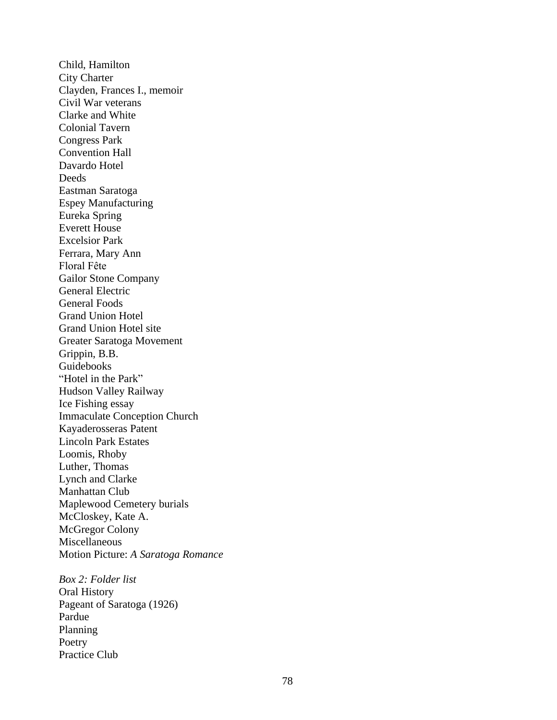Child, Hamilton City Charter Clayden, Frances I., memoir Civil War veterans Clarke and White Colonial Tavern Congress Park Convention Hall Davardo Hotel **Deeds** Eastman Saratoga Espey Manufacturing Eureka Spring Everett House Excelsior Park Ferrara, Mary Ann Floral Fête Gailor Stone Company General Electric General Foods Grand Union Hotel Grand Union Hotel site Greater Saratoga Movement Grippin, B.B. Guidebooks "Hotel in the Park" Hudson Valley Railway Ice Fishing essay Immaculate Conception Church Kayaderosseras Patent Lincoln Park Estates Loomis, Rhoby Luther, Thomas Lynch and Clarke Manhattan Club Maplewood Cemetery burials McCloskey, Kate A. McGregor Colony Miscellaneous Motion Picture: *A Saratoga Romance Box 2: Folder list* Oral History Pageant of Saratoga (1926) Pardue

Planning Poetry Practice Club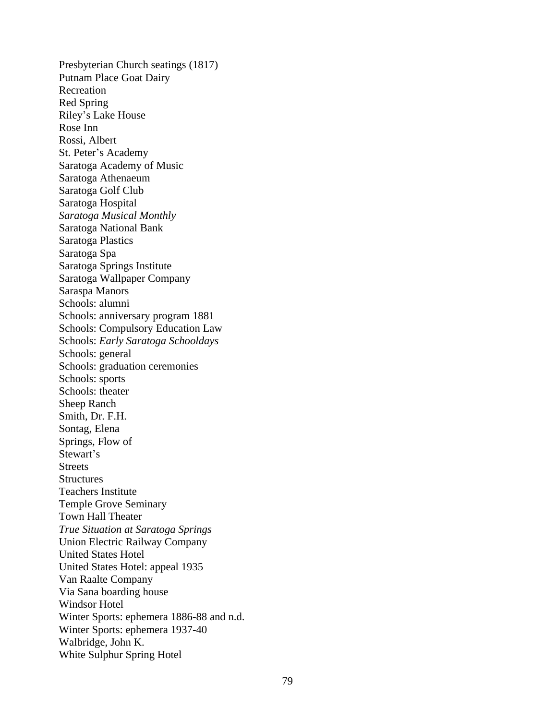Presbyterian Church seatings (1817) Putnam Place Goat Dairy Recreation Red Spring Riley's Lake House Rose Inn Rossi, Albert St. Peter's Academy Saratoga Academy of Music Saratoga Athenaeum Saratoga Golf Club Saratoga Hospital *Saratoga Musical Monthly* Saratoga National Bank Saratoga Plastics Saratoga Spa Saratoga Springs Institute Saratoga Wallpaper Company Saraspa Manors Schools: alumni Schools: anniversary program 1881 Schools: Compulsory Education Law Schools: *Early Saratoga Schooldays* Schools: general Schools: graduation ceremonies Schools: sports Schools: theater Sheep Ranch Smith, Dr. F.H. Sontag, Elena Springs, Flow of Stewart's **Streets Structures** Teachers Institute Temple Grove Seminary Town Hall Theater *True Situation at Saratoga Springs* Union Electric Railway Company United States Hotel United States Hotel: appeal 1935 Van Raalte Company Via Sana boarding house Windsor Hotel Winter Sports: ephemera 1886-88 and n.d. Winter Sports: ephemera 1937-40 Walbridge, John K. White Sulphur Spring Hotel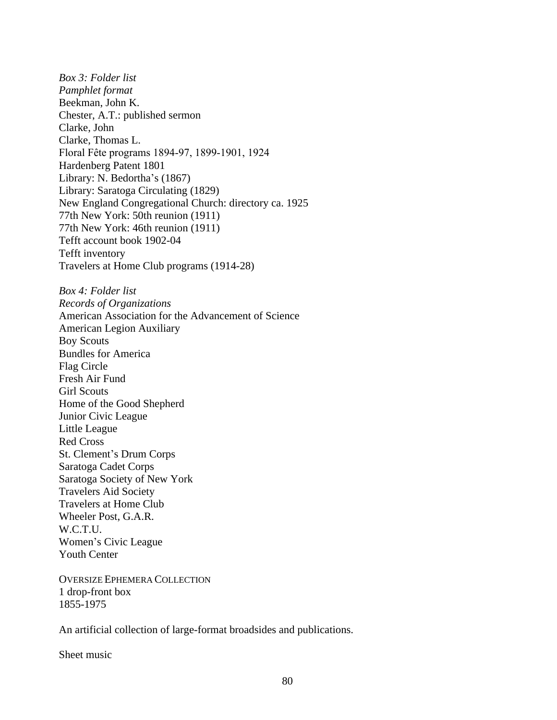*Box 3: Folder list Pamphlet format* Beekman, John K. Chester, A.T.: published sermon Clarke, John Clarke, Thomas L. Floral Fête programs 1894-97, 1899-1901, 1924 Hardenberg Patent 1801 Library: N. Bedortha's (1867) Library: Saratoga Circulating (1829) New England Congregational Church: directory ca. 1925 77th New York: 50th reunion (1911) 77th New York: 46th reunion (1911) Tefft account book 1902-04 Tefft inventory Travelers at Home Club programs (1914-28)

*Box 4: Folder list Records of Organizations* American Association for the Advancement of Science American Legion Auxiliary Boy Scouts Bundles for America Flag Circle Fresh Air Fund Girl Scouts Home of the Good Shepherd Junior Civic League Little League Red Cross St. Clement's Drum Corps Saratoga Cadet Corps Saratoga Society of New York Travelers Aid Society Travelers at Home Club Wheeler Post, G.A.R. W.C.T.U. Women's Civic League Youth Center

OVERSIZE EPHEMERA COLLECTION 1 drop-front box 1855-1975

An artificial collection of large-format broadsides and publications.

Sheet music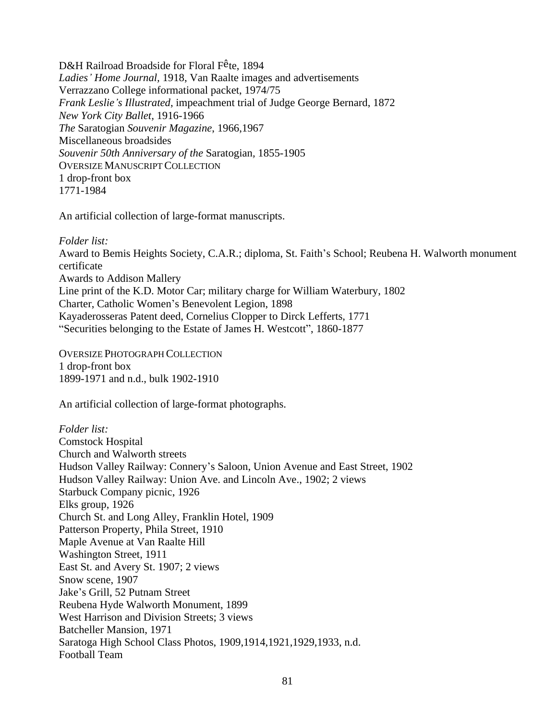D&H Railroad Broadside for Floral Fête, 1894 *Ladies' Home Journal,* 1918, Van Raalte images and advertisements Verrazzano College informational packet, 1974/75 *Frank Leslie's Illustrated*, impeachment trial of Judge George Bernard, 1872 *New York City Ballet,* 1916-1966 *The* Saratogian *Souvenir Magazine*, 1966,1967 Miscellaneous broadsides *Souvenir 50th Anniversary of the* Saratogian*,* 1855-1905 OVERSIZE MANUSCRIPT COLLECTION 1 drop-front box 1771-1984

An artificial collection of large-format manuscripts.

### *Folder list:*

Award to Bemis Heights Society, C.A.R.; diploma, St. Faith's School; Reubena H. Walworth monument certificate Awards to Addison Mallery Line print of the K.D. Motor Car; military charge for William Waterbury, 1802 Charter, Catholic Women's Benevolent Legion, 1898 Kayaderosseras Patent deed, Cornelius Clopper to Dirck Lefferts, 1771 "Securities belonging to the Estate of James H. Westcott", 1860-1877

OVERSIZE PHOTOGRAPH COLLECTION 1 drop-front box 1899-1971 and n.d., bulk 1902-1910

An artificial collection of large-format photographs.

*Folder list:* Comstock Hospital Church and Walworth streets Hudson Valley Railway: Connery's Saloon, Union Avenue and East Street, 1902 Hudson Valley Railway: Union Ave. and Lincoln Ave., 1902; 2 views Starbuck Company picnic, 1926 Elks group, 1926 Church St. and Long Alley, Franklin Hotel, 1909 Patterson Property, Phila Street, 1910 Maple Avenue at Van Raalte Hill Washington Street, 1911 East St. and Avery St. 1907; 2 views Snow scene, 1907 Jake's Grill, 52 Putnam Street Reubena Hyde Walworth Monument, 1899 West Harrison and Division Streets; 3 views Batcheller Mansion, 1971 Saratoga High School Class Photos, 1909,1914,1921,1929,1933, n.d. Football Team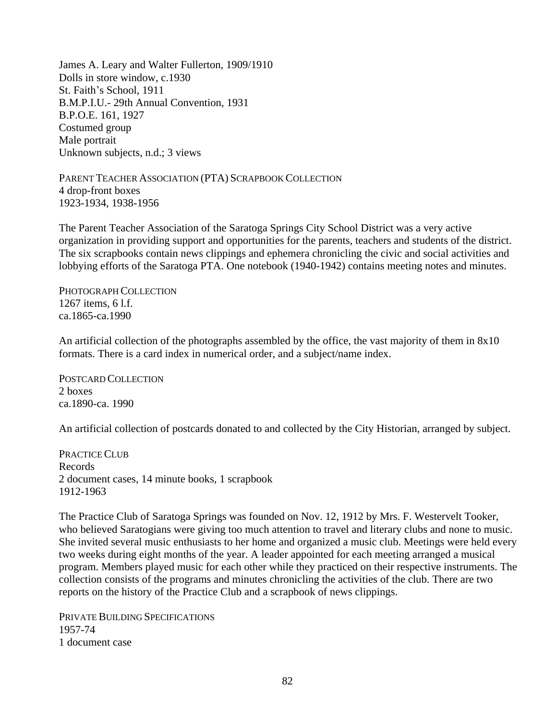James A. Leary and Walter Fullerton, 1909/1910 Dolls in store window, c.1930 St. Faith's School, 1911 B.M.P.I.U.- 29th Annual Convention, 1931 B.P.O.E. 161, 1927 Costumed group Male portrait Unknown subjects, n.d.; 3 views

PARENT TEACHER ASSOCIATION (PTA) SCRAPBOOK COLLECTION 4 drop-front boxes 1923-1934, 1938-1956

The Parent Teacher Association of the Saratoga Springs City School District was a very active organization in providing support and opportunities for the parents, teachers and students of the district. The six scrapbooks contain news clippings and ephemera chronicling the civic and social activities and lobbying efforts of the Saratoga PTA. One notebook (1940-1942) contains meeting notes and minutes.

PHOTOGRAPH COLLECTION 1267 items, 6 l.f. ca.1865-ca.1990

An artificial collection of the photographs assembled by the office, the vast majority of them in 8x10 formats. There is a card index in numerical order, and a subject/name index.

POSTCARD COLLECTION 2 boxes ca.1890-ca. 1990

An artificial collection of postcards donated to and collected by the City Historian, arranged by subject.

PRACTICE CLUB Records 2 document cases, 14 minute books, 1 scrapbook 1912-1963

The Practice Club of Saratoga Springs was founded on Nov. 12, 1912 by Mrs. F. Westervelt Tooker, who believed Saratogians were giving too much attention to travel and literary clubs and none to music. She invited several music enthusiasts to her home and organized a music club. Meetings were held every two weeks during eight months of the year. A leader appointed for each meeting arranged a musical program. Members played music for each other while they practiced on their respective instruments. The collection consists of the programs and minutes chronicling the activities of the club. There are two reports on the history of the Practice Club and a scrapbook of news clippings.

PRIVATE BUILDING SPECIFICATIONS 1957-74 1 document case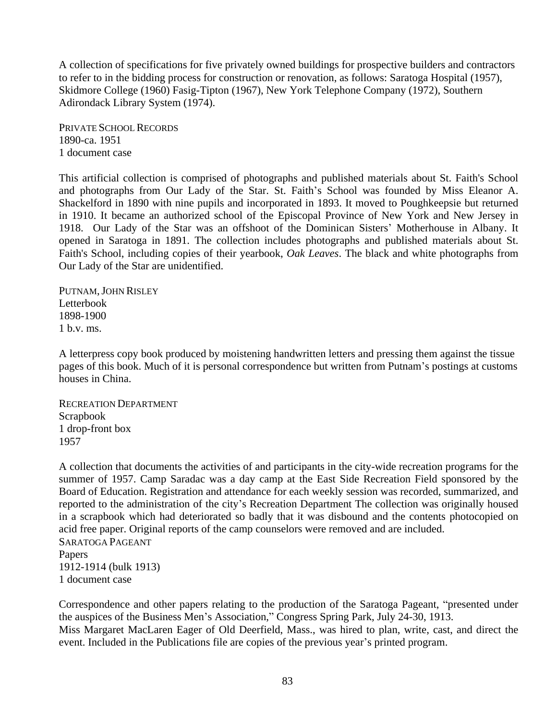A collection of specifications for five privately owned buildings for prospective builders and contractors to refer to in the bidding process for construction or renovation, as follows: Saratoga Hospital (1957), Skidmore College (1960) Fasig-Tipton (1967), New York Telephone Company (1972), Southern Adirondack Library System (1974).

PRIVATE SCHOOL RECORDS 1890-ca. 1951 1 document case

This artificial collection is comprised of photographs and published materials about St. Faith's School and photographs from Our Lady of the Star. St. Faith's School was founded by Miss Eleanor A. Shackelford in 1890 with nine pupils and incorporated in 1893. It moved to Poughkeepsie but returned in 1910. It became an authorized school of the Episcopal Province of New York and New Jersey in 1918. Our Lady of the Star was an offshoot of the Dominican Sisters' Motherhouse in Albany. It opened in Saratoga in 1891. The collection includes photographs and published materials about St. Faith's School, including copies of their yearbook, *Oak Leaves*. The black and white photographs from Our Lady of the Star are unidentified.

PUTNAM, JOHN RISLEY Letterbook 1898-1900 1 b.v. ms.

A letterpress copy book produced by moistening handwritten letters and pressing them against the tissue pages of this book. Much of it is personal correspondence but written from Putnam's postings at customs houses in China.

RECREATION DEPARTMENT Scrapbook 1 drop-front box 1957

A collection that documents the activities of and participants in the city-wide recreation programs for the summer of 1957. Camp Saradac was a day camp at the East Side Recreation Field sponsored by the Board of Education. Registration and attendance for each weekly session was recorded, summarized, and reported to the administration of the city's Recreation Department The collection was originally housed in a scrapbook which had deteriorated so badly that it was disbound and the contents photocopied on acid free paper. Original reports of the camp counselors were removed and are included. SARATOGA PAGEANT Papers 1912-1914 (bulk 1913) 1 document case

Correspondence and other papers relating to the production of the Saratoga Pageant, "presented under the auspices of the Business Men's Association," Congress Spring Park, July 24-30, 1913. Miss Margaret MacLaren Eager of Old Deerfield, Mass., was hired to plan, write, cast, and direct the event. Included in the Publications file are copies of the previous year's printed program.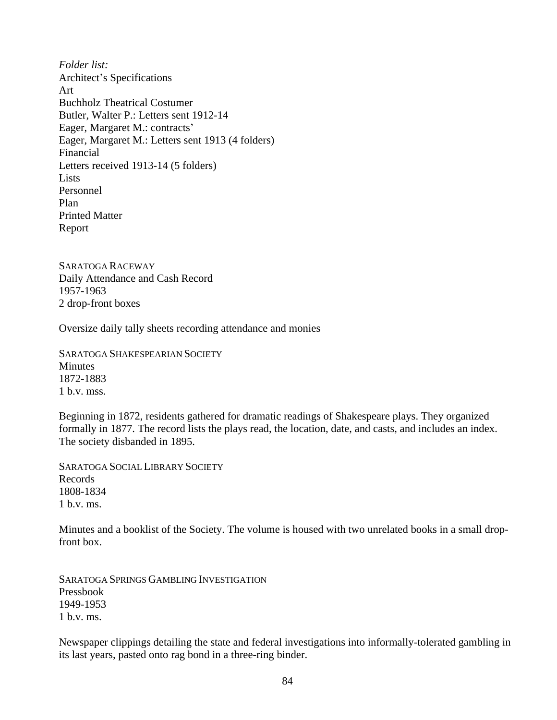*Folder list:* Architect's Specifications Art Buchholz Theatrical Costumer Butler, Walter P.: Letters sent 1912-14 Eager, Margaret M.: contracts' Eager, Margaret M.: Letters sent 1913 (4 folders) Financial Letters received 1913-14 (5 folders) Lists Personnel Plan Printed Matter Report

SARATOGA RACEWAY Daily Attendance and Cash Record 1957-1963 2 drop-front boxes

Oversize daily tally sheets recording attendance and monies

SARATOGA SHAKESPEARIAN SOCIETY **Minutes** 1872-1883 1 b.v. mss.

Beginning in 1872, residents gathered for dramatic readings of Shakespeare plays. They organized formally in 1877. The record lists the plays read, the location, date, and casts, and includes an index. The society disbanded in 1895.

SARATOGA SOCIAL LIBRARY SOCIETY Records 1808-1834 1 b.v. ms.

Minutes and a booklist of the Society. The volume is housed with two unrelated books in a small dropfront box.

SARATOGA SPRINGS GAMBLING INVESTIGATION Pressbook 1949-1953  $1$  b.v. ms.

Newspaper clippings detailing the state and federal investigations into informally-tolerated gambling in its last years, pasted onto rag bond in a three-ring binder.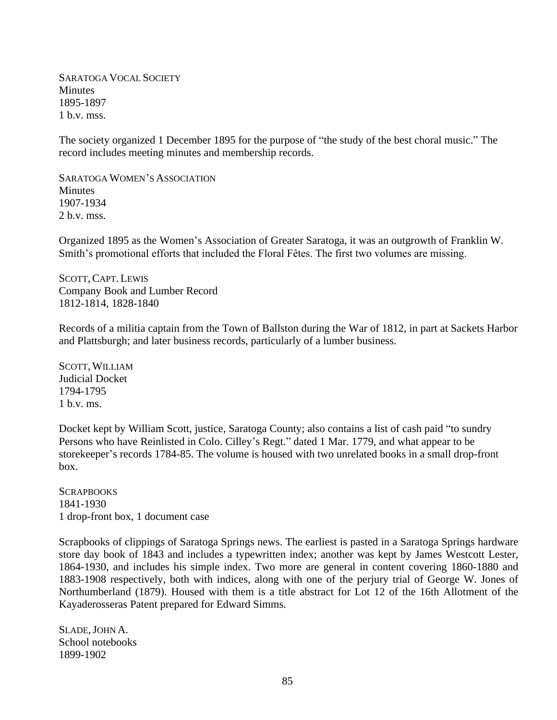SARATOGA VOCAL SOCIETY **Minutes** 1895-1897 1 b.v. mss.

The society organized 1 December 1895 for the purpose of "the study of the best choral music." The record includes meeting minutes and membership records.

SARATOGA WOMEN'S ASSOCIATION **Minutes** 1907-1934 2 b.v. mss.

Organized 1895 as the Women's Association of Greater Saratoga, it was an outgrowth of Franklin W. Smith's promotional efforts that included the Floral Fêtes. The first two volumes are missing.

SCOTT, CAPT. LEWIS Company Book and Lumber Record 1812-1814, 1828-1840

Records of a militia captain from the Town of Ballston during the War of 1812, in part at Sackets Harbor and Plattsburgh; and later business records, particularly of a lumber business.

SCOTT, WILLIAM Judicial Docket 1794-1795  $1$  b.v. ms.

Docket kept by William Scott, justice, Saratoga County; also contains a list of cash paid "to sundry Persons who have Reinlisted in Colo. Cilley's Regt." dated 1 Mar. 1779, and what appear to be storekeeper's records 1784-85. The volume is housed with two unrelated books in a small drop-front box.

**SCRAPBOOKS** 1841-1930 1 drop-front box, 1 document case

Scrapbooks of clippings of Saratoga Springs news. The earliest is pasted in a Saratoga Springs hardware store day book of 1843 and includes a typewritten index; another was kept by James Westcott Lester, 1864-1930, and includes his simple index. Two more are general in content covering 1860-1880 and 1883-1908 respectively, both with indices, along with one of the perjury trial of George W. Jones of Northumberland (1879). Housed with them is a title abstract for Lot 12 of the 16th Allotment of the Kayaderosseras Patent prepared for Edward Simms.

SLADE, JOHN A. School notebooks 1899-1902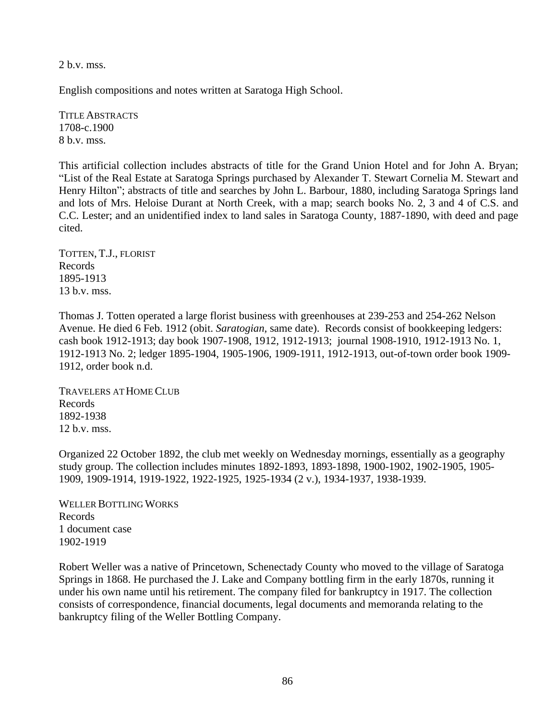2 b.v. mss.

English compositions and notes written at Saratoga High School.

TITLE ABSTRACTS 1708-c.1900 8 b.v. mss.

This artificial collection includes abstracts of title for the Grand Union Hotel and for John A. Bryan; "List of the Real Estate at Saratoga Springs purchased by Alexander T. Stewart Cornelia M. Stewart and Henry Hilton"; abstracts of title and searches by John L. Barbour, 1880, including Saratoga Springs land and lots of Mrs. Heloise Durant at North Creek, with a map; search books No. 2, 3 and 4 of C.S. and C.C. Lester; and an unidentified index to land sales in Saratoga County, 1887-1890, with deed and page cited.

TOTTEN, T.J., FLORIST Records 1895-1913 13 b.v. mss.

Thomas J. Totten operated a large florist business with greenhouses at 239-253 and 254-262 Nelson Avenue. He died 6 Feb. 1912 (obit. *Saratogian,* same date). Records consist of bookkeeping ledgers: cash book 1912-1913; day book 1907-1908, 1912, 1912-1913; journal 1908-1910, 1912-1913 No. 1, 1912-1913 No. 2; ledger 1895-1904, 1905-1906, 1909-1911, 1912-1913, out-of-town order book 1909- 1912, order book n.d.

TRAVELERS AT HOME CLUB Records 1892-1938 12 b.v. mss.

Organized 22 October 1892, the club met weekly on Wednesday mornings, essentially as a geography study group. The collection includes minutes 1892-1893, 1893-1898, 1900-1902, 1902-1905, 1905- 1909, 1909-1914, 1919-1922, 1922-1925, 1925-1934 (2 v.), 1934-1937, 1938-1939.

WELLER BOTTLING WORKS Records 1 document case 1902-1919

Robert Weller was a native of Princetown, Schenectady County who moved to the village of Saratoga Springs in 1868. He purchased the J. Lake and Company bottling firm in the early 1870s, running it under his own name until his retirement. The company filed for bankruptcy in 1917. The collection consists of correspondence, financial documents, legal documents and memoranda relating to the bankruptcy filing of the Weller Bottling Company.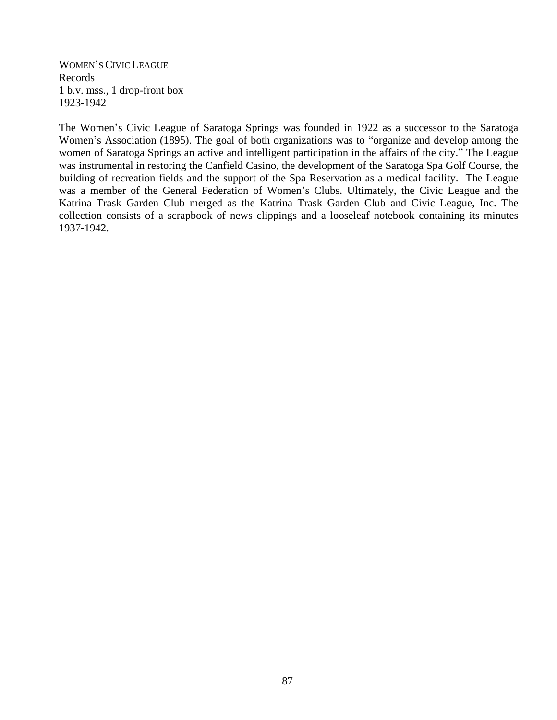WOMEN'S CIVIC LEAGUE Records 1 b.v. mss., 1 drop-front box 1923-1942

The Women's Civic League of Saratoga Springs was founded in 1922 as a successor to the Saratoga Women's Association (1895). The goal of both organizations was to "organize and develop among the women of Saratoga Springs an active and intelligent participation in the affairs of the city." The League was instrumental in restoring the Canfield Casino, the development of the Saratoga Spa Golf Course, the building of recreation fields and the support of the Spa Reservation as a medical facility. The League was a member of the General Federation of Women's Clubs. Ultimately, the Civic League and the Katrina Trask Garden Club merged as the Katrina Trask Garden Club and Civic League, Inc. The collection consists of a scrapbook of news clippings and a looseleaf notebook containing its minutes 1937-1942.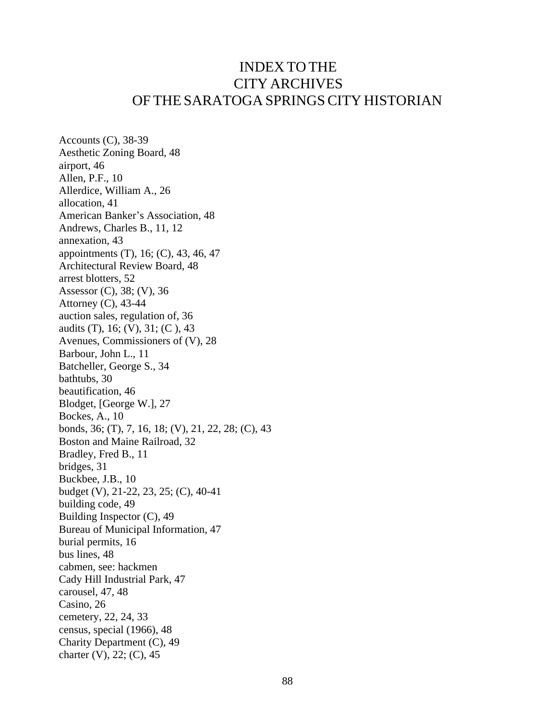## INDEX TO THE CITY ARCHIVES OF THE SARATOGA SPRINGSCITY HISTORIAN

Accounts (C), 38-39 Aesthetic Zoning Board, 48 airport, 46 Allen, P.F., 10 Allerdice, William A., 26 allocation, 41 American Banker's Association, 48 Andrews, Charles B., 11, 12 annexation, 43 appointments (T), 16; (C), 43, 46, 47 Architectural Review Board, 48 arrest blotters, 52 Assessor (C), 38; (V), 36 Attorney (C), 43-44 auction sales, regulation of, 36 audits (T), 16; (V), 31; (C ), 43 Avenues, Commissioners of (V), 28 Barbour, John L., 11 Batcheller, George S., 34 bathtubs, 30 beautification, 46 Blodget, [George W.], 27 Bockes, A., 10 bonds, 36; (T), 7, 16, 18; (V), 21, 22, 28; (C), 43 Boston and Maine Railroad, 32 Bradley, Fred B., 11 bridges, 31 Buckbee, J.B., 10 budget (V), 21-22, 23, 25; (C), 40-41 building code, 49 Building Inspector (C), 49 Bureau of Municipal Information, 47 burial permits, 16 bus lines, 48 cabmen, see: hackmen Cady Hill Industrial Park, 47 carousel, 47, 48 Casino, 26 cemetery, 22, 24, 33 census, special (1966), 48 Charity Department (C), 49 charter (V), 22; (C), 45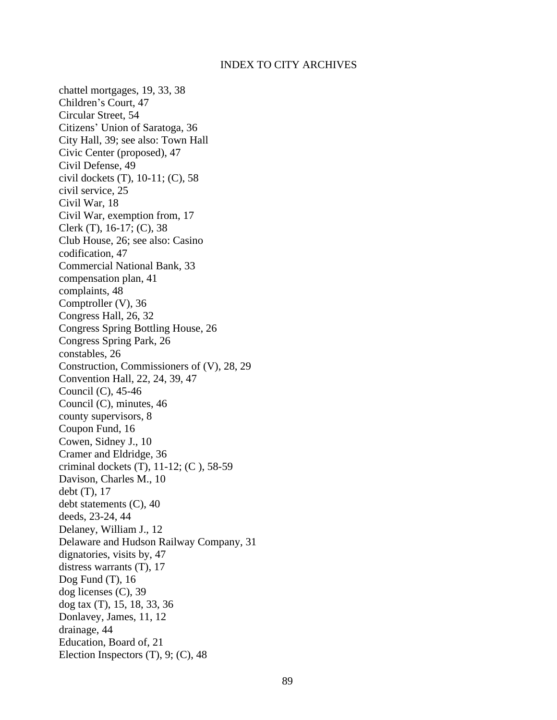chattel mortgages, 19, 33, 38 Children's Court, 47 Circular Street, 54 Citizens' Union of Saratoga, 36 City Hall, 39; see also: Town Hall Civic Center (proposed), 47 Civil Defense, 49 civil dockets (T), 10-11; (C), 58 civil service, 25 Civil War, 18 Civil War, exemption from, 17 Clerk (T), 16-17; (C), 38 Club House, 26; see also: Casino codification, 47 Commercial National Bank, 33 compensation plan, 41 complaints, 48 Comptroller (V), 36 Congress Hall, 26, 32 Congress Spring Bottling House, 26 Congress Spring Park, 26 constables, 26 Construction, Commissioners of (V), 28, 29 Convention Hall, 22, 24, 39, 47 Council (C), 45-46 Council (C), minutes, 46 county supervisors, 8 Coupon Fund, 16 Cowen, Sidney J., 10 Cramer and Eldridge, 36 criminal dockets (T), 11-12; (C ), 58-59 Davison, Charles M., 10 debt (T), 17 debt statements (C), 40 deeds, 23-24, 44 Delaney, William J., 12 Delaware and Hudson Railway Company, 31 dignatories, visits by, 47 distress warrants (T), 17 Dog Fund (T), 16 dog licenses (C), 39 dog tax (T), 15, 18, 33, 36 Donlavey, James, 11, 12 drainage, 44 Education, Board of, 21 Election Inspectors (T), 9; (C), 48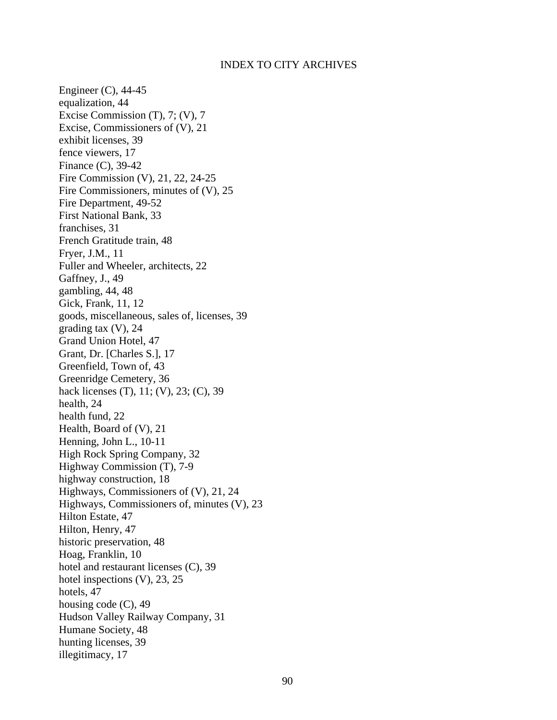Engineer (C), 44-45 equalization, 44 Excise Commission (T), 7; (V), 7 Excise, Commissioners of (V), 21 exhibit licenses, 39 fence viewers, 17 Finance (C), 39-42 Fire Commission (V), 21, 22, 24-25 Fire Commissioners, minutes of (V), 25 Fire Department, 49-52 First National Bank, 33 franchises, 31 French Gratitude train, 48 Fryer, J.M., 11 Fuller and Wheeler, architects, 22 Gaffney, J., 49 gambling, 44, 48 Gick, Frank, 11, 12 goods, miscellaneous, sales of, licenses, 39 grading tax (V), 24 Grand Union Hotel, 47 Grant, Dr. [Charles S.], 17 Greenfield, Town of, 43 Greenridge Cemetery, 36 hack licenses (T), 11; (V), 23; (C), 39 health, 24 health fund, 22 Health, Board of (V), 21 Henning, John L., 10-11 High Rock Spring Company, 32 Highway Commission (T), 7-9 highway construction, 18 Highways, Commissioners of (V), 21, 24 Highways, Commissioners of, minutes (V), 23 Hilton Estate, 47 Hilton, Henry, 47 historic preservation, 48 Hoag, Franklin, 10 hotel and restaurant licenses (C), 39 hotel inspections (V), 23, 25 hotels, 47 housing code (C), 49 Hudson Valley Railway Company, 31 Humane Society, 48 hunting licenses, 39 illegitimacy, 17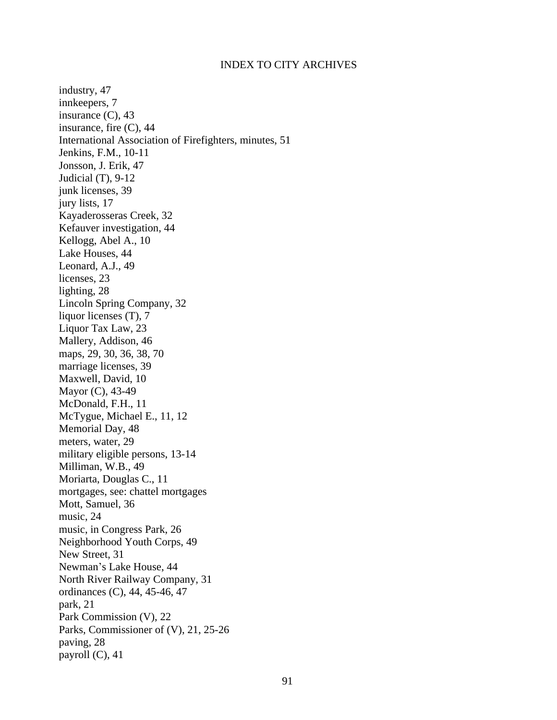industry, 47 innkeepers, 7 insurance (C), 43 insurance, fire (C), 44 International Association of Firefighters, minutes, 51 Jenkins, F.M., 10-11 Jonsson, J. Erik, 47 Judicial (T), 9-12 junk licenses, 39 jury lists, 17 Kayaderosseras Creek, 32 Kefauver investigation, 44 Kellogg, Abel A., 10 Lake Houses, 44 Leonard, A.J., 49 licenses, 23 lighting, 28 Lincoln Spring Company, 32 liquor licenses (T), 7 Liquor Tax Law, 23 Mallery, Addison, 46 maps, 29, 30, 36, 38, 70 marriage licenses, 39 Maxwell, David, 10 Mayor (C), 43-49 McDonald, F.H., 11 McTygue, Michael E., 11, 12 Memorial Day, 48 meters, water, 29 military eligible persons, 13-14 Milliman, W.B., 49 Moriarta, Douglas C., 11 mortgages, see: chattel mortgages Mott, Samuel, 36 music, 24 music, in Congress Park, 26 Neighborhood Youth Corps, 49 New Street, 31 Newman's Lake House, 44 North River Railway Company, 31 ordinances (C), 44, 45-46, 47 park, 21 Park Commission (V), 22 Parks, Commissioner of (V), 21, 25-26 paving, 28 payroll (C), 41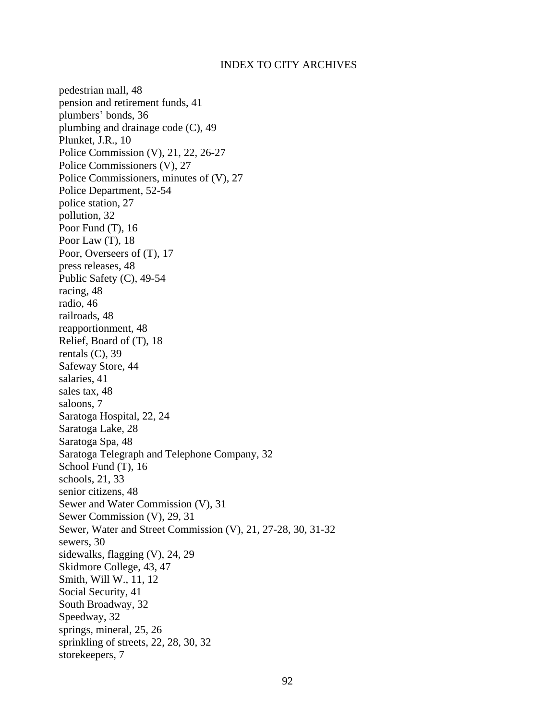pedestrian mall, 48 pension and retirement funds, 41 plumbers' bonds, 36 plumbing and drainage code (C), 49 Plunket, J.R., 10 Police Commission (V), 21, 22, 26-27 Police Commissioners (V), 27 Police Commissioners, minutes of (V), 27 Police Department, 52-54 police station, 27 pollution, 32 Poor Fund (T), 16 Poor Law (T), 18 Poor, Overseers of (T), 17 press releases, 48 Public Safety (C), 49-54 racing, 48 radio, 46 railroads, 48 reapportionment, 48 Relief, Board of (T), 18 rentals  $(C)$ , 39 Safeway Store, 44 salaries, 41 sales tax, 48 saloons, 7 Saratoga Hospital, 22, 24 Saratoga Lake, 28 Saratoga Spa, 48 Saratoga Telegraph and Telephone Company, 32 School Fund (T), 16 schools, 21, 33 senior citizens, 48 Sewer and Water Commission (V), 31 Sewer Commission (V), 29, 31 Sewer, Water and Street Commission (V), 21, 27-28, 30, 31-32 sewers, 30 sidewalks, flagging (V), 24, 29 Skidmore College, 43, 47 Smith, Will W., 11, 12 Social Security, 41 South Broadway, 32 Speedway, 32 springs, mineral, 25, 26 sprinkling of streets, 22, 28, 30, 32 storekeepers, 7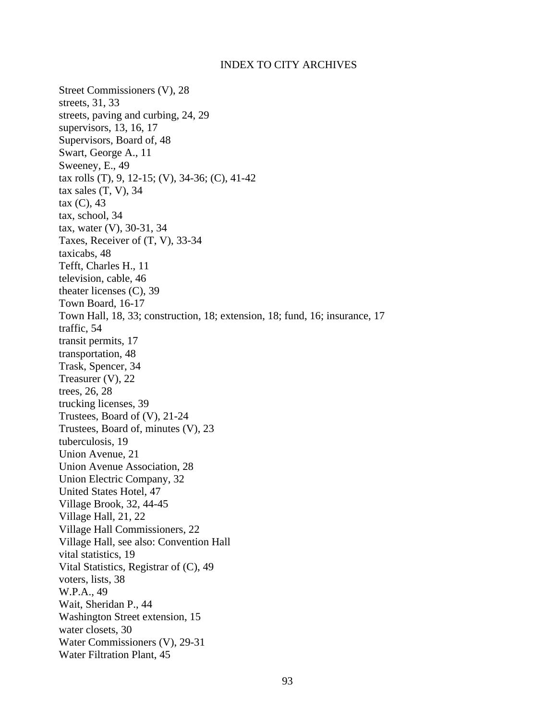Street Commissioners (V), 28 streets, 31, 33 streets, paving and curbing, 24, 29 supervisors, 13, 16, 17 Supervisors, Board of, 48 Swart, George A., 11 Sweeney, E., 49 tax rolls (T), 9, 12-15; (V), 34-36; (C), 41-42 tax sales  $(T, V)$ , 34 tax (C), 43 tax, school, 34 tax, water (V), 30-31, 34 Taxes, Receiver of (T, V), 33-34 taxicabs, 48 Tefft, Charles H., 11 television, cable, 46 theater licenses (C), 39 Town Board, 16-17 Town Hall, 18, 33; construction, 18; extension, 18; fund, 16; insurance, 17 traffic, 54 transit permits, 17 transportation, 48 Trask, Spencer, 34 Treasurer (V), 22 trees, 26, 28 trucking licenses, 39 Trustees, Board of (V), 21-24 Trustees, Board of, minutes (V), 23 tuberculosis, 19 Union Avenue, 21 Union Avenue Association, 28 Union Electric Company, 32 United States Hotel, 47 Village Brook, 32, 44-45 Village Hall, 21, 22 Village Hall Commissioners, 22 Village Hall, see also: Convention Hall vital statistics, 19 Vital Statistics, Registrar of (C), 49 voters, lists, 38 W.P.A., 49 Wait, Sheridan P., 44 Washington Street extension, 15 water closets, 30 Water Commissioners (V), 29-31 Water Filtration Plant, 45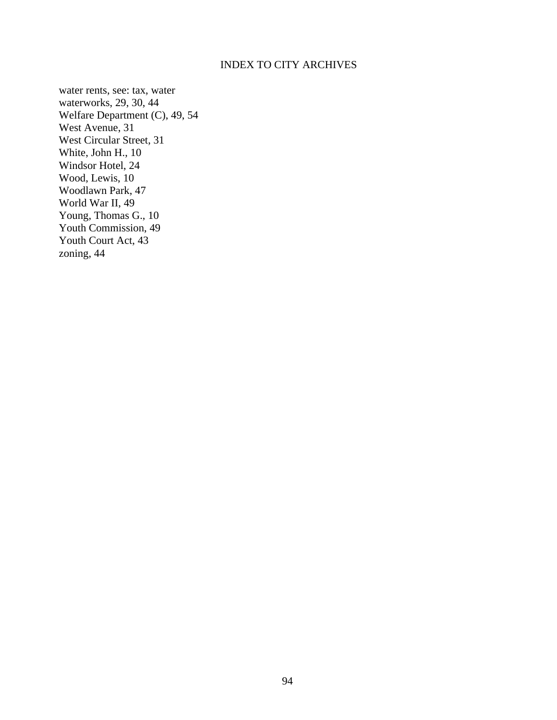water rents, see: tax, water waterworks, 29, 30, 44 Welfare Department (C), 49, 54 West Avenue, 31 West Circular Street, 31 White, John H., 10 Windsor Hotel, 24 Wood, Lewis, 10 Woodlawn Park, 47 World War II, 49 Young, Thomas G., 10 Youth Commission, 49 Youth Court Act, 43 zoning, 44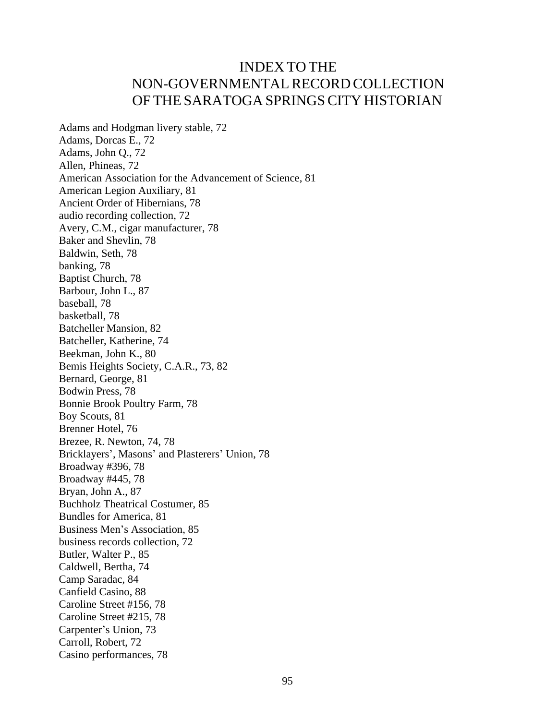# INDEX TO THE NON-GOVERNMENTALRECORD COLLECTION OF THE SARATOGA SPRINGSCITY HISTORIAN

Adams and Hodgman livery stable, 72 Adams, Dorcas E., 72 Adams, John Q., 72 Allen, Phineas, 72 American Association for the Advancement of Science, 81 American Legion Auxiliary, 81 Ancient Order of Hibernians, 78 audio recording collection, 72 Avery, C.M., cigar manufacturer, 78 Baker and Shevlin, 78 Baldwin, Seth, 78 banking, 78 Baptist Church, 78 Barbour, John L., 87 baseball, 78 basketball, 78 Batcheller Mansion, 82 Batcheller, Katherine, 74 Beekman, John K., 80 Bemis Heights Society, C.A.R., 73, 82 Bernard, George, 81 Bodwin Press, 78 Bonnie Brook Poultry Farm, 78 Boy Scouts, 81 Brenner Hotel, 76 Brezee, R. Newton, 74, 78 Bricklayers', Masons' and Plasterers' Union, 78 Broadway #396, 78 Broadway #445, 78 Bryan, John A., 87 Buchholz Theatrical Costumer, 85 Bundles for America, 81 Business Men's Association, 85 business records collection, 72 Butler, Walter P., 85 Caldwell, Bertha, 74 Camp Saradac, 84 Canfield Casino, 88 Caroline Street #156, 78 Caroline Street #215, 78 Carpenter's Union, 73 Carroll, Robert, 72 Casino performances, 78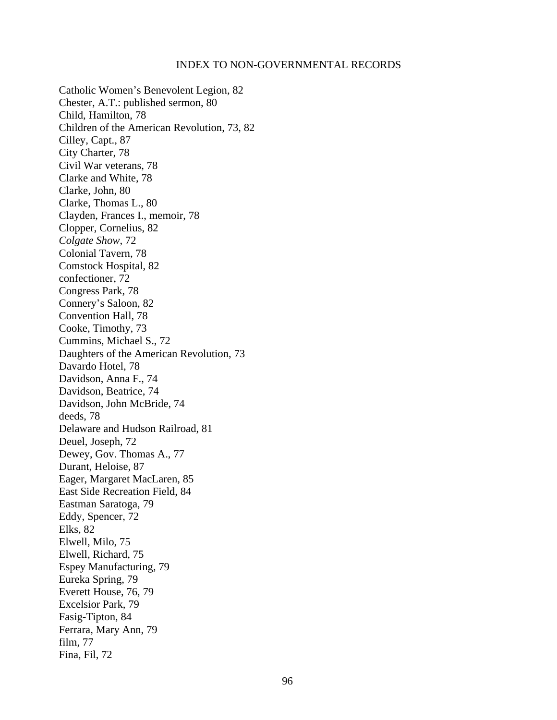Catholic Women's Benevolent Legion, 82 Chester, A.T.: published sermon, 80 Child, Hamilton, 78 Children of the American Revolution, 73, 82 Cilley, Capt., 87 City Charter, 78 Civil War veterans, 78 Clarke and White, 78 Clarke, John, 80 Clarke, Thomas L., 80 Clayden, Frances I., memoir, 78 Clopper, Cornelius, 82 *Colgate Show*, 72 Colonial Tavern, 78 Comstock Hospital, 82 confectioner, 72 Congress Park, 78 Connery's Saloon, 82 Convention Hall, 78 Cooke, Timothy, 73 Cummins, Michael S., 72 Daughters of the American Revolution, 73 Davardo Hotel, 78 Davidson, Anna F., 74 Davidson, Beatrice, 74 Davidson, John McBride, 74 deeds, 78 Delaware and Hudson Railroad, 81 Deuel, Joseph, 72 Dewey, Gov. Thomas A., 77 Durant, Heloise, 87 Eager, Margaret MacLaren, 85 East Side Recreation Field, 84 Eastman Saratoga, 79 Eddy, Spencer, 72 Elks, 82 Elwell, Milo, 75 Elwell, Richard, 75 Espey Manufacturing, 79 Eureka Spring, 79 Everett House, 76, 79 Excelsior Park, 79 Fasig-Tipton, 84 Ferrara, Mary Ann, 79 film, 77 Fina, Fil, 72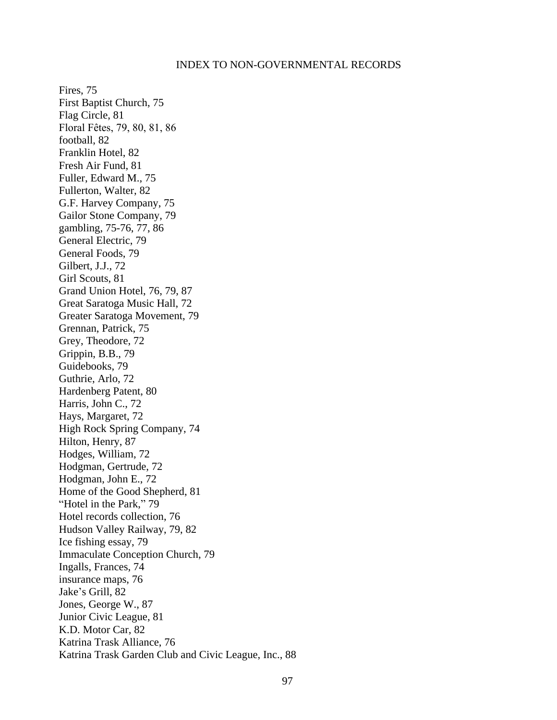Fires, 75 First Baptist Church, 75 Flag Circle, 81 Floral Fêtes, 79, 80, 81, 86 football, 82 Franklin Hotel, 82 Fresh Air Fund, 81 Fuller, Edward M., 75 Fullerton, Walter, 82 G.F. Harvey Company, 75 Gailor Stone Company, 79 gambling, 75-76, 77, 86 General Electric, 79 General Foods, 79 Gilbert, J.J., 72 Girl Scouts, 81 Grand Union Hotel, 76, 79, 87 Great Saratoga Music Hall, 72 Greater Saratoga Movement, 79 Grennan, Patrick, 75 Grey, Theodore, 72 Grippin, B.B., 79 Guidebooks, 79 Guthrie, Arlo, 72 Hardenberg Patent, 80 Harris, John C., 72 Hays, Margaret, 72 High Rock Spring Company, 74 Hilton, Henry, 87 Hodges, William, 72 Hodgman, Gertrude, 72 Hodgman, John E., 72 Home of the Good Shepherd, 81 "Hotel in the Park," 79 Hotel records collection, 76 Hudson Valley Railway, 79, 82 Ice fishing essay, 79 Immaculate Conception Church, 79 Ingalls, Frances, 74 insurance maps, 76 Jake's Grill, 82 Jones, George W., 87 Junior Civic League, 81 K.D. Motor Car, 82 Katrina Trask Alliance, 76 Katrina Trask Garden Club and Civic League, Inc., 88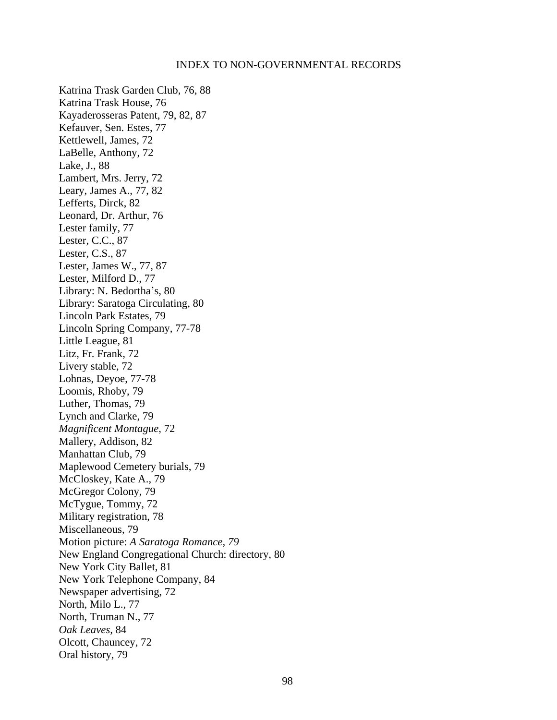Katrina Trask Garden Club, 76, 88 Katrina Trask House, 76 Kayaderosseras Patent, 79, 82, 87 Kefauver, Sen. Estes, 77 Kettlewell, James, 72 LaBelle, Anthony, 72 Lake, J., 88 Lambert, Mrs. Jerry, 72 Leary, James A., 77, 82 Lefferts, Dirck, 82 Leonard, Dr. Arthur, 76 Lester family, 77 Lester, C.C., 87 Lester, C.S., 87 Lester, James W., 77, 87 Lester, Milford D., 77 Library: N. Bedortha's, 80 Library: Saratoga Circulating, 80 Lincoln Park Estates, 79 Lincoln Spring Company, 77-78 Little League, 81 Litz, Fr. Frank, 72 Livery stable, 72 Lohnas, Deyoe, 77-78 Loomis, Rhoby, 79 Luther, Thomas, 79 Lynch and Clarke, 79 *Magnificent Montague*, 72 Mallery, Addison, 82 Manhattan Club, 79 Maplewood Cemetery burials, 79 McCloskey, Kate A., 79 McGregor Colony, 79 McTygue, Tommy, 72 Military registration, 78 Miscellaneous, 79 Motion picture: *A Saratoga Romance, 79* New England Congregational Church: directory, 80 New York City Ballet, 81 New York Telephone Company, 84 Newspaper advertising, 72 North, Milo L., 77 North, Truman N., 77 *Oak Leaves,* 84 Olcott, Chauncey, 72 Oral history, 79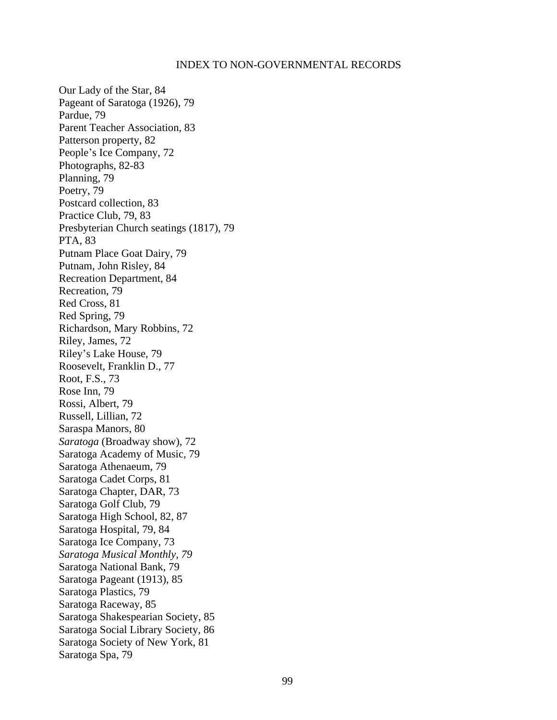Our Lady of the Star, 84 Pageant of Saratoga (1926), 79 Pardue, 79 Parent Teacher Association, 83 Patterson property, 82 People's Ice Company, 72 Photographs, 82-83 Planning, 79 Poetry, 79 Postcard collection, 83 Practice Club, 79, 83 Presbyterian Church seatings (1817), 79 PTA, 83 Putnam Place Goat Dairy, 79 Putnam, John Risley, 84 Recreation Department, 84 Recreation, 79 Red Cross, 81 Red Spring, 79 Richardson, Mary Robbins, 72 Riley, James, 72 Riley's Lake House, 79 Roosevelt, Franklin D., 77 Root, F.S., 73 Rose Inn, 79 Rossi, Albert, 79 Russell, Lillian, 72 Saraspa Manors, 80 *Saratoga* (Broadway show), 72 Saratoga Academy of Music, 79 Saratoga Athenaeum, 79 Saratoga Cadet Corps, 81 Saratoga Chapter, DAR, 73 Saratoga Golf Club, 79 Saratoga High School, 82, 87 Saratoga Hospital, 79, 84 Saratoga Ice Company, 73 *Saratoga Musical Monthly, 79* Saratoga National Bank, 79 Saratoga Pageant (1913), 85 Saratoga Plastics, 79 Saratoga Raceway, 85 Saratoga Shakespearian Society, 85 Saratoga Social Library Society, 86 Saratoga Society of New York, 81 Saratoga Spa, 79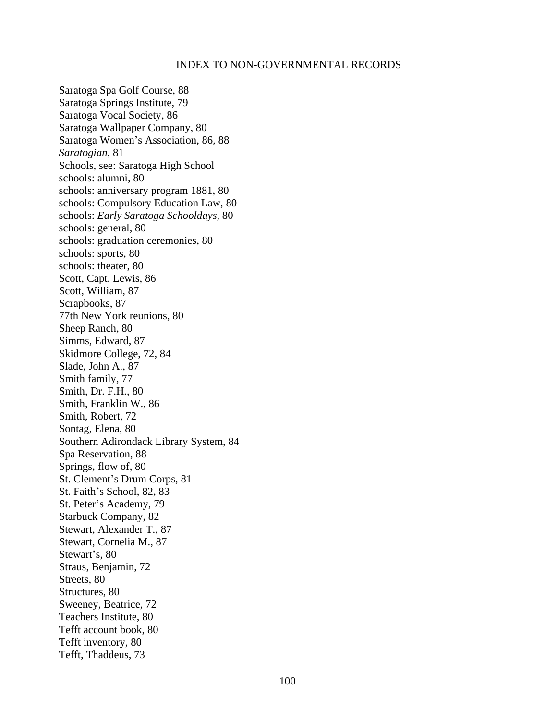Saratoga Spa Golf Course, 88 Saratoga Springs Institute, 79 Saratoga Vocal Society, 86 Saratoga Wallpaper Company, 80 Saratoga Women's Association, 86, 88 *Saratogian*, 81 Schools, see: Saratoga High School schools: alumni, 80 schools: anniversary program 1881, 80 schools: Compulsory Education Law, 80 schools: *Early Saratoga Schooldays,* 80 schools: general, 80 schools: graduation ceremonies, 80 schools: sports, 80 schools: theater, 80 Scott, Capt. Lewis, 86 Scott, William, 87 Scrapbooks, 87 77th New York reunions, 80 Sheep Ranch, 80 Simms, Edward, 87 Skidmore College, 72, 84 Slade, John A., 87 Smith family, 77 Smith, Dr. F.H., 80 Smith, Franklin W., 86 Smith, Robert, 72 Sontag, Elena, 80 Southern Adirondack Library System, 84 Spa Reservation, 88 Springs, flow of, 80 St. Clement's Drum Corps, 81 St. Faith's School, 82, 83 St. Peter's Academy, 79 Starbuck Company, 82 Stewart, Alexander T., 87 Stewart, Cornelia M., 87 Stewart's, 80 Straus, Benjamin, 72 Streets, 80 Structures, 80 Sweeney, Beatrice, 72 Teachers Institute, 80 Tefft account book, 80 Tefft inventory, 80 Tefft, Thaddeus, 73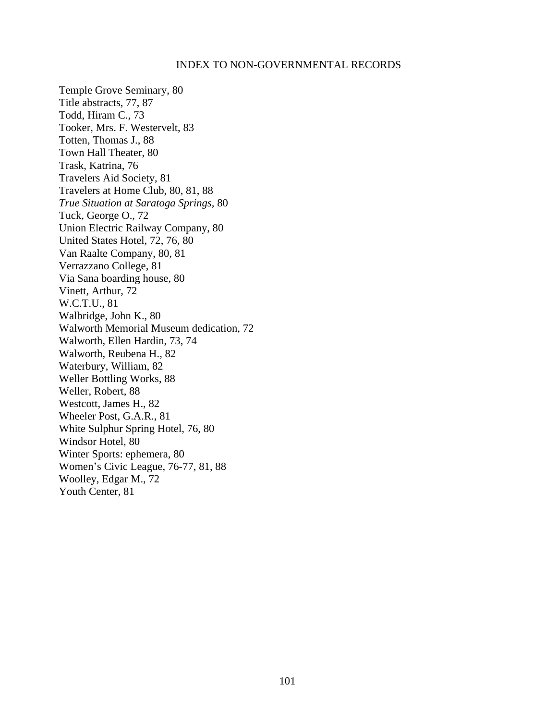Temple Grove Seminary, 80 Title abstracts, 77, 87 Todd, Hiram C., 73 Tooker, Mrs. F. Westervelt, 83 Totten, Thomas J., 88 Town Hall Theater, 80 Trask, Katrina, 76 Travelers Aid Society, 81 Travelers at Home Club, 80, 81, 88 *True Situation at Saratoga Springs,* 80 Tuck, George O., 72 Union Electric Railway Company, 80 United States Hotel, 72, 76, 80 Van Raalte Company, 80, 81 Verrazzano College, 81 Via Sana boarding house, 80 Vinett, Arthur, 72 W.C.T.U., 81 Walbridge, John K., 80 Walworth Memorial Museum dedication, 72 Walworth, Ellen Hardin, 73, 74 Walworth, Reubena H., 82 Waterbury, William, 82 Weller Bottling Works, 88 Weller, Robert, 88 Westcott, James H., 82 Wheeler Post, G.A.R., 81 White Sulphur Spring Hotel, 76, 80 Windsor Hotel, 80 Winter Sports: ephemera, 80 Women's Civic League, 76-77, 81, 88 Woolley, Edgar M., 72 Youth Center, 81